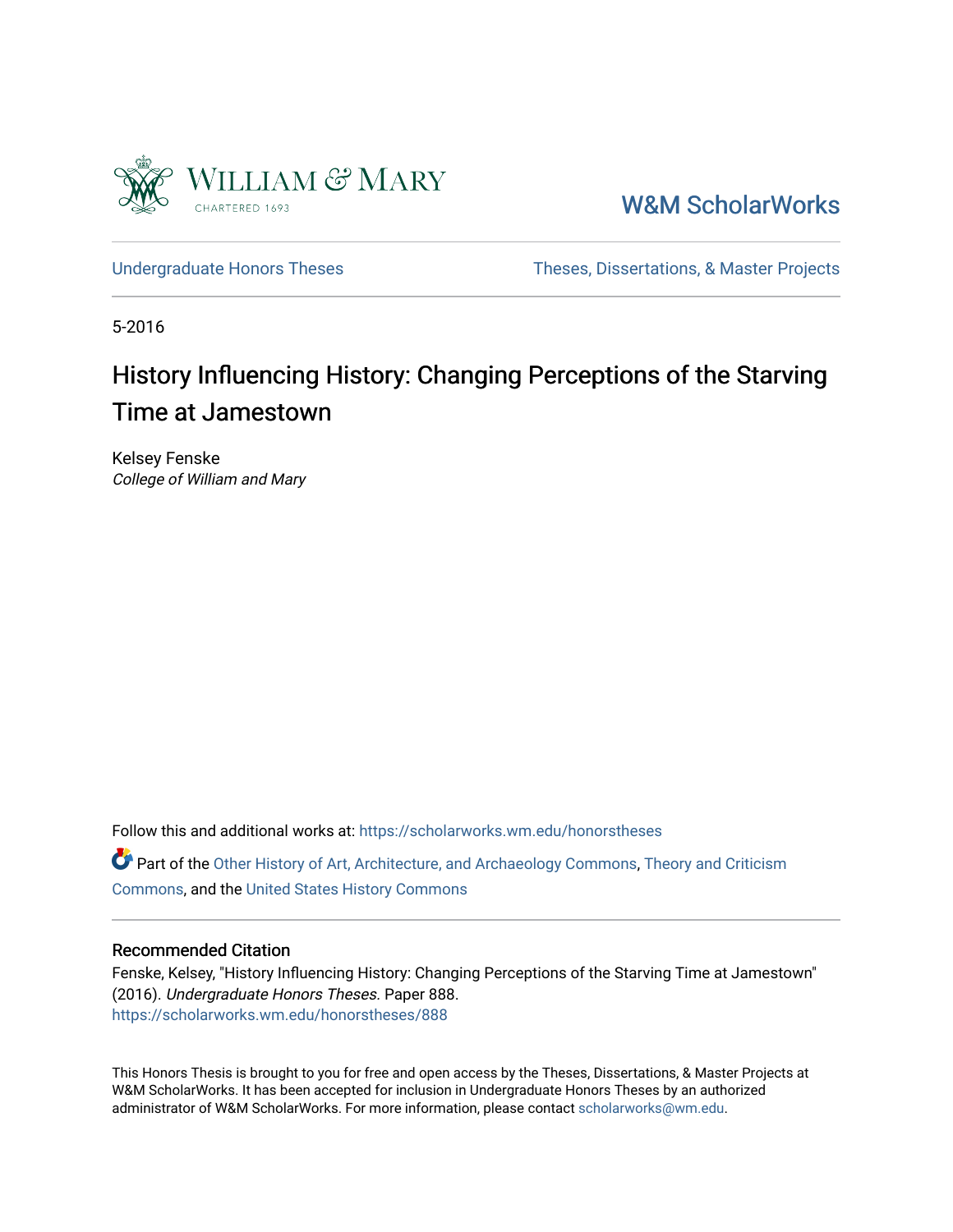

[W&M ScholarWorks](https://scholarworks.wm.edu/) 

[Undergraduate Honors Theses](https://scholarworks.wm.edu/honorstheses) Theses Theses, Dissertations, & Master Projects

5-2016

# History Influencing History: Changing Perceptions of the Starving Time at Jamestown

Kelsey Fenske College of William and Mary

Follow this and additional works at: [https://scholarworks.wm.edu/honorstheses](https://scholarworks.wm.edu/honorstheses?utm_source=scholarworks.wm.edu%2Fhonorstheses%2F888&utm_medium=PDF&utm_campaign=PDFCoverPages) 

Part of the [Other History of Art, Architecture, and Archaeology Commons,](http://network.bepress.com/hgg/discipline/517?utm_source=scholarworks.wm.edu%2Fhonorstheses%2F888&utm_medium=PDF&utm_campaign=PDFCoverPages) Theory and Criticism [Commons](http://network.bepress.com/hgg/discipline/516?utm_source=scholarworks.wm.edu%2Fhonorstheses%2F888&utm_medium=PDF&utm_campaign=PDFCoverPages), and the [United States History Commons](http://network.bepress.com/hgg/discipline/495?utm_source=scholarworks.wm.edu%2Fhonorstheses%2F888&utm_medium=PDF&utm_campaign=PDFCoverPages) 

### Recommended Citation

Fenske, Kelsey, "History Influencing History: Changing Perceptions of the Starving Time at Jamestown" (2016). Undergraduate Honors Theses. Paper 888. [https://scholarworks.wm.edu/honorstheses/888](https://scholarworks.wm.edu/honorstheses/888?utm_source=scholarworks.wm.edu%2Fhonorstheses%2F888&utm_medium=PDF&utm_campaign=PDFCoverPages) 

This Honors Thesis is brought to you for free and open access by the Theses, Dissertations, & Master Projects at W&M ScholarWorks. It has been accepted for inclusion in Undergraduate Honors Theses by an authorized administrator of W&M ScholarWorks. For more information, please contact [scholarworks@wm.edu.](mailto:scholarworks@wm.edu)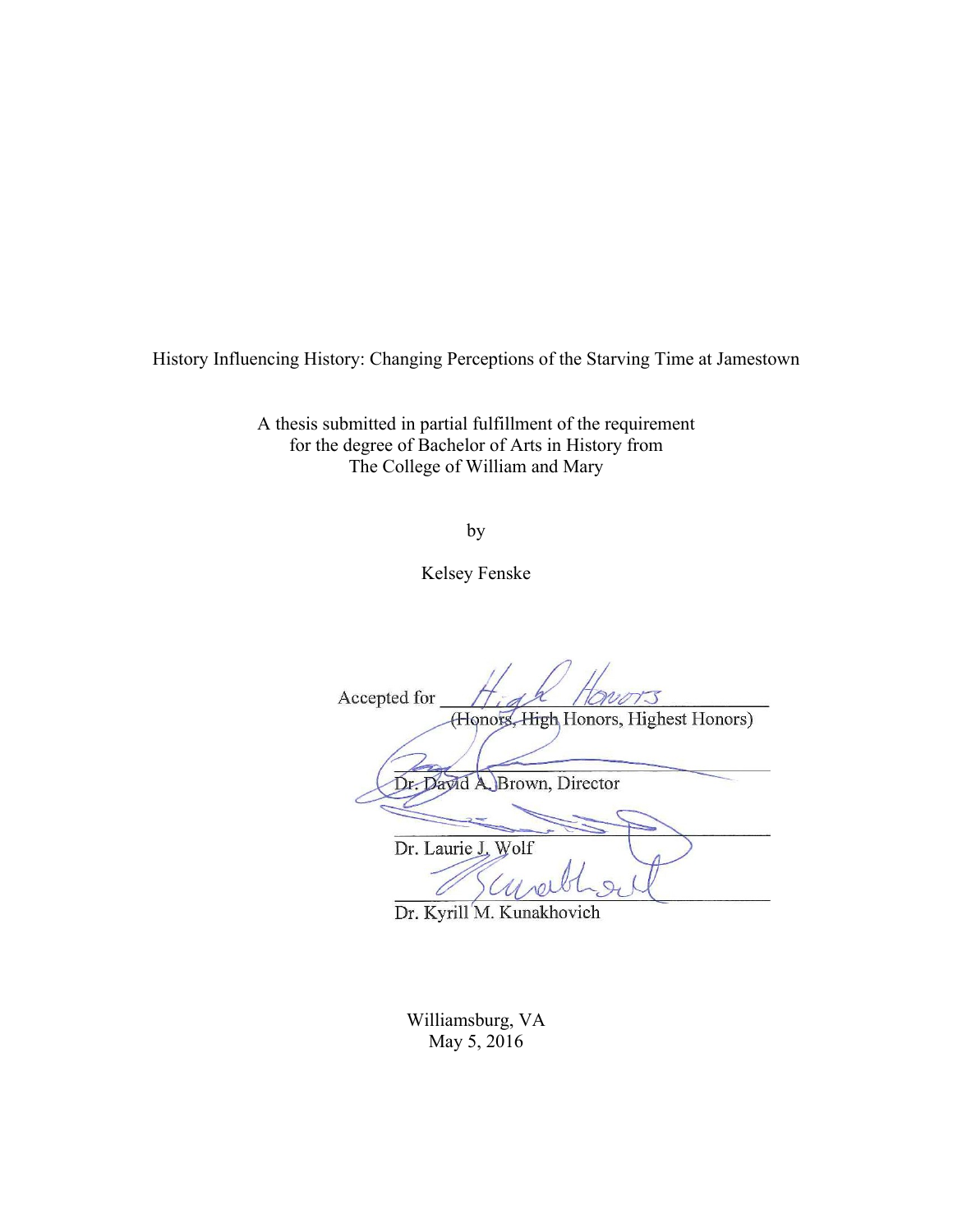History Influencing History: Changing Perceptions of the Starving Time at Jamestown

A thesis submitted in partial fulfillment of the requirement for the degree of Bachelor of Arts in History from The College of William and Mary

by

Kelsey Fenske

Accepted for (Honors, High Honors, Highest Honors) Dr. Dayid A Brown, Director Dr. Laurie J. Wolf

Dr. Kyrill M. Kunakhovich

Williamsburg, VA May 5, 2016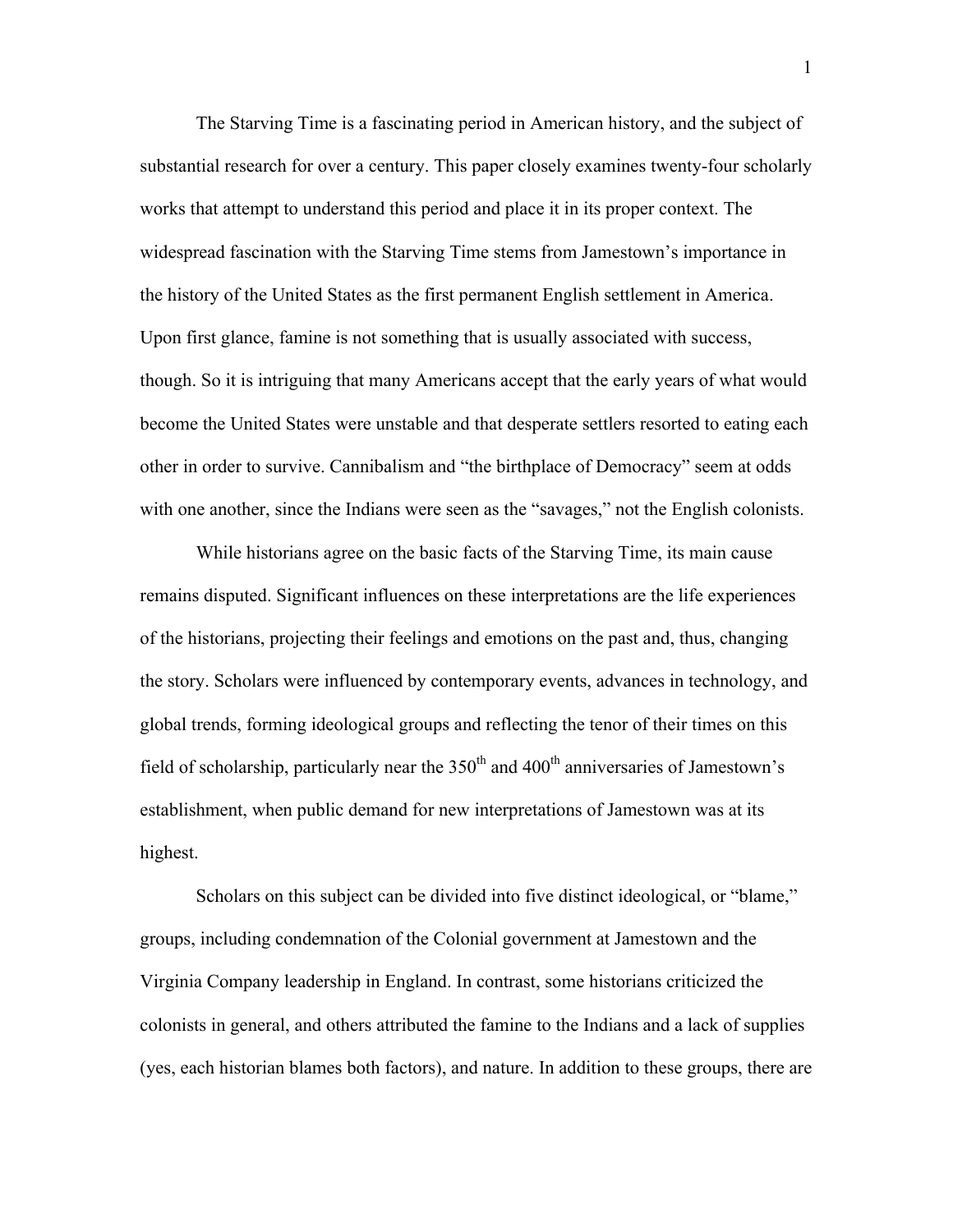The Starving Time is a fascinating period in American history, and the subject of substantial research for over a century. This paper closely examines twenty-four scholarly works that attempt to understand this period and place it in its proper context. The widespread fascination with the Starving Time stems from Jamestown's importance in the history of the United States as the first permanent English settlement in America. Upon first glance, famine is not something that is usually associated with success, though. So it is intriguing that many Americans accept that the early years of what would become the United States were unstable and that desperate settlers resorted to eating each other in order to survive. Cannibalism and "the birthplace of Democracy" seem at odds with one another, since the Indians were seen as the "savages," not the English colonists.

While historians agree on the basic facts of the Starving Time, its main cause remains disputed. Significant influences on these interpretations are the life experiences of the historians, projecting their feelings and emotions on the past and, thus, changing the story. Scholars were influenced by contemporary events, advances in technology, and global trends, forming ideological groups and reflecting the tenor of their times on this field of scholarship, particularly near the  $350<sup>th</sup>$  and  $400<sup>th</sup>$  anniversaries of Jamestown's establishment, when public demand for new interpretations of Jamestown was at its highest.

Scholars on this subject can be divided into five distinct ideological, or "blame," groups, including condemnation of the Colonial government at Jamestown and the Virginia Company leadership in England. In contrast, some historians criticized the colonists in general, and others attributed the famine to the Indians and a lack of supplies (yes, each historian blames both factors), and nature. In addition to these groups, there are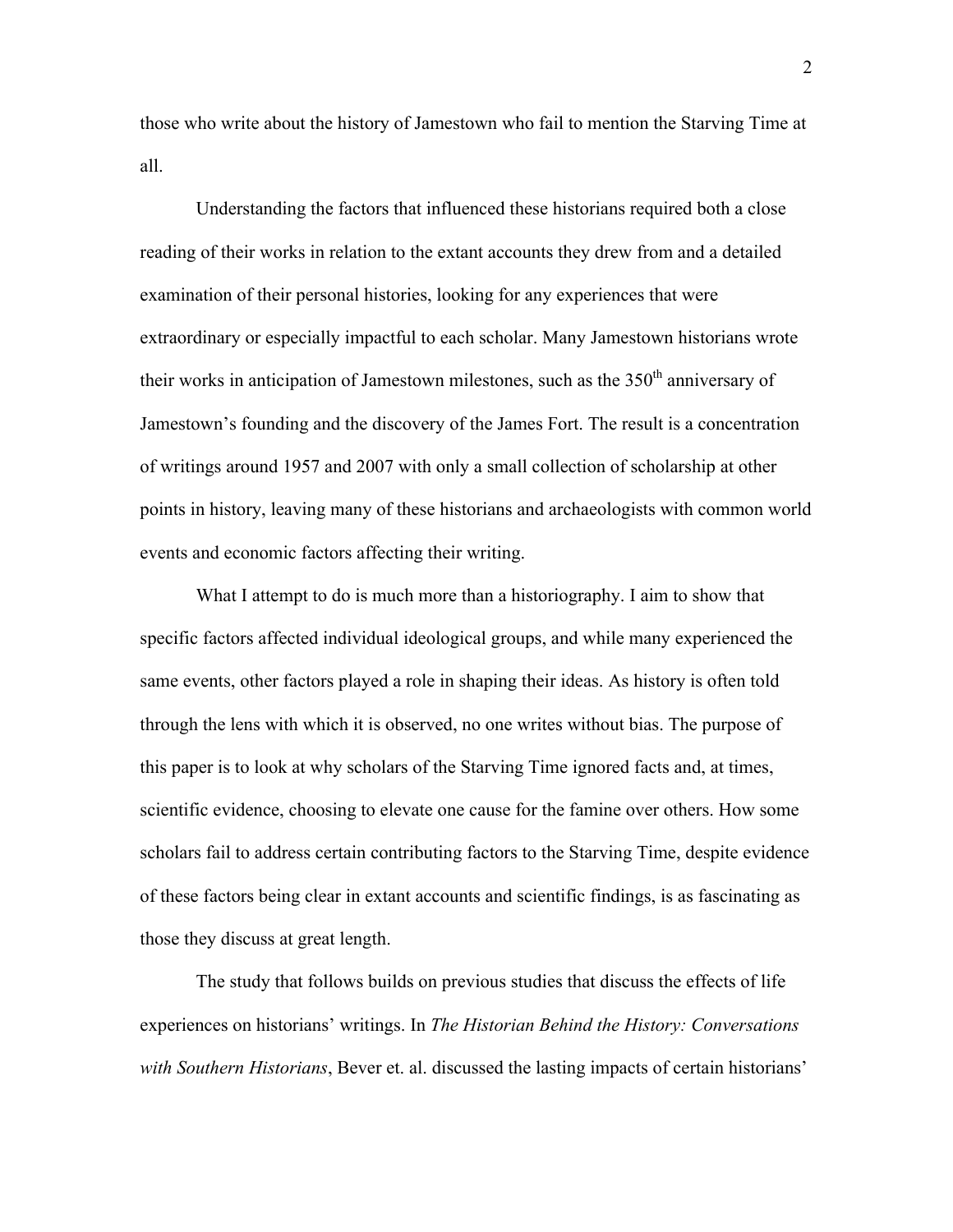those who write about the history of Jamestown who fail to mention the Starving Time at all.

Understanding the factors that influenced these historians required both a close reading of their works in relation to the extant accounts they drew from and a detailed examination of their personal histories, looking for any experiences that were extraordinary or especially impactful to each scholar. Many Jamestown historians wrote their works in anticipation of Jamestown milestones, such as the  $350<sup>th</sup>$  anniversary of Jamestown's founding and the discovery of the James Fort. The result is a concentration of writings around 1957 and 2007 with only a small collection of scholarship at other points in history, leaving many of these historians and archaeologists with common world events and economic factors affecting their writing.

What I attempt to do is much more than a historiography. I aim to show that specific factors affected individual ideological groups, and while many experienced the same events, other factors played a role in shaping their ideas. As history is often told through the lens with which it is observed, no one writes without bias. The purpose of this paper is to look at why scholars of the Starving Time ignored facts and, at times, scientific evidence, choosing to elevate one cause for the famine over others. How some scholars fail to address certain contributing factors to the Starving Time, despite evidence of these factors being clear in extant accounts and scientific findings, is as fascinating as those they discuss at great length.

The study that follows builds on previous studies that discuss the effects of life experiences on historians' writings. In *The Historian Behind the History: Conversations with Southern Historians*, Bever et. al. discussed the lasting impacts of certain historians'

2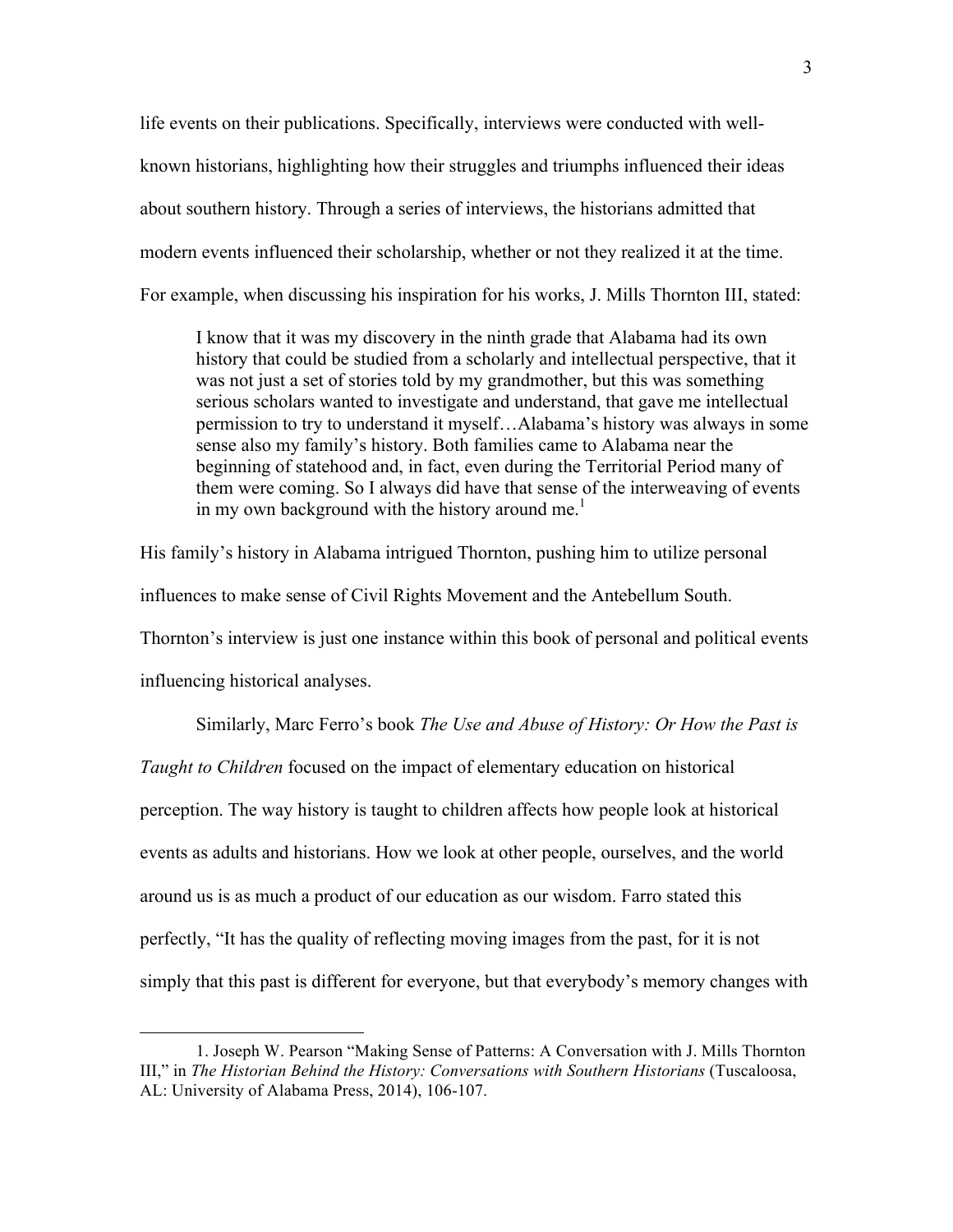life events on their publications. Specifically, interviews were conducted with wellknown historians, highlighting how their struggles and triumphs influenced their ideas about southern history. Through a series of interviews, the historians admitted that modern events influenced their scholarship, whether or not they realized it at the time. For example, when discussing his inspiration for his works, J. Mills Thornton III, stated:

I know that it was my discovery in the ninth grade that Alabama had its own history that could be studied from a scholarly and intellectual perspective, that it was not just a set of stories told by my grandmother, but this was something serious scholars wanted to investigate and understand, that gave me intellectual permission to try to understand it myself…Alabama's history was always in some sense also my family's history. Both families came to Alabama near the beginning of statehood and, in fact, even during the Territorial Period many of them were coming. So I always did have that sense of the interweaving of events in my own background with the history around me. $<sup>1</sup>$ </sup>

His family's history in Alabama intrigued Thornton, pushing him to utilize personal influences to make sense of Civil Rights Movement and the Antebellum South. Thornton's interview is just one instance within this book of personal and political events influencing historical analyses.

Similarly, Marc Ferro's book *The Use and Abuse of History: Or How the Past is* 

*Taught to Children* focused on the impact of elementary education on historical perception. The way history is taught to children affects how people look at historical events as adults and historians. How we look at other people, ourselves, and the world around us is as much a product of our education as our wisdom. Farro stated this perfectly, "It has the quality of reflecting moving images from the past, for it is not simply that this past is different for everyone, but that everybody's memory changes with

<sup>1.</sup> Joseph W. Pearson "Making Sense of Patterns: A Conversation with J. Mills Thornton III," in *The Historian Behind the History: Conversations with Southern Historians* (Tuscaloosa, AL: University of Alabama Press, 2014), 106-107.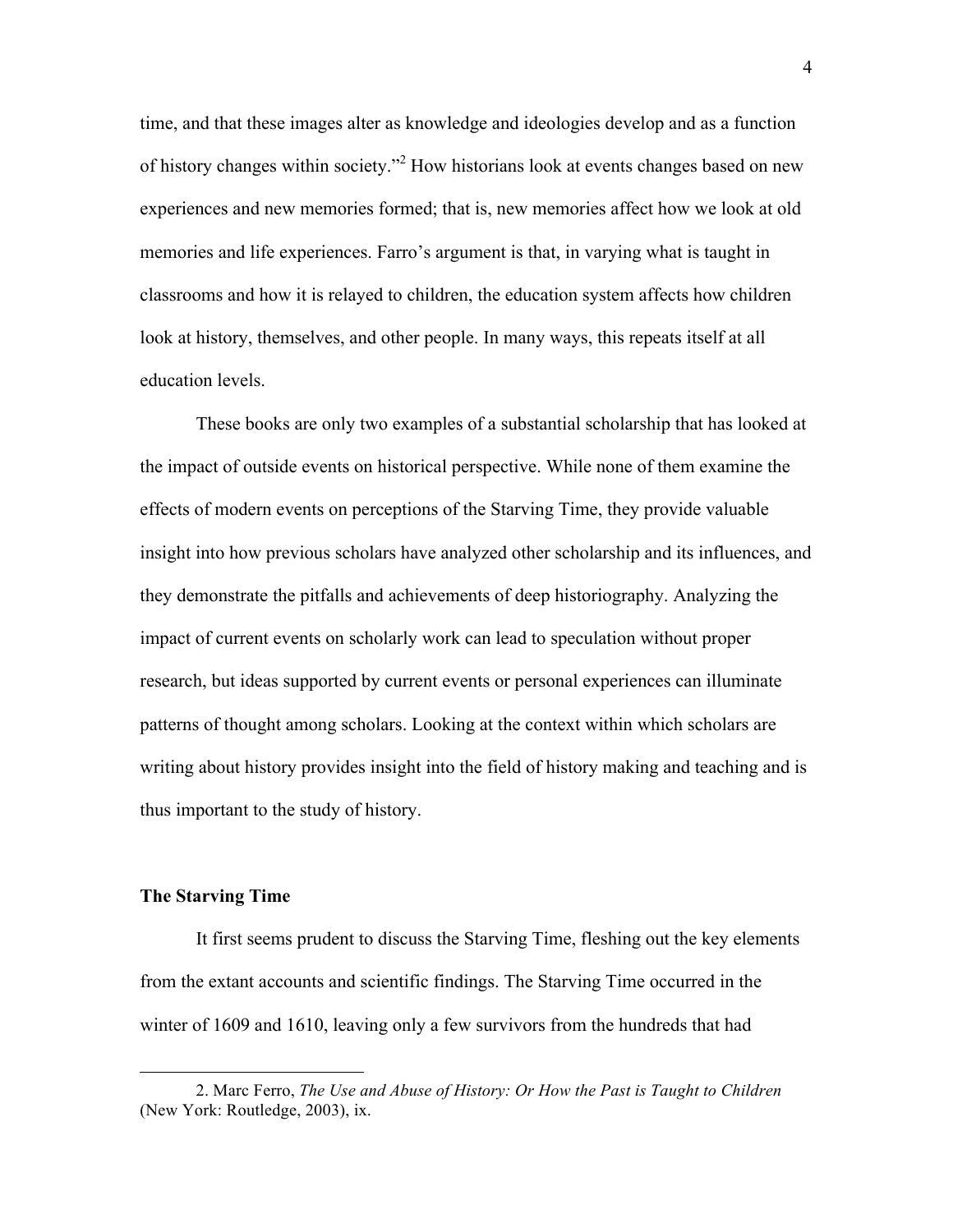time, and that these images alter as knowledge and ideologies develop and as a function of history changes within society."<sup>2</sup> How historians look at events changes based on new experiences and new memories formed; that is, new memories affect how we look at old memories and life experiences. Farro's argument is that, in varying what is taught in classrooms and how it is relayed to children, the education system affects how children look at history, themselves, and other people. In many ways, this repeats itself at all education levels.

These books are only two examples of a substantial scholarship that has looked at the impact of outside events on historical perspective. While none of them examine the effects of modern events on perceptions of the Starving Time, they provide valuable insight into how previous scholars have analyzed other scholarship and its influences, and they demonstrate the pitfalls and achievements of deep historiography. Analyzing the impact of current events on scholarly work can lead to speculation without proper research, but ideas supported by current events or personal experiences can illuminate patterns of thought among scholars. Looking at the context within which scholars are writing about history provides insight into the field of history making and teaching and is thus important to the study of history.

#### **The Starving Time**

 $\overline{a}$ 

It first seems prudent to discuss the Starving Time, fleshing out the key elements from the extant accounts and scientific findings. The Starving Time occurred in the winter of 1609 and 1610, leaving only a few survivors from the hundreds that had

<sup>2.</sup> Marc Ferro, *The Use and Abuse of History: Or How the Past is Taught to Children* (New York: Routledge, 2003), ix.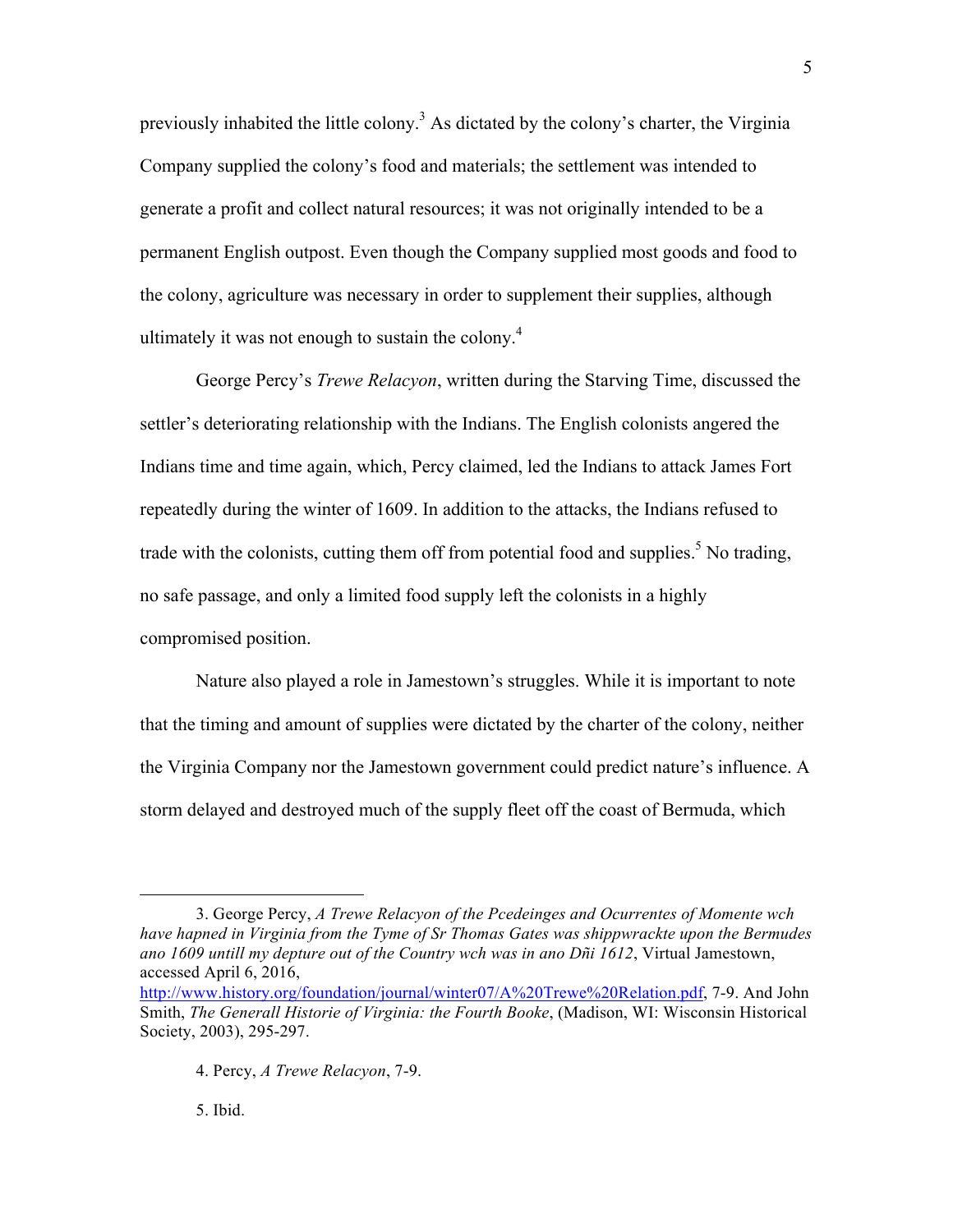previously inhabited the little colony.3 As dictated by the colony's charter, the Virginia Company supplied the colony's food and materials; the settlement was intended to generate a profit and collect natural resources; it was not originally intended to be a permanent English outpost. Even though the Company supplied most goods and food to the colony, agriculture was necessary in order to supplement their supplies, although ultimately it was not enough to sustain the colony.<sup>4</sup>

George Percy's *Trewe Relacyon*, written during the Starving Time, discussed the settler's deteriorating relationship with the Indians. The English colonists angered the Indians time and time again, which, Percy claimed, led the Indians to attack James Fort repeatedly during the winter of 1609. In addition to the attacks, the Indians refused to trade with the colonists, cutting them off from potential food and supplies.<sup>5</sup> No trading, no safe passage, and only a limited food supply left the colonists in a highly compromised position.

Nature also played a role in Jamestown's struggles. While it is important to note that the timing and amount of supplies were dictated by the charter of the colony, neither the Virginia Company nor the Jamestown government could predict nature's influence. A storm delayed and destroyed much of the supply fleet off the coast of Bermuda, which

5. Ibid.

<sup>3.</sup> George Percy, *A Trewe Relacyon of the Pcedeinges and Ocurrentes of Momente wch have hapned in Virginia from the Tyme of Sr Thomas Gates was shippwrackte upon the Bermudes ano 1609 untill my depture out of the Country wch was in ano Dñi 1612*, Virtual Jamestown, accessed April 6, 2016,

http://www.history.org/foundation/journal/winter07/A%20Trewe%20Relation.pdf, 7-9. And John Smith, *The Generall Historie of Virginia: the Fourth Booke*, (Madison, WI: Wisconsin Historical Society, 2003), 295-297.

<sup>4.</sup> Percy, *A Trewe Relacyon*, 7-9.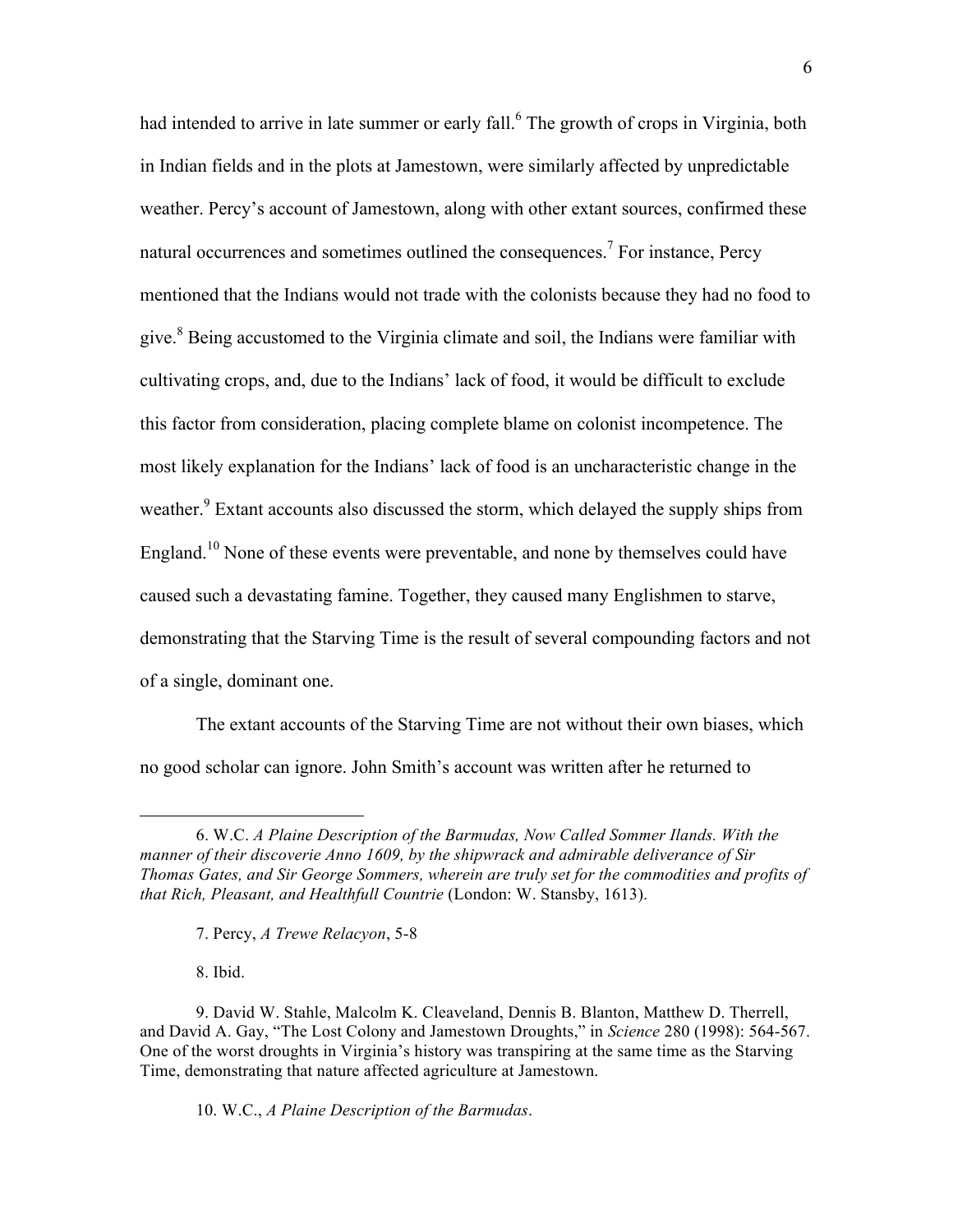had intended to arrive in late summer or early fall.<sup>6</sup> The growth of crops in Virginia, both in Indian fields and in the plots at Jamestown, were similarly affected by unpredictable weather. Percy's account of Jamestown, along with other extant sources, confirmed these natural occurrences and sometimes outlined the consequences.<sup>7</sup> For instance, Percy mentioned that the Indians would not trade with the colonists because they had no food to give. $8$  Being accustomed to the Virginia climate and soil, the Indians were familiar with cultivating crops, and, due to the Indians' lack of food, it would be difficult to exclude this factor from consideration, placing complete blame on colonist incompetence. The most likely explanation for the Indians' lack of food is an uncharacteristic change in the weather.<sup>9</sup> Extant accounts also discussed the storm, which delayed the supply ships from England.<sup>10</sup> None of these events were preventable, and none by themselves could have caused such a devastating famine. Together, they caused many Englishmen to starve, demonstrating that the Starving Time is the result of several compounding factors and not of a single, dominant one.

The extant accounts of the Starving Time are not without their own biases, which no good scholar can ignore. John Smith's account was written after he returned to

7. Percy, *A Trewe Relacyon*, 5-8

8. Ibid.

 $\overline{a}$ 

10. W.C., *A Plaine Description of the Barmudas*.

<sup>6.</sup> W.C. *A Plaine Description of the Barmudas, Now Called Sommer Ilands. With the manner of their discoverie Anno 1609, by the shipwrack and admirable deliverance of Sir Thomas Gates, and Sir George Sommers, wherein are truly set for the commodities and profits of that Rich, Pleasant, and Healthfull Countrie* (London: W. Stansby, 1613).

<sup>9.</sup> David W. Stahle, Malcolm K. Cleaveland, Dennis B. Blanton, Matthew D. Therrell, and David A. Gay, "The Lost Colony and Jamestown Droughts," in *Science* 280 (1998): 564-567. One of the worst droughts in Virginia's history was transpiring at the same time as the Starving Time, demonstrating that nature affected agriculture at Jamestown.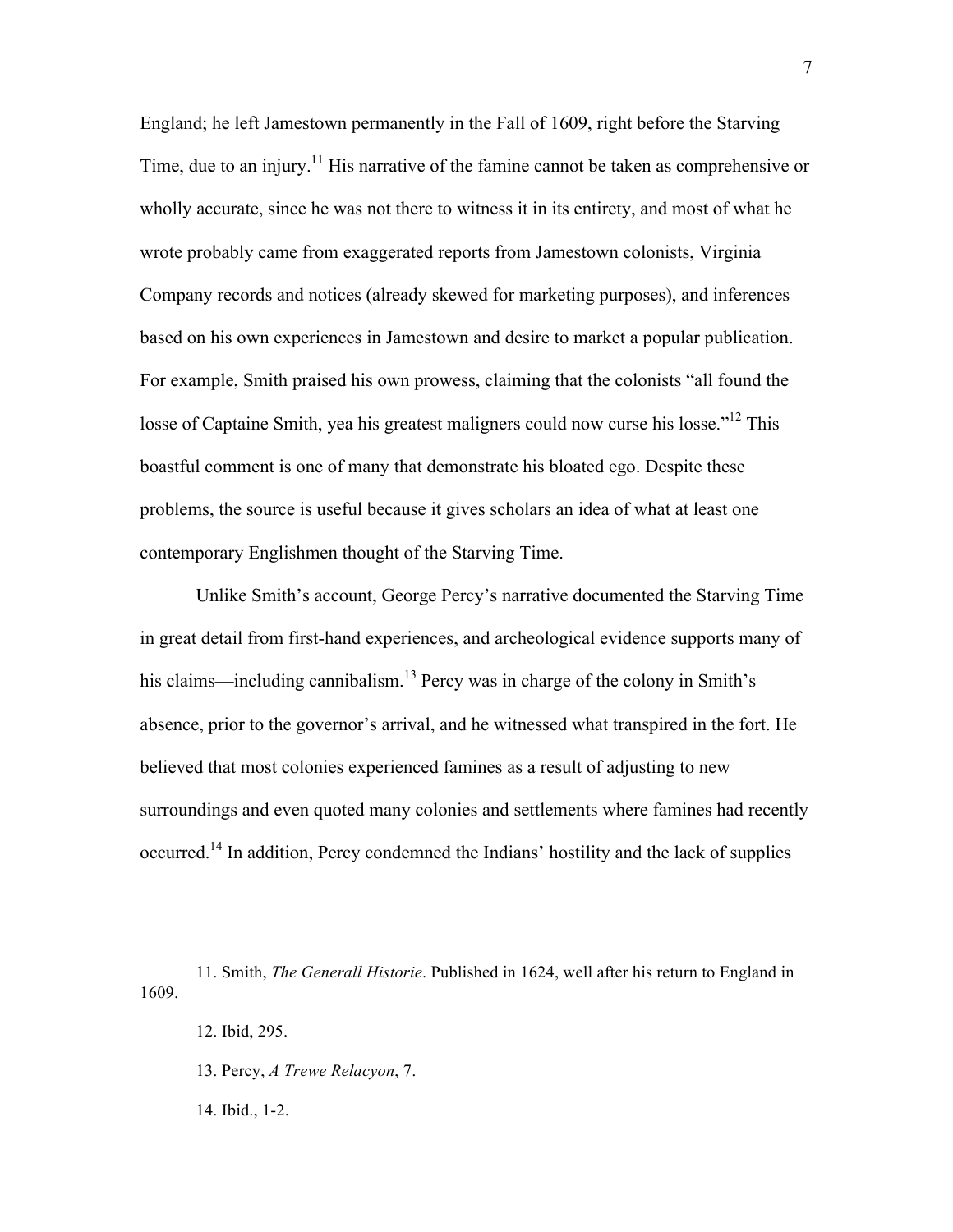England; he left Jamestown permanently in the Fall of 1609, right before the Starving Time, due to an injury.<sup>11</sup> His narrative of the famine cannot be taken as comprehensive or wholly accurate, since he was not there to witness it in its entirety, and most of what he wrote probably came from exaggerated reports from Jamestown colonists, Virginia Company records and notices (already skewed for marketing purposes), and inferences based on his own experiences in Jamestown and desire to market a popular publication. For example, Smith praised his own prowess, claiming that the colonists "all found the losse of Captaine Smith, yea his greatest maligners could now curse his losse."<sup>12</sup> This boastful comment is one of many that demonstrate his bloated ego. Despite these problems, the source is useful because it gives scholars an idea of what at least one contemporary Englishmen thought of the Starving Time.

Unlike Smith's account, George Percy's narrative documented the Starving Time in great detail from first-hand experiences, and archeological evidence supports many of his claims—including cannibalism.<sup>13</sup> Percy was in charge of the colony in Smith's absence, prior to the governor's arrival, and he witnessed what transpired in the fort. He believed that most colonies experienced famines as a result of adjusting to new surroundings and even quoted many colonies and settlements where famines had recently occurred.14 In addition, Percy condemned the Indians' hostility and the lack of supplies

- 13. Percy, *A Trewe Relacyon*, 7.
- 14. Ibid., 1-2.

<sup>11.</sup> Smith, *The Generall Historie*. Published in 1624, well after his return to England in 1609.

<sup>12.</sup> Ibid, 295.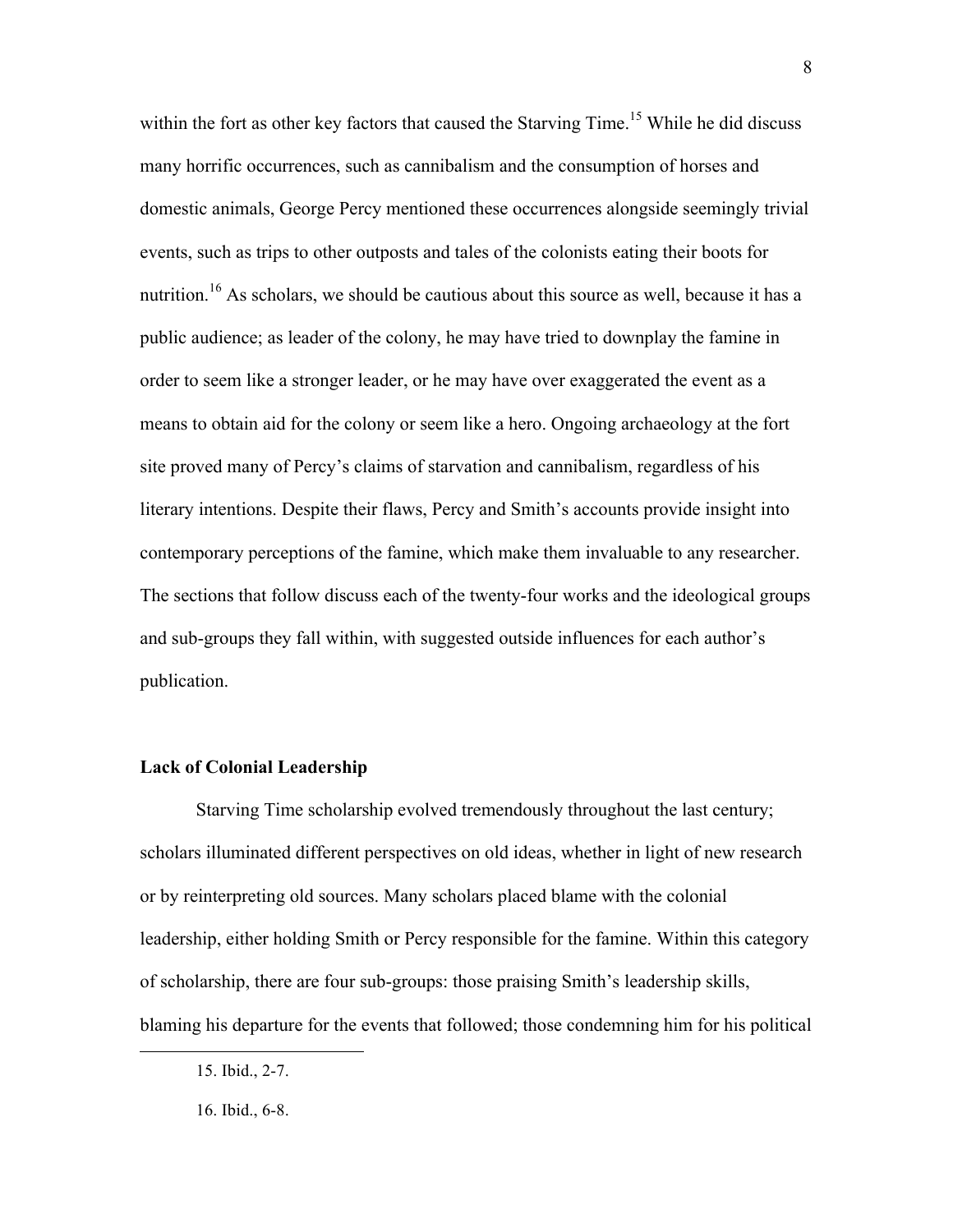within the fort as other key factors that caused the Starving Time.<sup>15</sup> While he did discuss many horrific occurrences, such as cannibalism and the consumption of horses and domestic animals, George Percy mentioned these occurrences alongside seemingly trivial events, such as trips to other outposts and tales of the colonists eating their boots for nutrition.<sup>16</sup> As scholars, we should be cautious about this source as well, because it has a public audience; as leader of the colony, he may have tried to downplay the famine in order to seem like a stronger leader, or he may have over exaggerated the event as a means to obtain aid for the colony or seem like a hero. Ongoing archaeology at the fort site proved many of Percy's claims of starvation and cannibalism, regardless of his literary intentions. Despite their flaws, Percy and Smith's accounts provide insight into contemporary perceptions of the famine, which make them invaluable to any researcher. The sections that follow discuss each of the twenty-four works and the ideological groups and sub-groups they fall within, with suggested outside influences for each author's publication.

## **Lack of Colonial Leadership**

Starving Time scholarship evolved tremendously throughout the last century; scholars illuminated different perspectives on old ideas, whether in light of new research or by reinterpreting old sources. Many scholars placed blame with the colonial leadership, either holding Smith or Percy responsible for the famine. Within this category of scholarship, there are four sub-groups: those praising Smith's leadership skills, blaming his departure for the events that followed; those condemning him for his political

<sup>15.</sup> Ibid., 2-7.

<sup>16.</sup> Ibid., 6-8.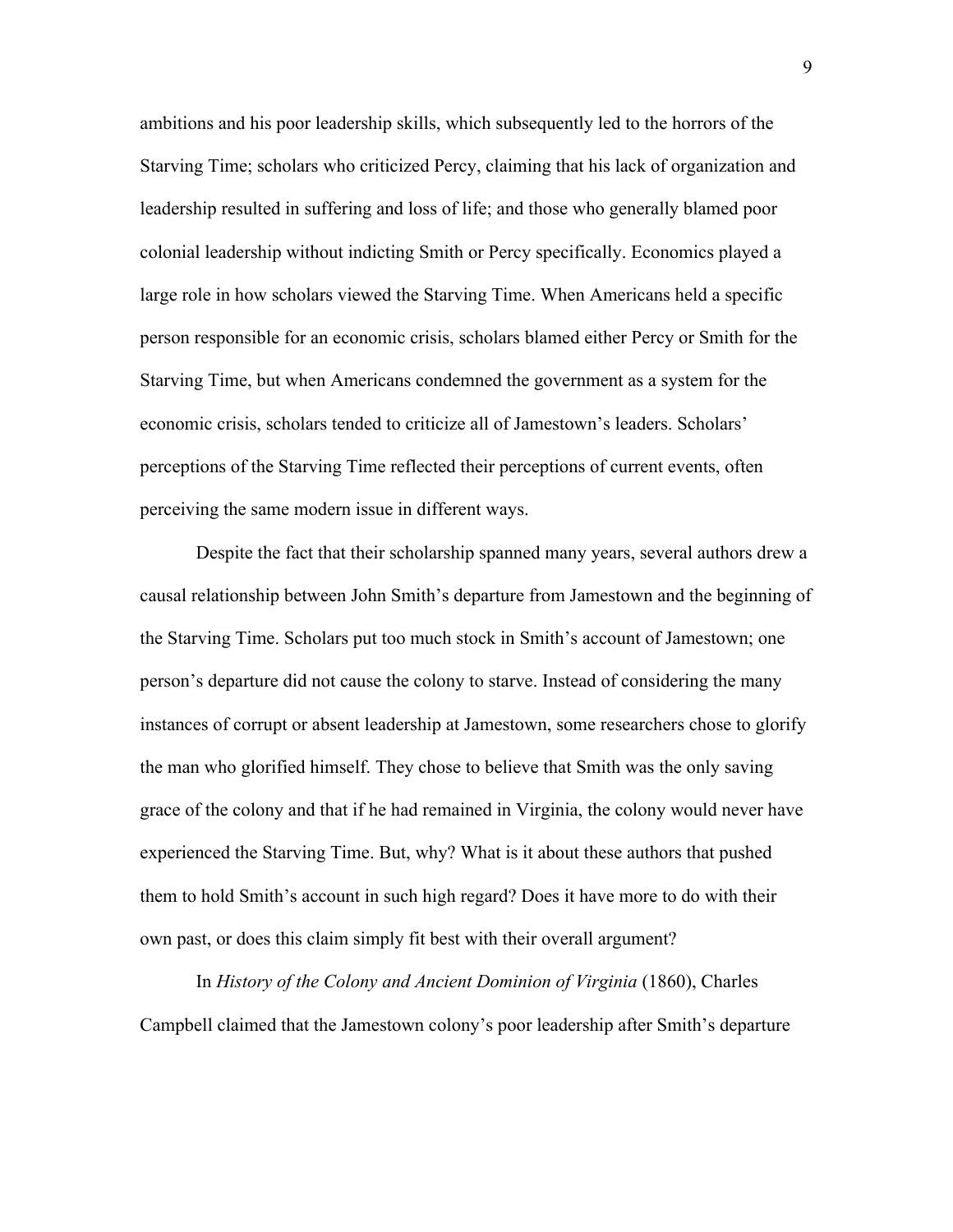ambitions and his poor leadership skills, which subsequently led to the horrors of the Starving Time; scholars who criticized Percy, claiming that his lack of organization and leadership resulted in suffering and loss of life; and those who generally blamed poor colonial leadership without indicting Smith or Percy specifically. Economics played a large role in how scholars viewed the Starving Time. When Americans held a specific person responsible for an economic crisis, scholars blamed either Percy or Smith for the Starving Time, but when Americans condemned the government as a system for the economic crisis, scholars tended to criticize all of Jamestown's leaders. Scholars' perceptions of the Starving Time reflected their perceptions of current events, often perceiving the same modern issue in different ways.

Despite the fact that their scholarship spanned many years, several authors drew a causal relationship between John Smith's departure from Jamestown and the beginning of the Starving Time. Scholars put too much stock in Smith's account of Jamestown; one person's departure did not cause the colony to starve. Instead of considering the many instances of corrupt or absent leadership at Jamestown, some researchers chose to glorify the man who glorified himself. They chose to believe that Smith was the only saving grace of the colony and that if he had remained in Virginia, the colony would never have experienced the Starving Time. But, why? What is it about these authors that pushed them to hold Smith's account in such high regard? Does it have more to do with their own past, or does this claim simply fit best with their overall argument?

In *History of the Colony and Ancient Dominion of Virginia* (1860), Charles Campbell claimed that the Jamestown colony's poor leadership after Smith's departure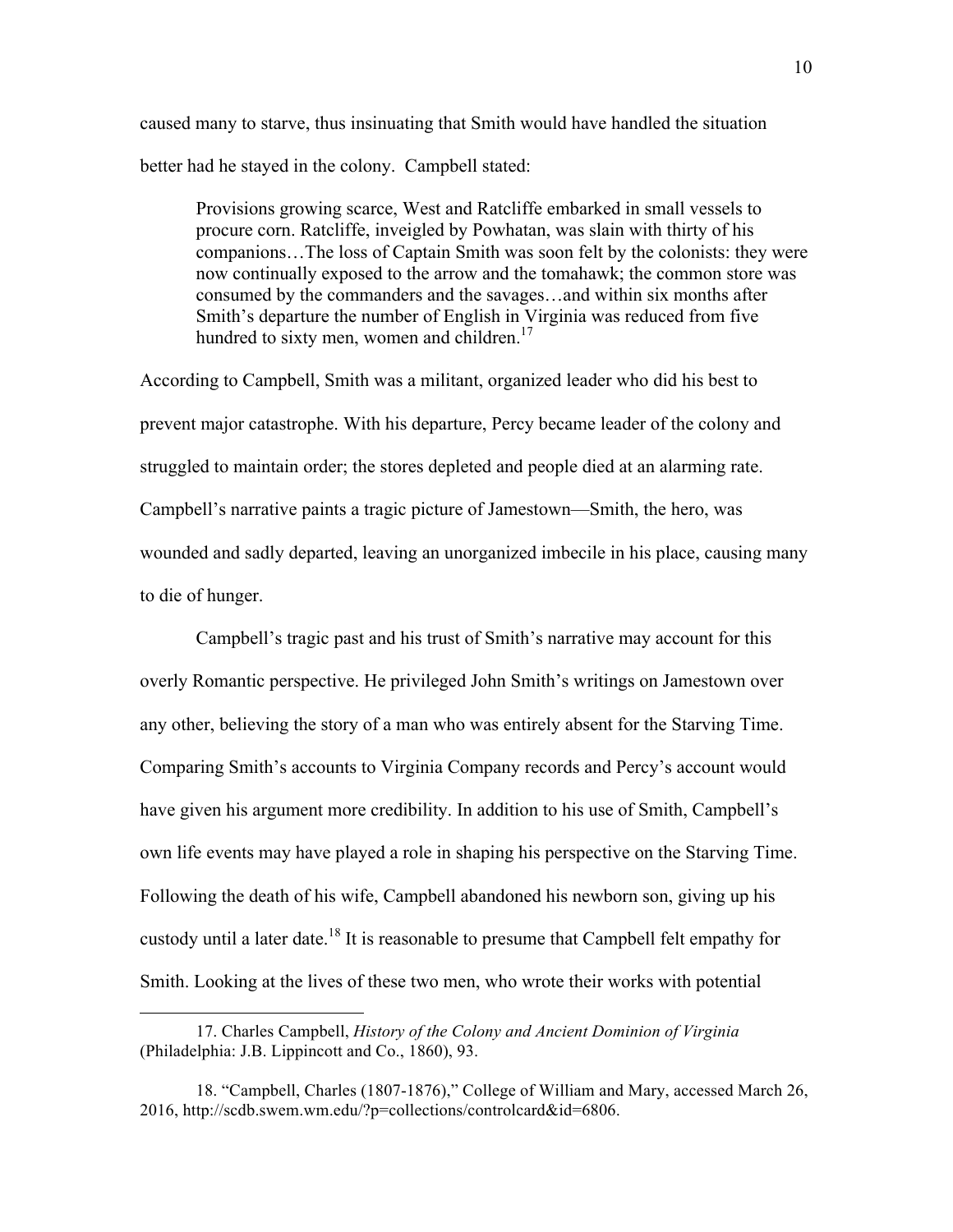caused many to starve, thus insinuating that Smith would have handled the situation better had he stayed in the colony. Campbell stated:

Provisions growing scarce, West and Ratcliffe embarked in small vessels to procure corn. Ratcliffe, inveigled by Powhatan, was slain with thirty of his companions…The loss of Captain Smith was soon felt by the colonists: they were now continually exposed to the arrow and the tomahawk; the common store was consumed by the commanders and the savages…and within six months after Smith's departure the number of English in Virginia was reduced from five hundred to sixty men, women and children. $17$ 

According to Campbell, Smith was a militant, organized leader who did his best to prevent major catastrophe. With his departure, Percy became leader of the colony and struggled to maintain order; the stores depleted and people died at an alarming rate. Campbell's narrative paints a tragic picture of Jamestown—Smith, the hero, was wounded and sadly departed, leaving an unorganized imbecile in his place, causing many to die of hunger.

Campbell's tragic past and his trust of Smith's narrative may account for this overly Romantic perspective. He privileged John Smith's writings on Jamestown over any other, believing the story of a man who was entirely absent for the Starving Time. Comparing Smith's accounts to Virginia Company records and Percy's account would have given his argument more credibility. In addition to his use of Smith, Campbell's own life events may have played a role in shaping his perspective on the Starving Time. Following the death of his wife, Campbell abandoned his newborn son, giving up his custody until a later date.<sup>18</sup> It is reasonable to presume that Campbell felt empathy for Smith. Looking at the lives of these two men, who wrote their works with potential

<sup>17.</sup> Charles Campbell, *History of the Colony and Ancient Dominion of Virginia*  (Philadelphia: J.B. Lippincott and Co., 1860), 93.

<sup>18. &</sup>quot;Campbell, Charles (1807-1876)," College of William and Mary, accessed March 26, 2016, http://scdb.swem.wm.edu/?p=collections/controlcard&id=6806.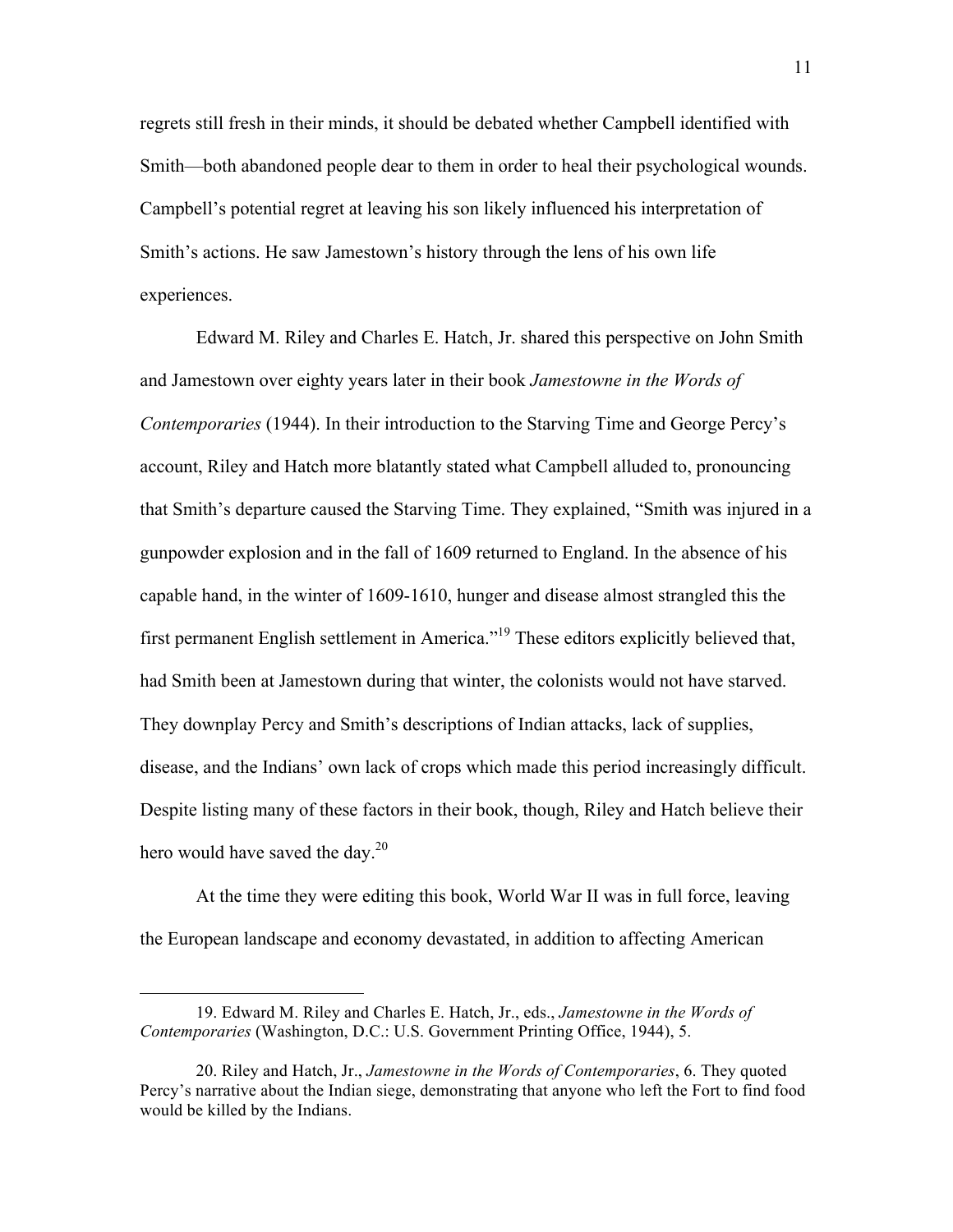regrets still fresh in their minds, it should be debated whether Campbell identified with Smith—both abandoned people dear to them in order to heal their psychological wounds. Campbell's potential regret at leaving his son likely influenced his interpretation of Smith's actions. He saw Jamestown's history through the lens of his own life experiences.

Edward M. Riley and Charles E. Hatch, Jr. shared this perspective on John Smith and Jamestown over eighty years later in their book *Jamestowne in the Words of Contemporaries* (1944). In their introduction to the Starving Time and George Percy's account, Riley and Hatch more blatantly stated what Campbell alluded to, pronouncing that Smith's departure caused the Starving Time. They explained, "Smith was injured in a gunpowder explosion and in the fall of 1609 returned to England. In the absence of his capable hand, in the winter of 1609-1610, hunger and disease almost strangled this the first permanent English settlement in America."19 These editors explicitly believed that, had Smith been at Jamestown during that winter, the colonists would not have starved. They downplay Percy and Smith's descriptions of Indian attacks, lack of supplies, disease, and the Indians' own lack of crops which made this period increasingly difficult. Despite listing many of these factors in their book, though, Riley and Hatch believe their hero would have saved the day. $^{20}$ 

At the time they were editing this book, World War II was in full force, leaving the European landscape and economy devastated, in addition to affecting American

<sup>19.</sup> Edward M. Riley and Charles E. Hatch, Jr., eds., *Jamestowne in the Words of Contemporaries* (Washington, D.C.: U.S. Government Printing Office, 1944), 5.

<sup>20.</sup> Riley and Hatch, Jr., *Jamestowne in the Words of Contemporaries*, 6. They quoted Percy's narrative about the Indian siege, demonstrating that anyone who left the Fort to find food would be killed by the Indians.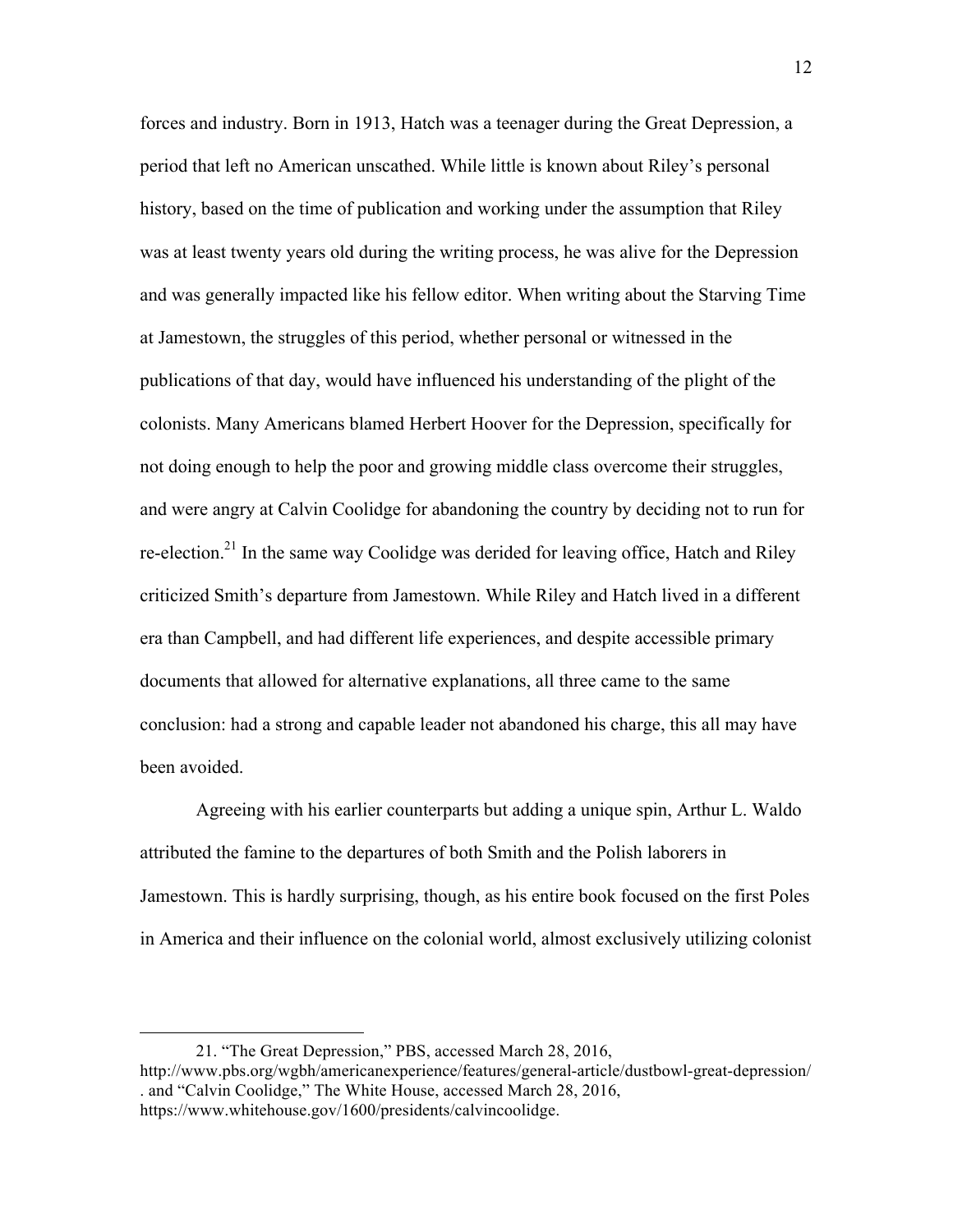forces and industry. Born in 1913, Hatch was a teenager during the Great Depression, a period that left no American unscathed. While little is known about Riley's personal history, based on the time of publication and working under the assumption that Riley was at least twenty years old during the writing process, he was alive for the Depression and was generally impacted like his fellow editor. When writing about the Starving Time at Jamestown, the struggles of this period, whether personal or witnessed in the publications of that day, would have influenced his understanding of the plight of the colonists. Many Americans blamed Herbert Hoover for the Depression, specifically for not doing enough to help the poor and growing middle class overcome their struggles, and were angry at Calvin Coolidge for abandoning the country by deciding not to run for re-election.<sup>21</sup> In the same way Coolidge was derided for leaving office, Hatch and Riley criticized Smith's departure from Jamestown. While Riley and Hatch lived in a different era than Campbell, and had different life experiences, and despite accessible primary documents that allowed for alternative explanations, all three came to the same conclusion: had a strong and capable leader not abandoned his charge, this all may have been avoided.

Agreeing with his earlier counterparts but adding a unique spin, Arthur L. Waldo attributed the famine to the departures of both Smith and the Polish laborers in Jamestown. This is hardly surprising, though, as his entire book focused on the first Poles in America and their influence on the colonial world, almost exclusively utilizing colonist

<sup>21. &</sup>quot;The Great Depression," PBS, accessed March 28, 2016, http://www.pbs.org/wgbh/americanexperience/features/general-article/dustbowl-great-depression/ . and "Calvin Coolidge," The White House, accessed March 28, 2016, https://www.whitehouse.gov/1600/presidents/calvincoolidge.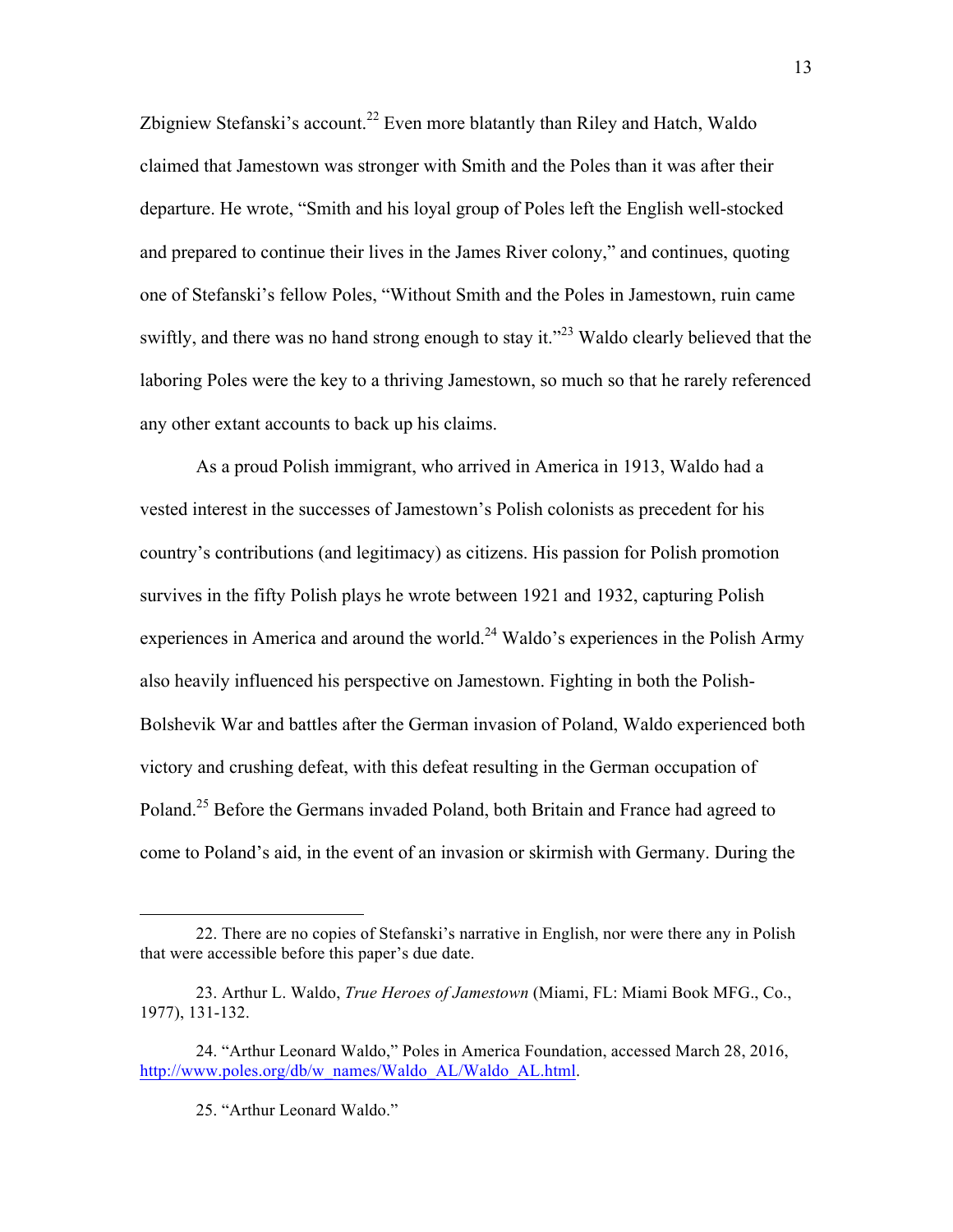Zbigniew Stefanski's account.<sup>22</sup> Even more blatantly than Riley and Hatch, Waldo claimed that Jamestown was stronger with Smith and the Poles than it was after their departure. He wrote, "Smith and his loyal group of Poles left the English well-stocked and prepared to continue their lives in the James River colony," and continues, quoting one of Stefanski's fellow Poles, "Without Smith and the Poles in Jamestown, ruin came swiftly, and there was no hand strong enough to stay it."<sup>23</sup> Waldo clearly believed that the laboring Poles were the key to a thriving Jamestown, so much so that he rarely referenced any other extant accounts to back up his claims.

As a proud Polish immigrant, who arrived in America in 1913, Waldo had a vested interest in the successes of Jamestown's Polish colonists as precedent for his country's contributions (and legitimacy) as citizens. His passion for Polish promotion survives in the fifty Polish plays he wrote between 1921 and 1932, capturing Polish experiences in America and around the world.<sup>24</sup> Waldo's experiences in the Polish Army also heavily influenced his perspective on Jamestown. Fighting in both the Polish-Bolshevik War and battles after the German invasion of Poland, Waldo experienced both victory and crushing defeat, with this defeat resulting in the German occupation of Poland.<sup>25</sup> Before the Germans invaded Poland, both Britain and France had agreed to come to Poland's aid, in the event of an invasion or skirmish with Germany. During the

<sup>22.</sup> There are no copies of Stefanski's narrative in English, nor were there any in Polish that were accessible before this paper's due date.

<sup>23.</sup> Arthur L. Waldo, *True Heroes of Jamestown* (Miami, FL: Miami Book MFG., Co., 1977), 131-132.

<sup>24. &</sup>quot;Arthur Leonard Waldo," Poles in America Foundation, accessed March 28, 2016, http://www.poles.org/db/w\_names/Waldo\_AL/Waldo\_AL.html.

<sup>25. &</sup>quot;Arthur Leonard Waldo."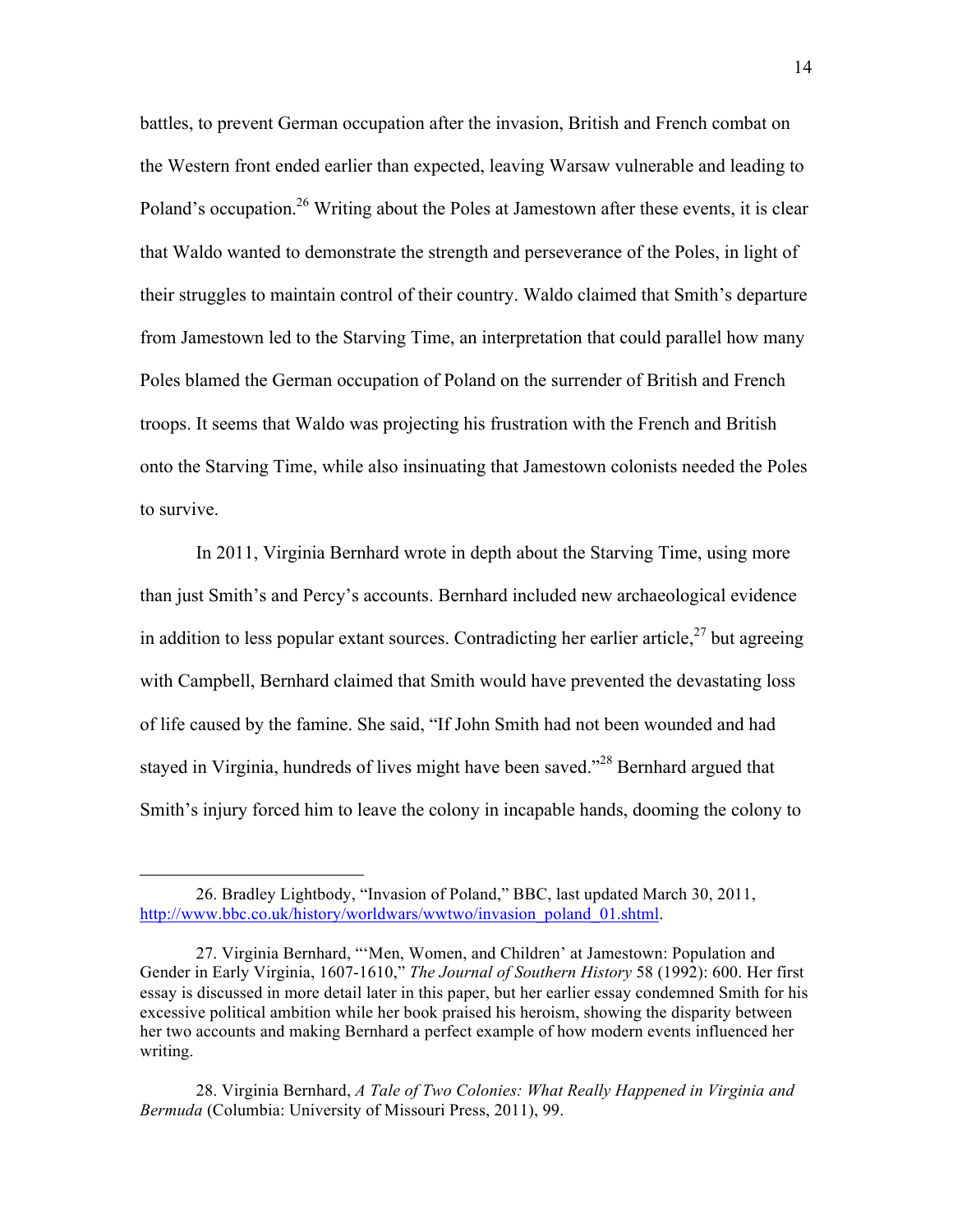battles, to prevent German occupation after the invasion, British and French combat on the Western front ended earlier than expected, leaving Warsaw vulnerable and leading to Poland's occupation.<sup>26</sup> Writing about the Poles at Jamestown after these events, it is clear that Waldo wanted to demonstrate the strength and perseverance of the Poles, in light of their struggles to maintain control of their country. Waldo claimed that Smith's departure from Jamestown led to the Starving Time, an interpretation that could parallel how many Poles blamed the German occupation of Poland on the surrender of British and French troops. It seems that Waldo was projecting his frustration with the French and British onto the Starving Time, while also insinuating that Jamestown colonists needed the Poles to survive.

In 2011, Virginia Bernhard wrote in depth about the Starving Time, using more than just Smith's and Percy's accounts. Bernhard included new archaeological evidence in addition to less popular extant sources. Contradicting her earlier article,  $27$  but agreeing with Campbell, Bernhard claimed that Smith would have prevented the devastating loss of life caused by the famine. She said, "If John Smith had not been wounded and had stayed in Virginia, hundreds of lives might have been saved."<sup>28</sup> Bernhard argued that Smith's injury forced him to leave the colony in incapable hands, dooming the colony to

<sup>26.</sup> Bradley Lightbody, "Invasion of Poland," BBC, last updated March 30, 2011, http://www.bbc.co.uk/history/worldwars/wwtwo/invasion\_poland\_01.shtml.

<sup>27.</sup> Virginia Bernhard, "'Men, Women, and Children' at Jamestown: Population and Gender in Early Virginia, 1607-1610," *The Journal of Southern History* 58 (1992): 600. Her first essay is discussed in more detail later in this paper, but her earlier essay condemned Smith for his excessive political ambition while her book praised his heroism, showing the disparity between her two accounts and making Bernhard a perfect example of how modern events influenced her writing.

<sup>28.</sup> Virginia Bernhard, *A Tale of Two Colonies: What Really Happened in Virginia and Bermuda* (Columbia: University of Missouri Press, 2011), 99.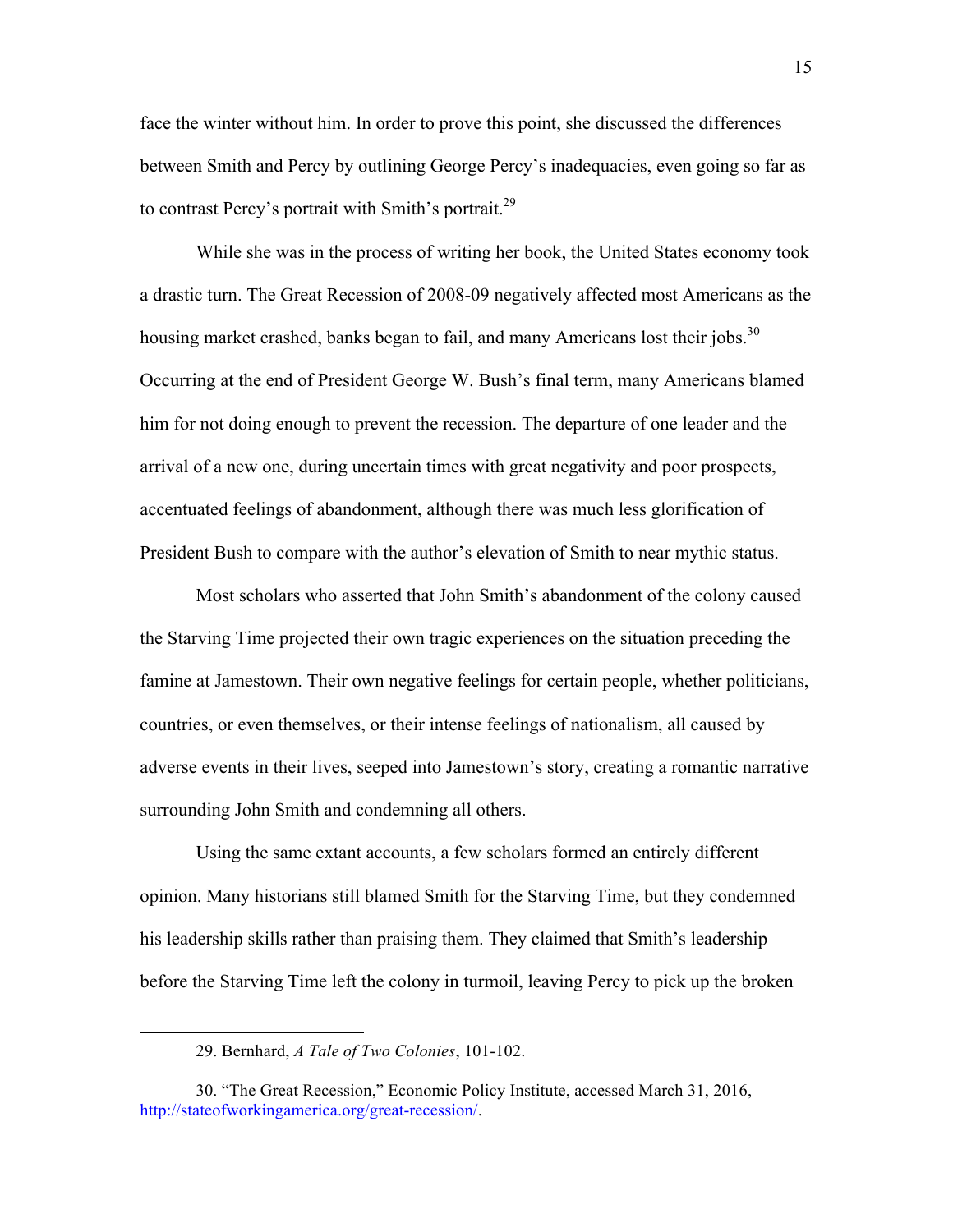face the winter without him. In order to prove this point, she discussed the differences between Smith and Percy by outlining George Percy's inadequacies, even going so far as to contrast Percy's portrait with Smith's portrait.<sup>29</sup>

While she was in the process of writing her book, the United States economy took a drastic turn. The Great Recession of 2008-09 negatively affected most Americans as the housing market crashed, banks began to fail, and many Americans lost their jobs.<sup>30</sup> Occurring at the end of President George W. Bush's final term, many Americans blamed him for not doing enough to prevent the recession. The departure of one leader and the arrival of a new one, during uncertain times with great negativity and poor prospects, accentuated feelings of abandonment, although there was much less glorification of President Bush to compare with the author's elevation of Smith to near mythic status.

Most scholars who asserted that John Smith's abandonment of the colony caused the Starving Time projected their own tragic experiences on the situation preceding the famine at Jamestown. Their own negative feelings for certain people, whether politicians, countries, or even themselves, or their intense feelings of nationalism, all caused by adverse events in their lives, seeped into Jamestown's story, creating a romantic narrative surrounding John Smith and condemning all others.

Using the same extant accounts, a few scholars formed an entirely different opinion. Many historians still blamed Smith for the Starving Time, but they condemned his leadership skills rather than praising them. They claimed that Smith's leadership before the Starving Time left the colony in turmoil, leaving Percy to pick up the broken

<sup>29.</sup> Bernhard, *A Tale of Two Colonies*, 101-102.

<sup>30. &</sup>quot;The Great Recession," Economic Policy Institute, accessed March 31, 2016, http://stateofworkingamerica.org/great-recession/.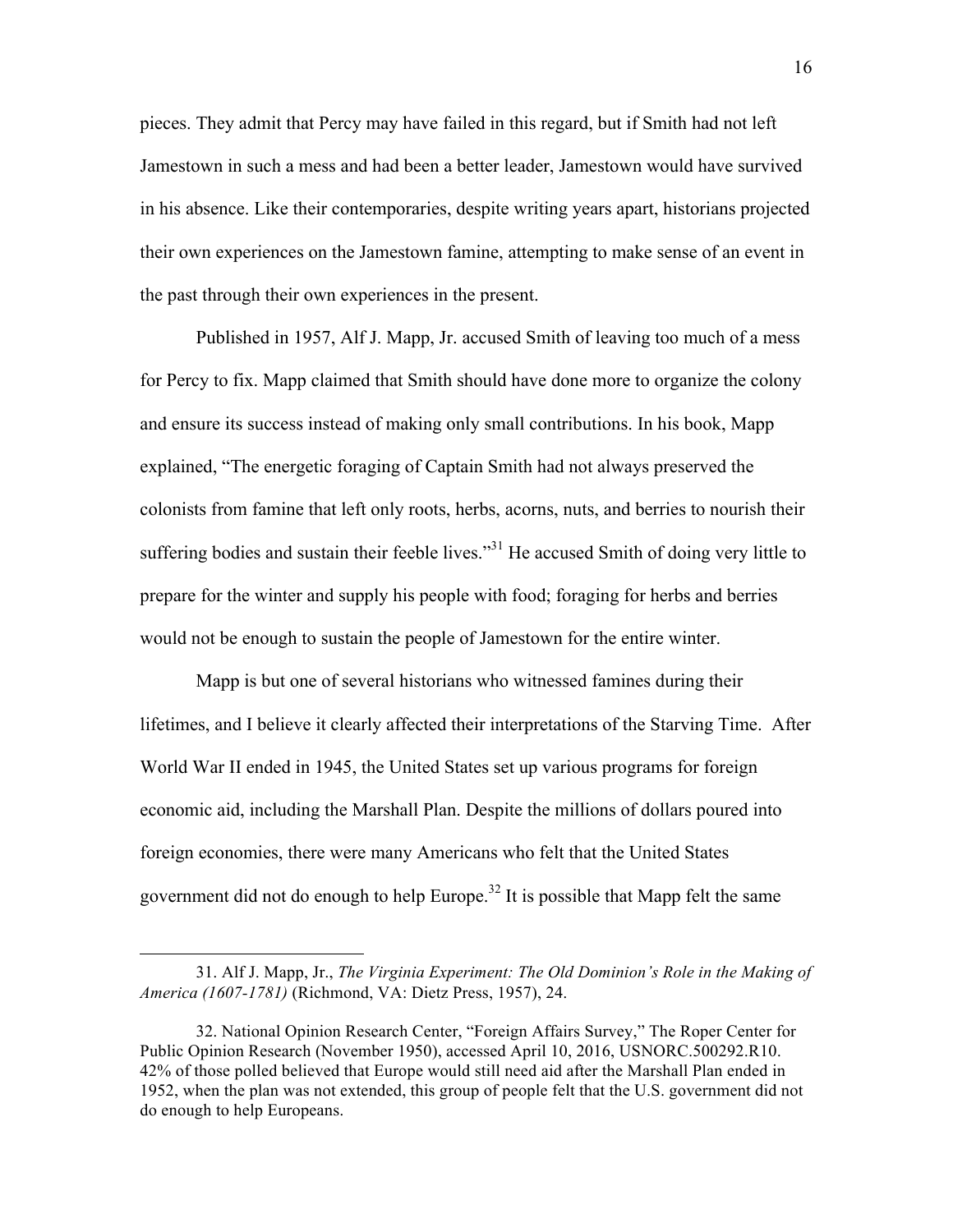pieces. They admit that Percy may have failed in this regard, but if Smith had not left Jamestown in such a mess and had been a better leader, Jamestown would have survived in his absence. Like their contemporaries, despite writing years apart, historians projected their own experiences on the Jamestown famine, attempting to make sense of an event in the past through their own experiences in the present.

Published in 1957, Alf J. Mapp, Jr. accused Smith of leaving too much of a mess for Percy to fix. Mapp claimed that Smith should have done more to organize the colony and ensure its success instead of making only small contributions. In his book, Mapp explained, "The energetic foraging of Captain Smith had not always preserved the colonists from famine that left only roots, herbs, acorns, nuts, and berries to nourish their suffering bodies and sustain their feeble lives."<sup>31</sup> He accused Smith of doing very little to prepare for the winter and supply his people with food; foraging for herbs and berries would not be enough to sustain the people of Jamestown for the entire winter.

Mapp is but one of several historians who witnessed famines during their lifetimes, and I believe it clearly affected their interpretations of the Starving Time. After World War II ended in 1945, the United States set up various programs for foreign economic aid, including the Marshall Plan. Despite the millions of dollars poured into foreign economies, there were many Americans who felt that the United States government did not do enough to help Europe.<sup>32</sup> It is possible that Mapp felt the same

<sup>31.</sup> Alf J. Mapp, Jr., *The Virginia Experiment: The Old Dominion's Role in the Making of America (1607-1781)* (Richmond, VA: Dietz Press, 1957), 24.

<sup>32.</sup> National Opinion Research Center, "Foreign Affairs Survey," The Roper Center for Public Opinion Research (November 1950), accessed April 10, 2016, USNORC.500292.R10. 42% of those polled believed that Europe would still need aid after the Marshall Plan ended in 1952, when the plan was not extended, this group of people felt that the U.S. government did not do enough to help Europeans.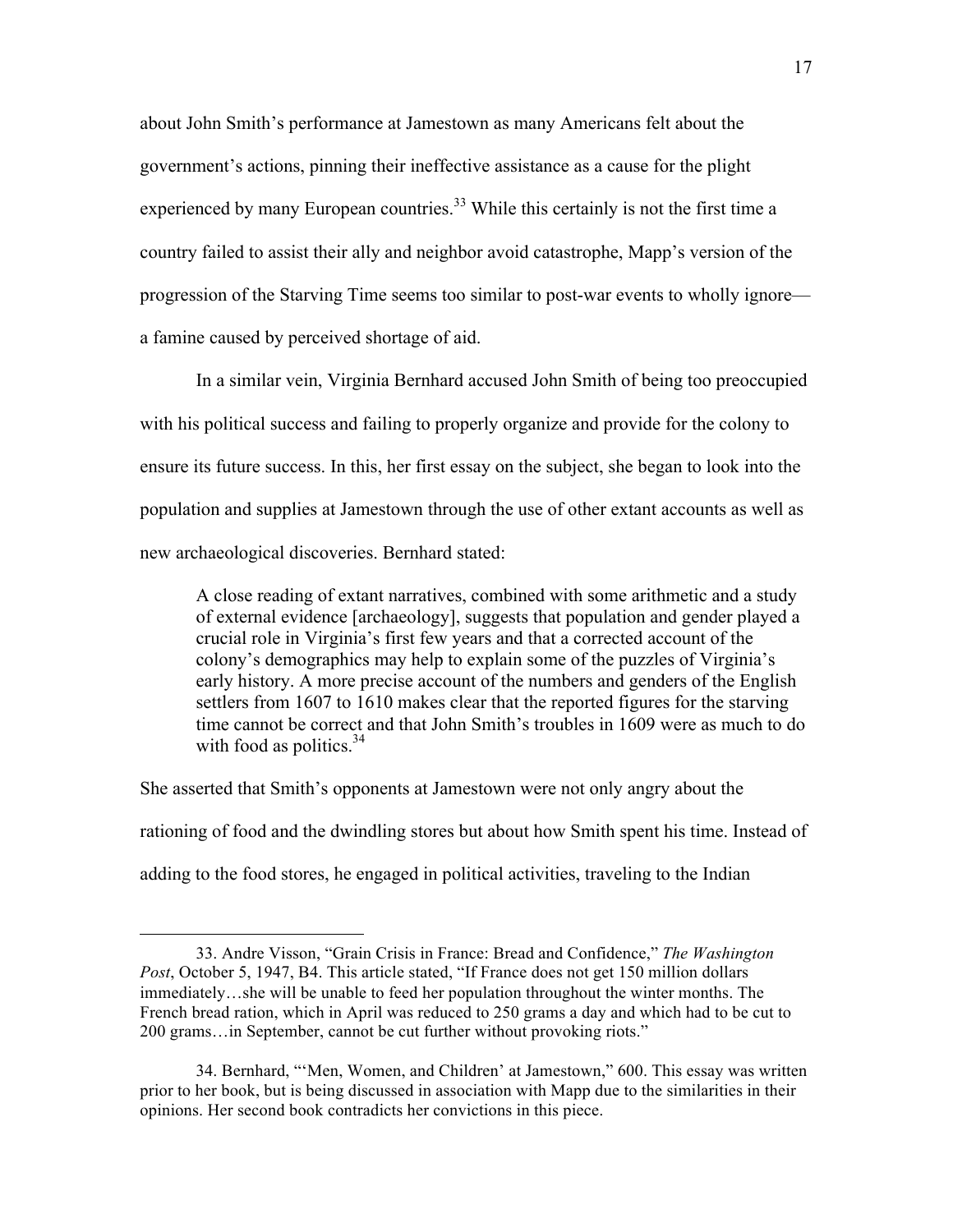about John Smith's performance at Jamestown as many Americans felt about the government's actions, pinning their ineffective assistance as a cause for the plight experienced by many European countries.<sup>33</sup> While this certainly is not the first time a country failed to assist their ally and neighbor avoid catastrophe, Mapp's version of the progression of the Starving Time seems too similar to post-war events to wholly ignore a famine caused by perceived shortage of aid.

In a similar vein, Virginia Bernhard accused John Smith of being too preoccupied with his political success and failing to properly organize and provide for the colony to ensure its future success. In this, her first essay on the subject, she began to look into the population and supplies at Jamestown through the use of other extant accounts as well as new archaeological discoveries. Bernhard stated:

A close reading of extant narratives, combined with some arithmetic and a study of external evidence [archaeology], suggests that population and gender played a crucial role in Virginia's first few years and that a corrected account of the colony's demographics may help to explain some of the puzzles of Virginia's early history. A more precise account of the numbers and genders of the English settlers from 1607 to 1610 makes clear that the reported figures for the starving time cannot be correct and that John Smith's troubles in 1609 were as much to do with food as politics. $34$ 

She asserted that Smith's opponents at Jamestown were not only angry about the rationing of food and the dwindling stores but about how Smith spent his time. Instead of adding to the food stores, he engaged in political activities, traveling to the Indian

<sup>33.</sup> Andre Visson, "Grain Crisis in France: Bread and Confidence," *The Washington Post*, October 5, 1947, B4. This article stated, "If France does not get 150 million dollars immediately…she will be unable to feed her population throughout the winter months. The French bread ration, which in April was reduced to 250 grams a day and which had to be cut to 200 grams…in September, cannot be cut further without provoking riots."

<sup>34.</sup> Bernhard, "'Men, Women, and Children' at Jamestown," 600. This essay was written prior to her book, but is being discussed in association with Mapp due to the similarities in their opinions. Her second book contradicts her convictions in this piece.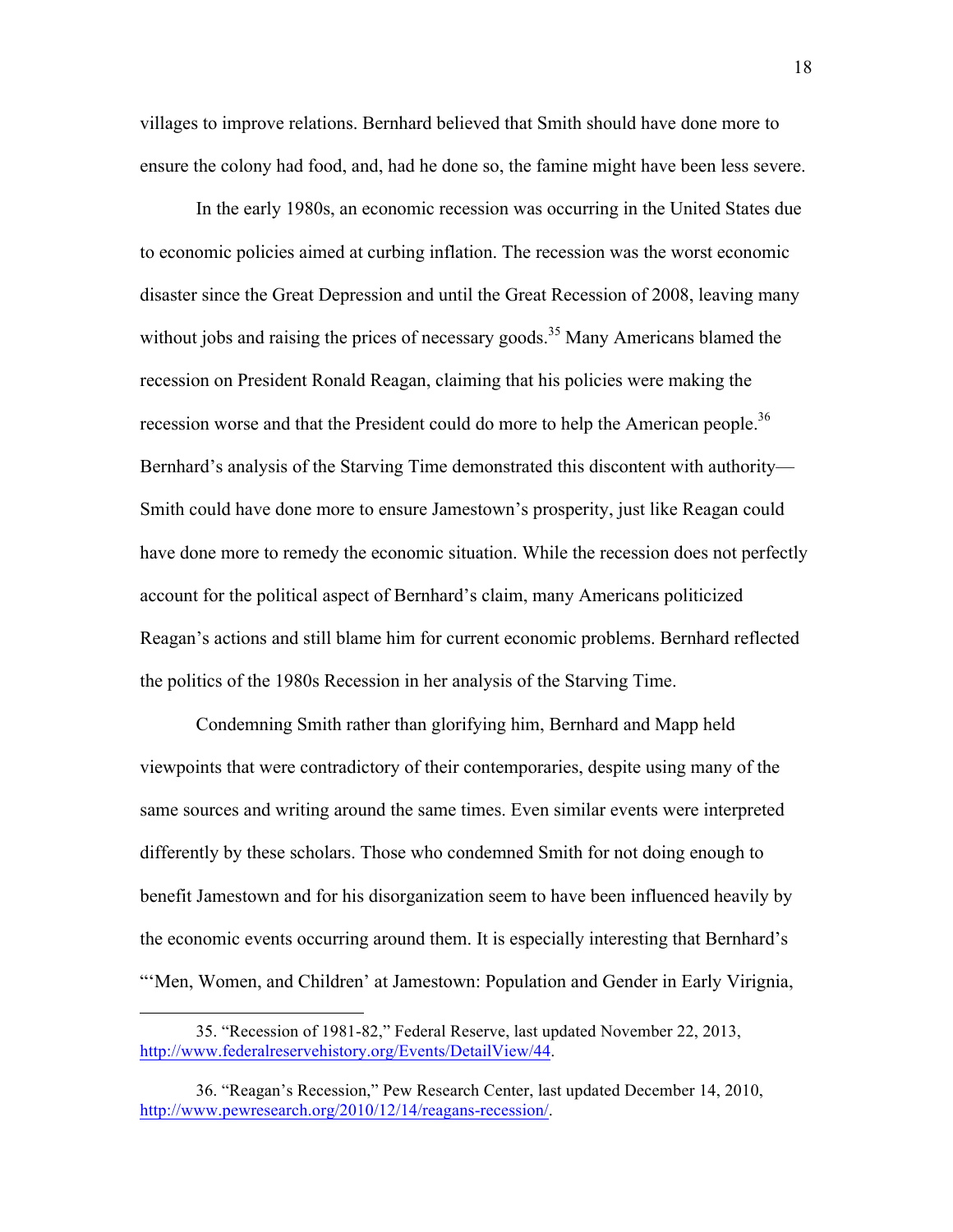villages to improve relations. Bernhard believed that Smith should have done more to ensure the colony had food, and, had he done so, the famine might have been less severe.

In the early 1980s, an economic recession was occurring in the United States due to economic policies aimed at curbing inflation. The recession was the worst economic disaster since the Great Depression and until the Great Recession of 2008, leaving many without jobs and raising the prices of necessary goods.<sup>35</sup> Many Americans blamed the recession on President Ronald Reagan, claiming that his policies were making the recession worse and that the President could do more to help the American people.<sup>36</sup> Bernhard's analysis of the Starving Time demonstrated this discontent with authority— Smith could have done more to ensure Jamestown's prosperity, just like Reagan could have done more to remedy the economic situation. While the recession does not perfectly account for the political aspect of Bernhard's claim, many Americans politicized Reagan's actions and still blame him for current economic problems. Bernhard reflected the politics of the 1980s Recession in her analysis of the Starving Time.

Condemning Smith rather than glorifying him, Bernhard and Mapp held viewpoints that were contradictory of their contemporaries, despite using many of the same sources and writing around the same times. Even similar events were interpreted differently by these scholars. Those who condemned Smith for not doing enough to benefit Jamestown and for his disorganization seem to have been influenced heavily by the economic events occurring around them. It is especially interesting that Bernhard's "Men, Women, and Children' at Jamestown: Population and Gender in Early Virignia,

<sup>35. &</sup>quot;Recession of 1981-82," Federal Reserve, last updated November 22, 2013, http://www.federalreservehistory.org/Events/DetailView/44.

<sup>36. &</sup>quot;Reagan's Recession," Pew Research Center, last updated December 14, 2010, http://www.pewresearch.org/2010/12/14/reagans-recession/.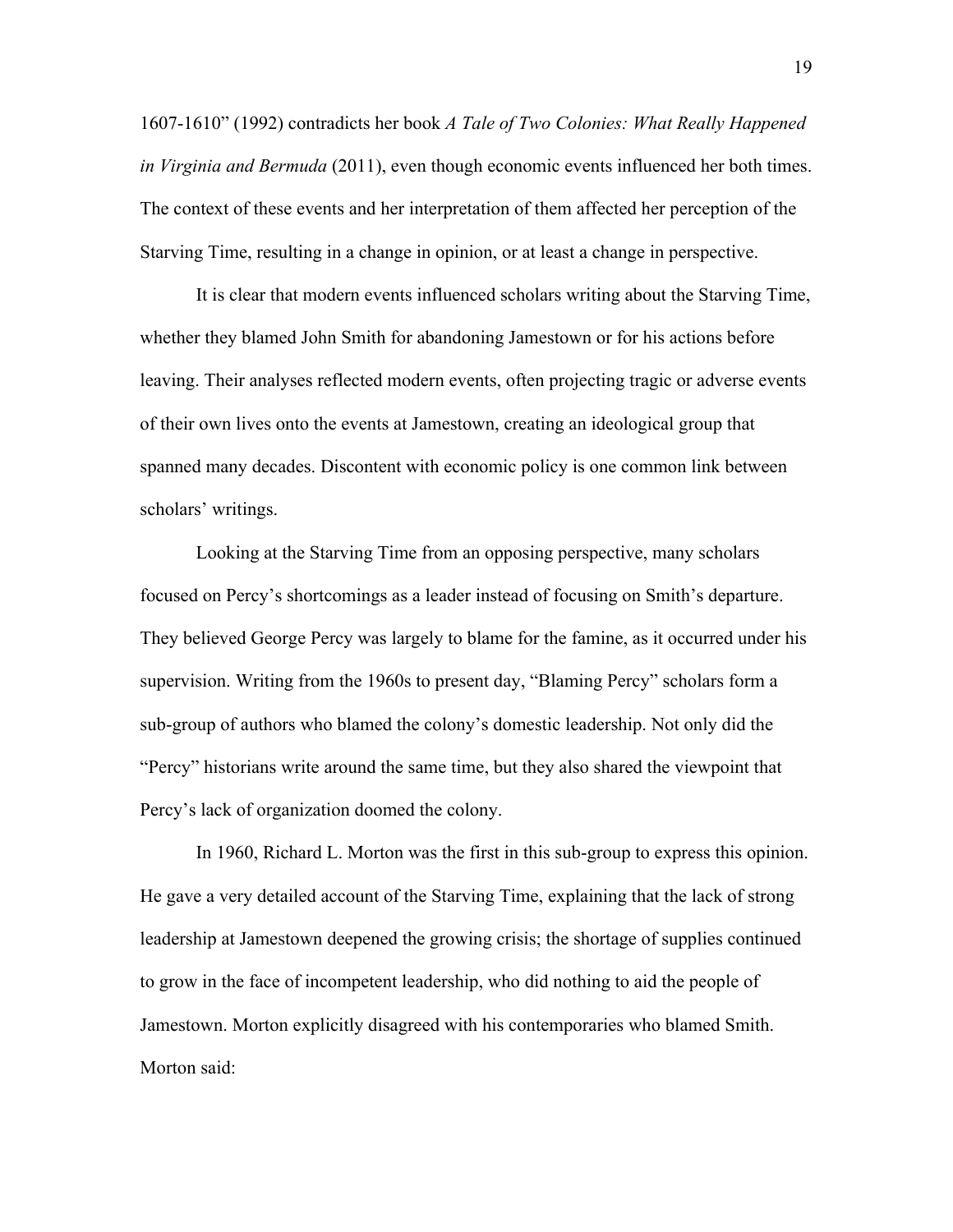1607-1610" (1992) contradicts her book *A Tale of Two Colonies: What Really Happened in Virginia and Bermuda* (2011), even though economic events influenced her both times. The context of these events and her interpretation of them affected her perception of the Starving Time, resulting in a change in opinion, or at least a change in perspective.

It is clear that modern events influenced scholars writing about the Starving Time, whether they blamed John Smith for abandoning Jamestown or for his actions before leaving. Their analyses reflected modern events, often projecting tragic or adverse events of their own lives onto the events at Jamestown, creating an ideological group that spanned many decades. Discontent with economic policy is one common link between scholars' writings.

Looking at the Starving Time from an opposing perspective, many scholars focused on Percy's shortcomings as a leader instead of focusing on Smith's departure. They believed George Percy was largely to blame for the famine, as it occurred under his supervision. Writing from the 1960s to present day, "Blaming Percy" scholars form a sub-group of authors who blamed the colony's domestic leadership. Not only did the "Percy" historians write around the same time, but they also shared the viewpoint that Percy's lack of organization doomed the colony.

In 1960, Richard L. Morton was the first in this sub-group to express this opinion. He gave a very detailed account of the Starving Time, explaining that the lack of strong leadership at Jamestown deepened the growing crisis; the shortage of supplies continued to grow in the face of incompetent leadership, who did nothing to aid the people of Jamestown. Morton explicitly disagreed with his contemporaries who blamed Smith. Morton said: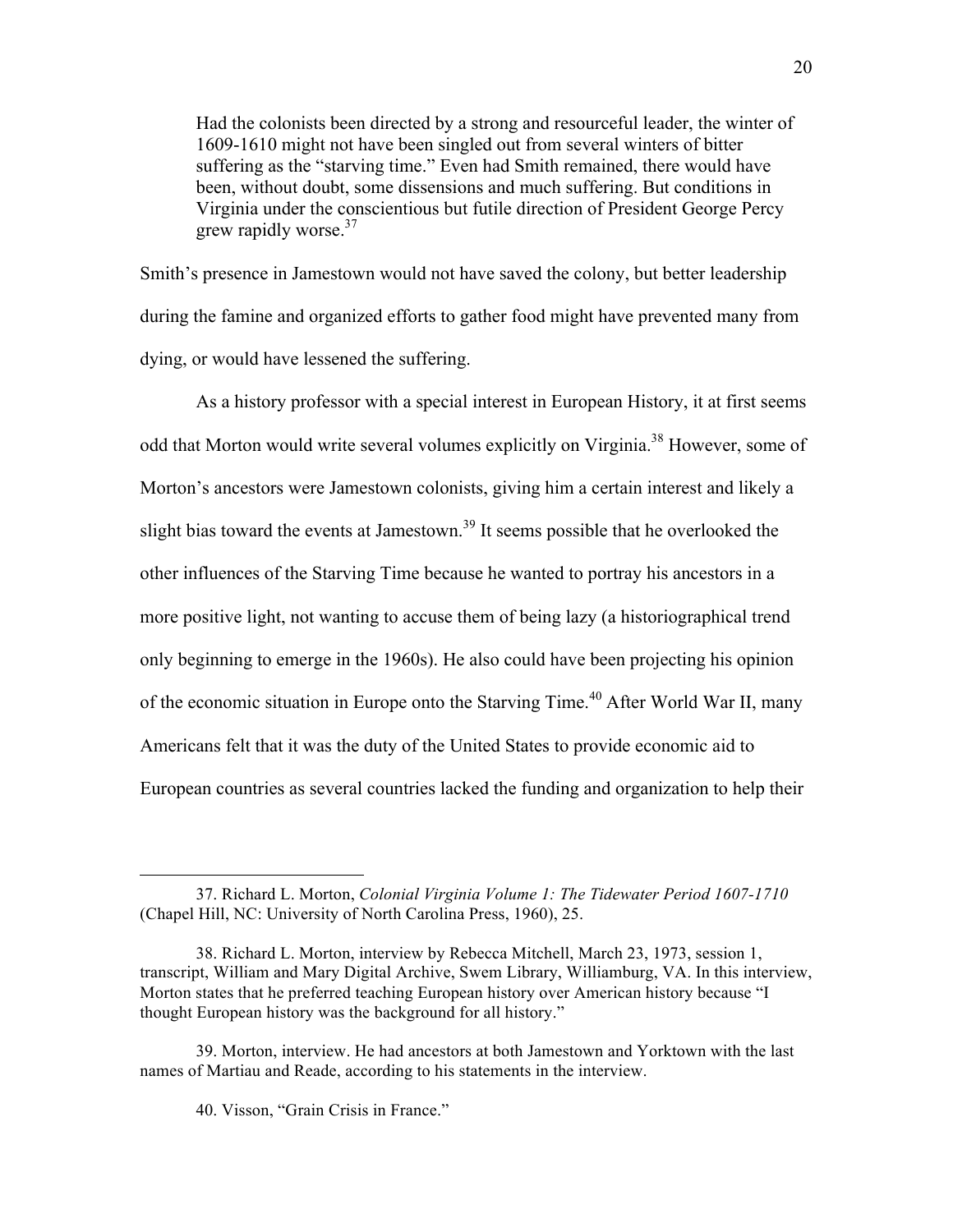Had the colonists been directed by a strong and resourceful leader, the winter of 1609-1610 might not have been singled out from several winters of bitter suffering as the "starving time." Even had Smith remained, there would have been, without doubt, some dissensions and much suffering. But conditions in Virginia under the conscientious but futile direction of President George Percy grew rapidly worse. $37$ 

Smith's presence in Jamestown would not have saved the colony, but better leadership during the famine and organized efforts to gather food might have prevented many from dying, or would have lessened the suffering.

As a history professor with a special interest in European History, it at first seems odd that Morton would write several volumes explicitly on Virginia.<sup>38</sup> However, some of Morton's ancestors were Jamestown colonists, giving him a certain interest and likely a slight bias toward the events at Jamestown.<sup>39</sup> It seems possible that he overlooked the other influences of the Starving Time because he wanted to portray his ancestors in a more positive light, not wanting to accuse them of being lazy (a historiographical trend only beginning to emerge in the 1960s). He also could have been projecting his opinion of the economic situation in Europe onto the Starving Time.<sup>40</sup> After World War II, many Americans felt that it was the duty of the United States to provide economic aid to European countries as several countries lacked the funding and organization to help their

<sup>37.</sup> Richard L. Morton, *Colonial Virginia Volume 1: The Tidewater Period 1607-1710* (Chapel Hill, NC: University of North Carolina Press, 1960), 25.

<sup>38.</sup> Richard L. Morton, interview by Rebecca Mitchell, March 23, 1973, session 1, transcript, William and Mary Digital Archive, Swem Library, Williamburg, VA. In this interview, Morton states that he preferred teaching European history over American history because "I thought European history was the background for all history."

<sup>39.</sup> Morton, interview. He had ancestors at both Jamestown and Yorktown with the last names of Martiau and Reade, according to his statements in the interview.

<sup>40.</sup> Visson, "Grain Crisis in France."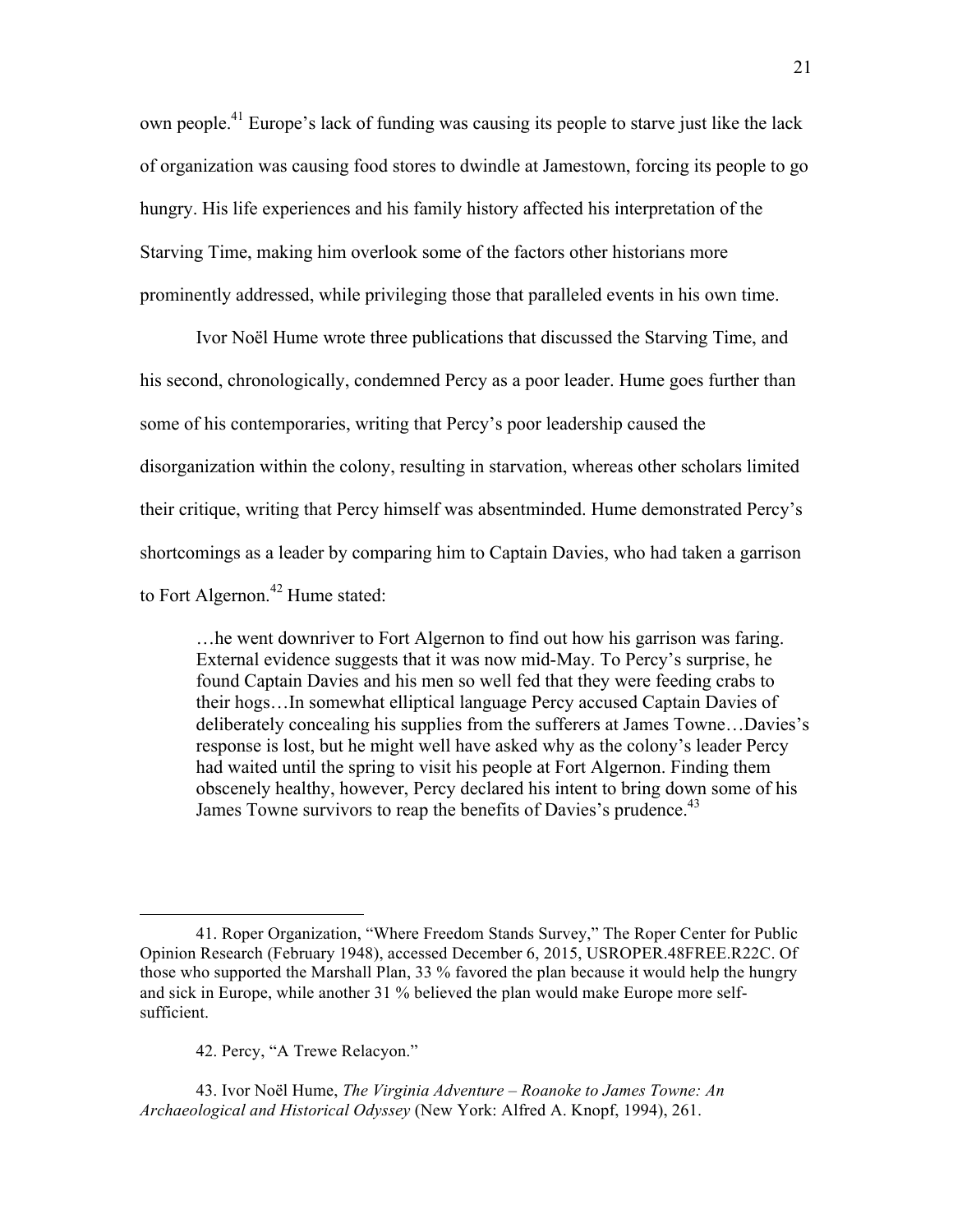own people.41 Europe's lack of funding was causing its people to starve just like the lack of organization was causing food stores to dwindle at Jamestown, forcing its people to go hungry. His life experiences and his family history affected his interpretation of the Starving Time, making him overlook some of the factors other historians more prominently addressed, while privileging those that paralleled events in his own time.

Ivor Noël Hume wrote three publications that discussed the Starving Time, and his second, chronologically, condemned Percy as a poor leader. Hume goes further than some of his contemporaries, writing that Percy's poor leadership caused the disorganization within the colony, resulting in starvation, whereas other scholars limited their critique, writing that Percy himself was absentminded. Hume demonstrated Percy's shortcomings as a leader by comparing him to Captain Davies, who had taken a garrison to Fort Algernon.<sup>42</sup> Hume stated:

…he went downriver to Fort Algernon to find out how his garrison was faring. External evidence suggests that it was now mid-May. To Percy's surprise, he found Captain Davies and his men so well fed that they were feeding crabs to their hogs…In somewhat elliptical language Percy accused Captain Davies of deliberately concealing his supplies from the sufferers at James Towne…Davies's response is lost, but he might well have asked why as the colony's leader Percy had waited until the spring to visit his people at Fort Algernon. Finding them obscenely healthy, however, Percy declared his intent to bring down some of his James Towne survivors to reap the benefits of Davies's prudence.<sup>43</sup>

42. Percy, "A Trewe Relacyon."

 $\overline{a}$ 

43. Ivor Noël Hume, *The Virginia Adventure – Roanoke to James Towne: An Archaeological and Historical Odyssey* (New York: Alfred A. Knopf, 1994), 261.

<sup>41.</sup> Roper Organization, "Where Freedom Stands Survey," The Roper Center for Public Opinion Research (February 1948), accessed December 6, 2015, USROPER.48FREE.R22C. Of those who supported the Marshall Plan, 33 % favored the plan because it would help the hungry and sick in Europe, while another 31 % believed the plan would make Europe more selfsufficient.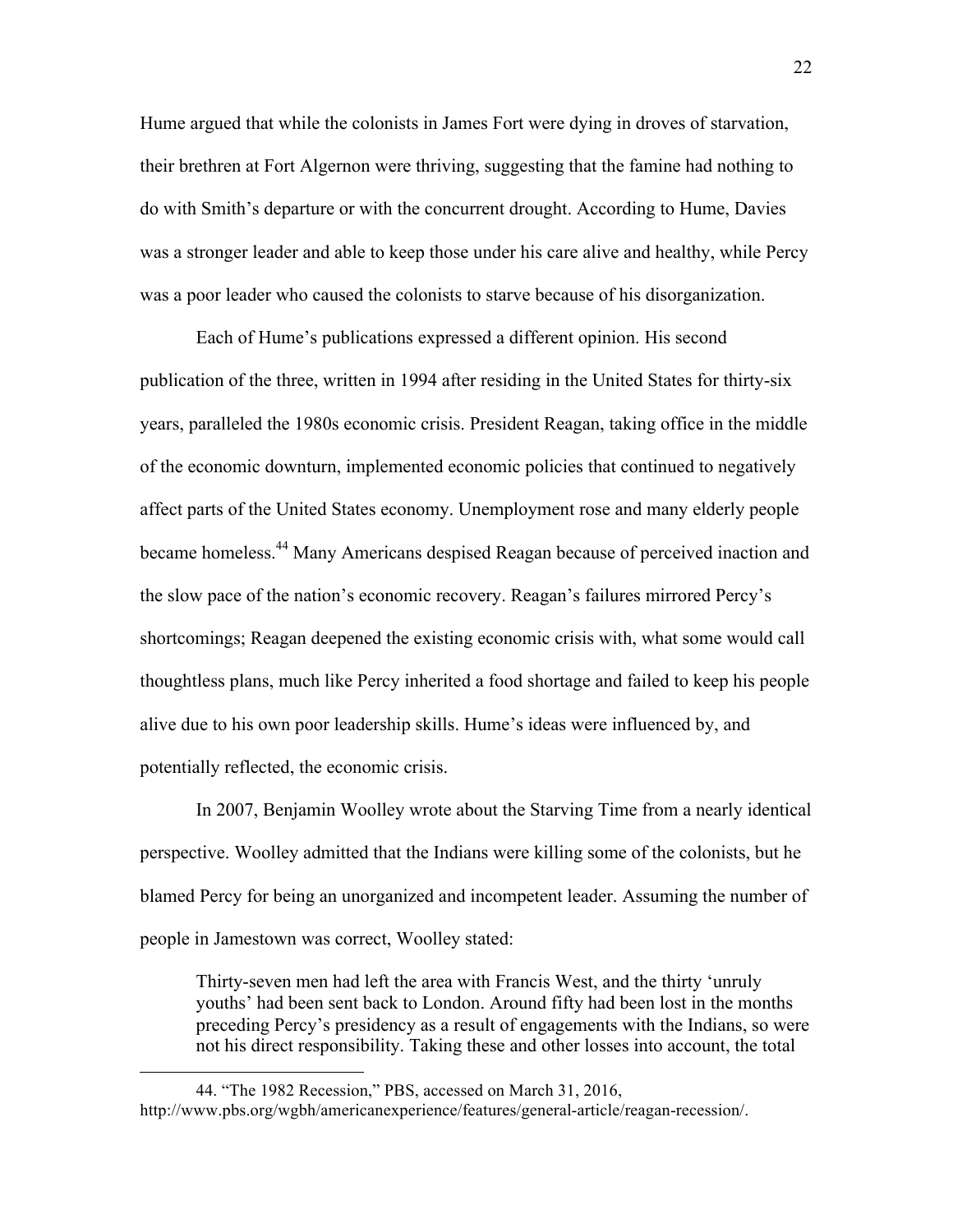Hume argued that while the colonists in James Fort were dying in droves of starvation, their brethren at Fort Algernon were thriving, suggesting that the famine had nothing to do with Smith's departure or with the concurrent drought. According to Hume, Davies was a stronger leader and able to keep those under his care alive and healthy, while Percy was a poor leader who caused the colonists to starve because of his disorganization.

Each of Hume's publications expressed a different opinion. His second publication of the three, written in 1994 after residing in the United States for thirty-six years, paralleled the 1980s economic crisis. President Reagan, taking office in the middle of the economic downturn, implemented economic policies that continued to negatively affect parts of the United States economy. Unemployment rose and many elderly people became homeless.<sup>44</sup> Many Americans despised Reagan because of perceived inaction and the slow pace of the nation's economic recovery. Reagan's failures mirrored Percy's shortcomings; Reagan deepened the existing economic crisis with, what some would call thoughtless plans, much like Percy inherited a food shortage and failed to keep his people alive due to his own poor leadership skills. Hume's ideas were influenced by, and potentially reflected, the economic crisis.

In 2007, Benjamin Woolley wrote about the Starving Time from a nearly identical perspective. Woolley admitted that the Indians were killing some of the colonists, but he blamed Percy for being an unorganized and incompetent leader. Assuming the number of people in Jamestown was correct, Woolley stated:

Thirty-seven men had left the area with Francis West, and the thirty 'unruly youths' had been sent back to London. Around fifty had been lost in the months preceding Percy's presidency as a result of engagements with the Indians, so were not his direct responsibility. Taking these and other losses into account, the total

<sup>44. &</sup>quot;The 1982 Recession," PBS, accessed on March 31, 2016, http://www.pbs.org/wgbh/americanexperience/features/general-article/reagan-recession/.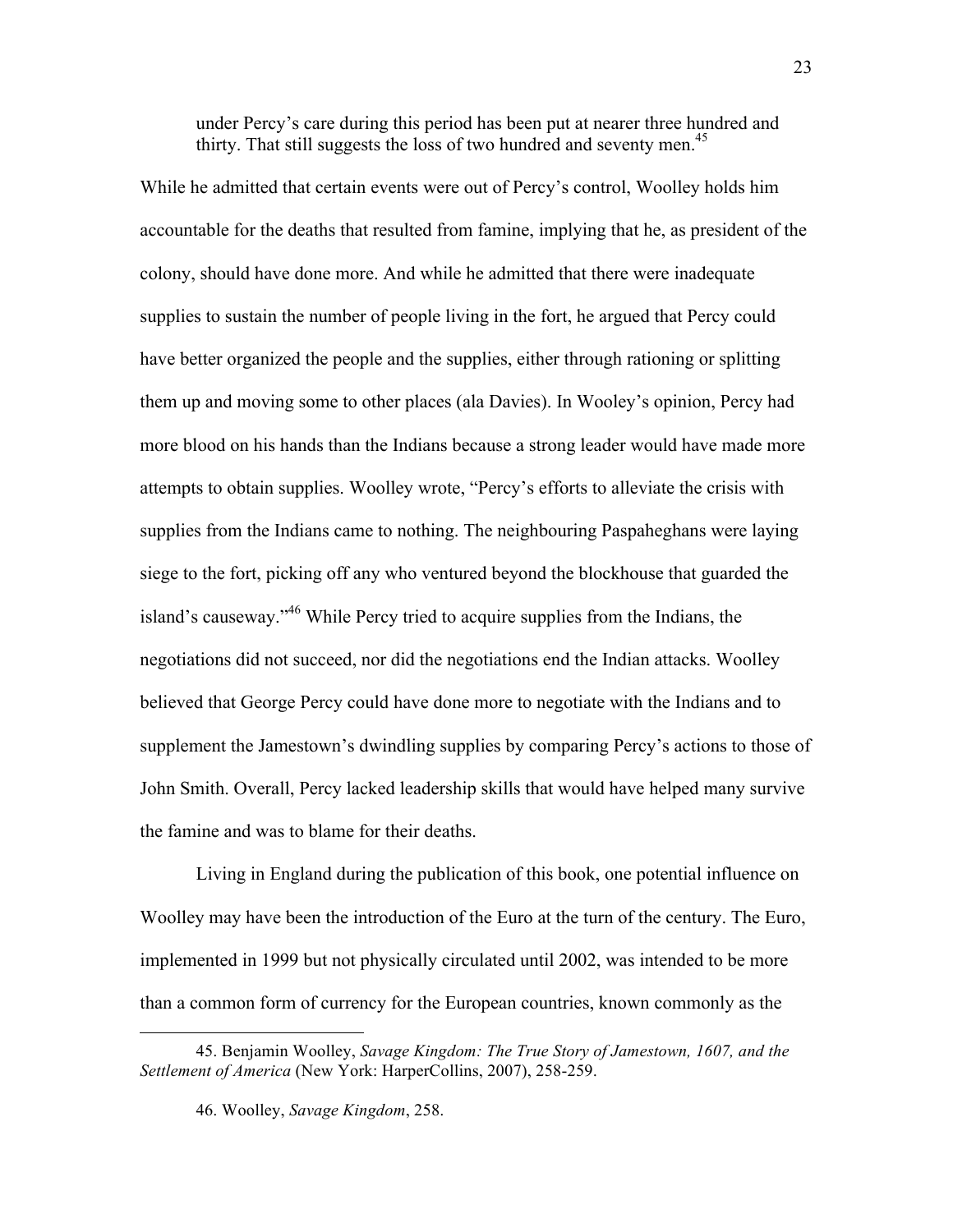under Percy's care during this period has been put at nearer three hundred and thirty. That still suggests the loss of two hundred and seventy men.<sup>45</sup>

While he admitted that certain events were out of Percy's control, Woolley holds him accountable for the deaths that resulted from famine, implying that he, as president of the colony, should have done more. And while he admitted that there were inadequate supplies to sustain the number of people living in the fort, he argued that Percy could have better organized the people and the supplies, either through rationing or splitting them up and moving some to other places (ala Davies). In Wooley's opinion, Percy had more blood on his hands than the Indians because a strong leader would have made more attempts to obtain supplies. Woolley wrote, "Percy's efforts to alleviate the crisis with supplies from the Indians came to nothing. The neighbouring Paspaheghans were laying siege to the fort, picking off any who ventured beyond the blockhouse that guarded the island's causeway."46 While Percy tried to acquire supplies from the Indians, the negotiations did not succeed, nor did the negotiations end the Indian attacks. Woolley believed that George Percy could have done more to negotiate with the Indians and to supplement the Jamestown's dwindling supplies by comparing Percy's actions to those of John Smith. Overall, Percy lacked leadership skills that would have helped many survive the famine and was to blame for their deaths.

Living in England during the publication of this book, one potential influence on Woolley may have been the introduction of the Euro at the turn of the century. The Euro, implemented in 1999 but not physically circulated until 2002, was intended to be more than a common form of currency for the European countries, known commonly as the

<sup>45.</sup> Benjamin Woolley, *Savage Kingdom: The True Story of Jamestown, 1607, and the Settlement of America* (New York: HarperCollins, 2007), 258-259.

<sup>46.</sup> Woolley, *Savage Kingdom*, 258.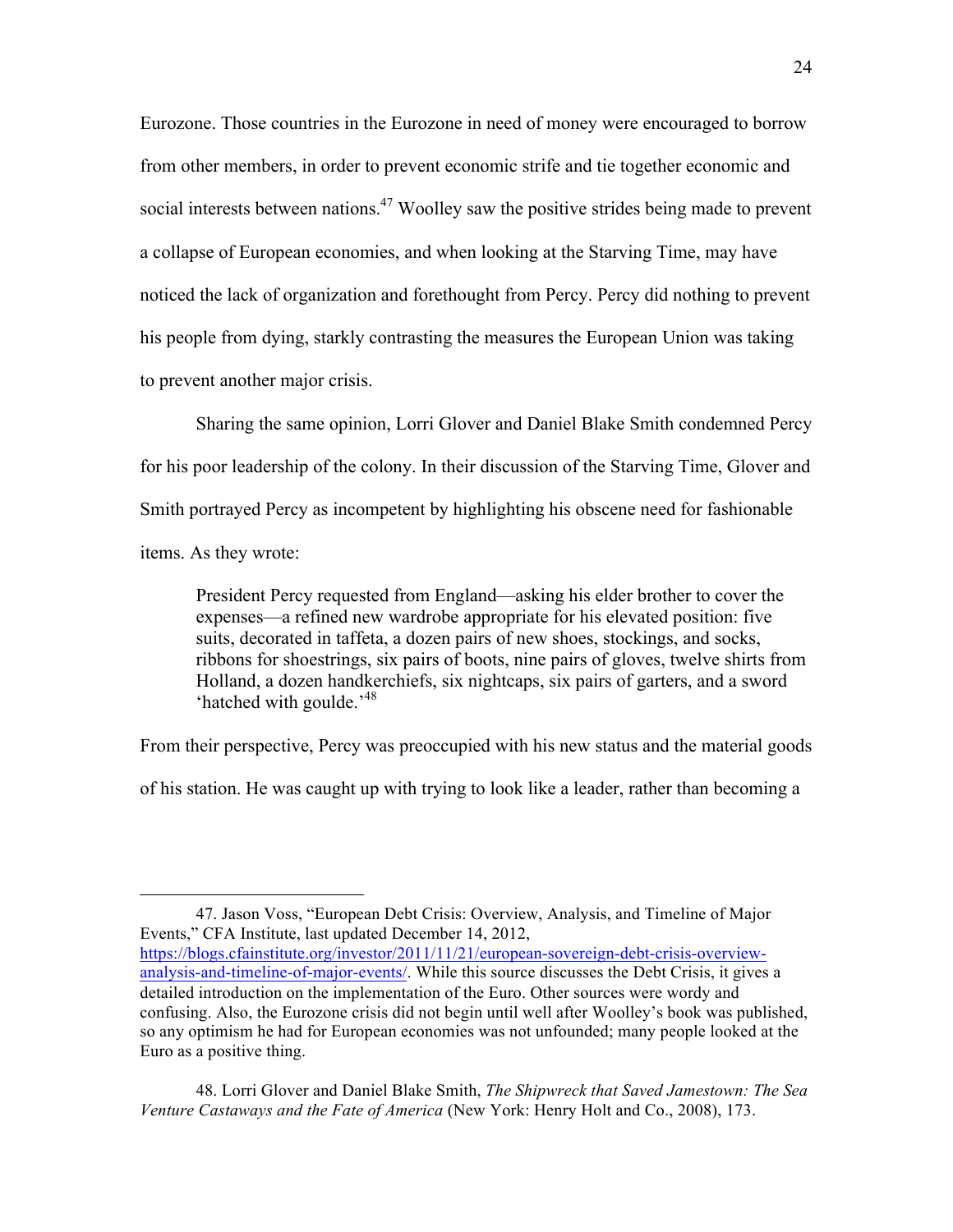Eurozone. Those countries in the Eurozone in need of money were encouraged to borrow from other members, in order to prevent economic strife and tie together economic and social interests between nations.<sup>47</sup> Woolley saw the positive strides being made to prevent a collapse of European economies, and when looking at the Starving Time, may have noticed the lack of organization and forethought from Percy. Percy did nothing to prevent his people from dying, starkly contrasting the measures the European Union was taking to prevent another major crisis.

Sharing the same opinion, Lorri Glover and Daniel Blake Smith condemned Percy for his poor leadership of the colony. In their discussion of the Starving Time, Glover and Smith portrayed Percy as incompetent by highlighting his obscene need for fashionable items. As they wrote:

President Percy requested from England—asking his elder brother to cover the expenses—a refined new wardrobe appropriate for his elevated position: five suits, decorated in taffeta, a dozen pairs of new shoes, stockings, and socks, ribbons for shoestrings, six pairs of boots, nine pairs of gloves, twelve shirts from Holland, a dozen handkerchiefs, six nightcaps, six pairs of garters, and a sword 'hatched with goulde.'48

From their perspective, Percy was preoccupied with his new status and the material goods

of his station. He was caught up with trying to look like a leader, rather than becoming a

<sup>47.</sup> Jason Voss, "European Debt Crisis: Overview, Analysis, and Timeline of Major Events," CFA Institute, last updated December 14, 2012,

https://blogs.cfainstitute.org/investor/2011/11/21/european-sovereign-debt-crisis-overviewanalysis-and-timeline-of-major-events/. While this source discusses the Debt Crisis, it gives a detailed introduction on the implementation of the Euro. Other sources were wordy and confusing. Also, the Eurozone crisis did not begin until well after Woolley's book was published, so any optimism he had for European economies was not unfounded; many people looked at the Euro as a positive thing.

<sup>48.</sup> Lorri Glover and Daniel Blake Smith, *The Shipwreck that Saved Jamestown: The Sea Venture Castaways and the Fate of America* (New York: Henry Holt and Co., 2008), 173.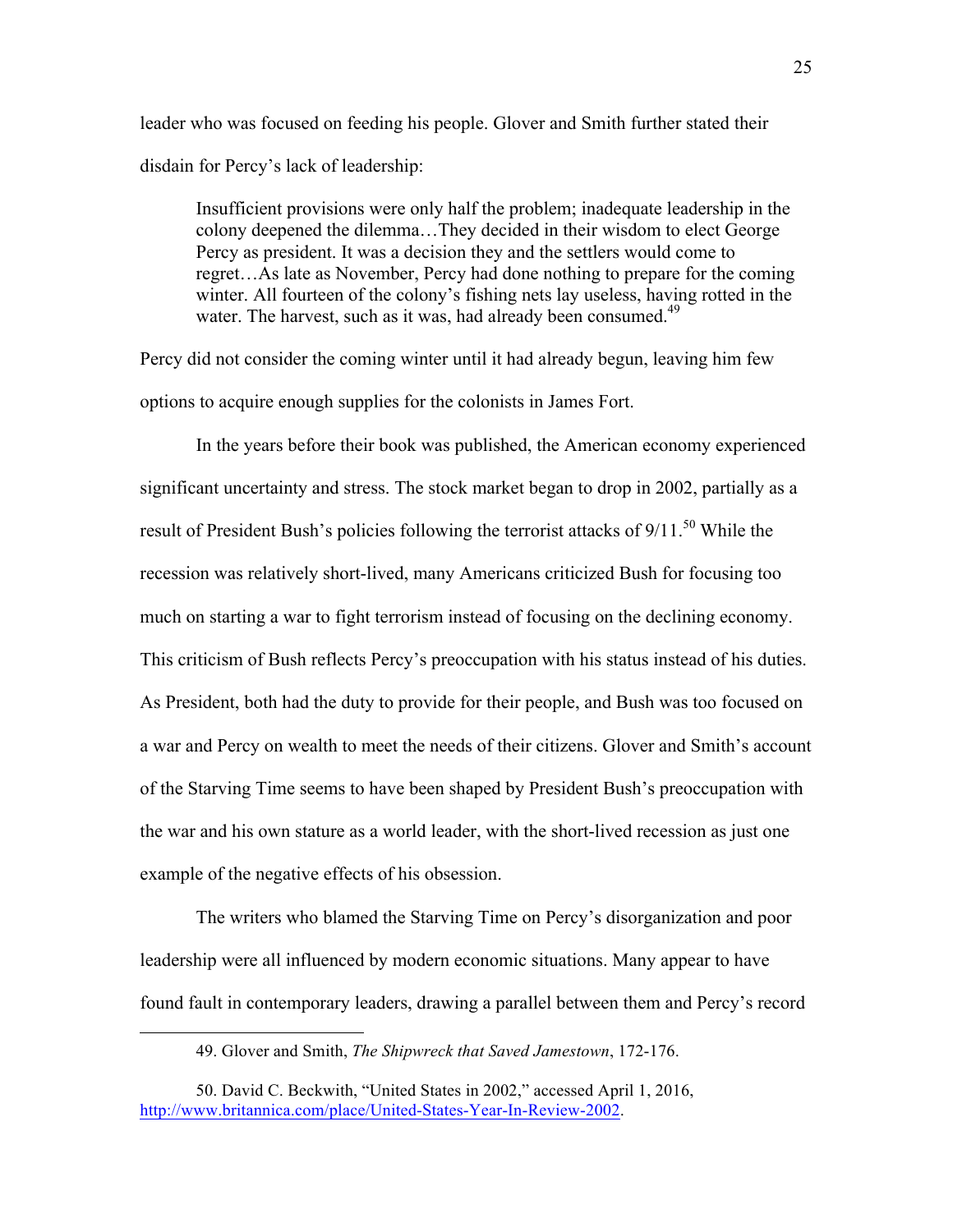leader who was focused on feeding his people. Glover and Smith further stated their disdain for Percy's lack of leadership:

Insufficient provisions were only half the problem; inadequate leadership in the colony deepened the dilemma…They decided in their wisdom to elect George Percy as president. It was a decision they and the settlers would come to regret…As late as November, Percy had done nothing to prepare for the coming winter. All fourteen of the colony's fishing nets lay useless, having rotted in the water. The harvest, such as it was, had already been consumed.<sup>49</sup>

Percy did not consider the coming winter until it had already begun, leaving him few options to acquire enough supplies for the colonists in James Fort.

In the years before their book was published, the American economy experienced significant uncertainty and stress. The stock market began to drop in 2002, partially as a result of President Bush's policies following the terrorist attacks of  $9/11$ .<sup>50</sup> While the recession was relatively short-lived, many Americans criticized Bush for focusing too much on starting a war to fight terrorism instead of focusing on the declining economy. This criticism of Bush reflects Percy's preoccupation with his status instead of his duties. As President, both had the duty to provide for their people, and Bush was too focused on a war and Percy on wealth to meet the needs of their citizens. Glover and Smith's account of the Starving Time seems to have been shaped by President Bush's preoccupation with the war and his own stature as a world leader, with the short-lived recession as just one example of the negative effects of his obsession.

The writers who blamed the Starving Time on Percy's disorganization and poor leadership were all influenced by modern economic situations. Many appear to have found fault in contemporary leaders, drawing a parallel between them and Percy's record

<sup>49.</sup> Glover and Smith, *The Shipwreck that Saved Jamestown*, 172-176.

<sup>50.</sup> David C. Beckwith, "United States in 2002," accessed April 1, 2016, http://www.britannica.com/place/United-States-Year-In-Review-2002.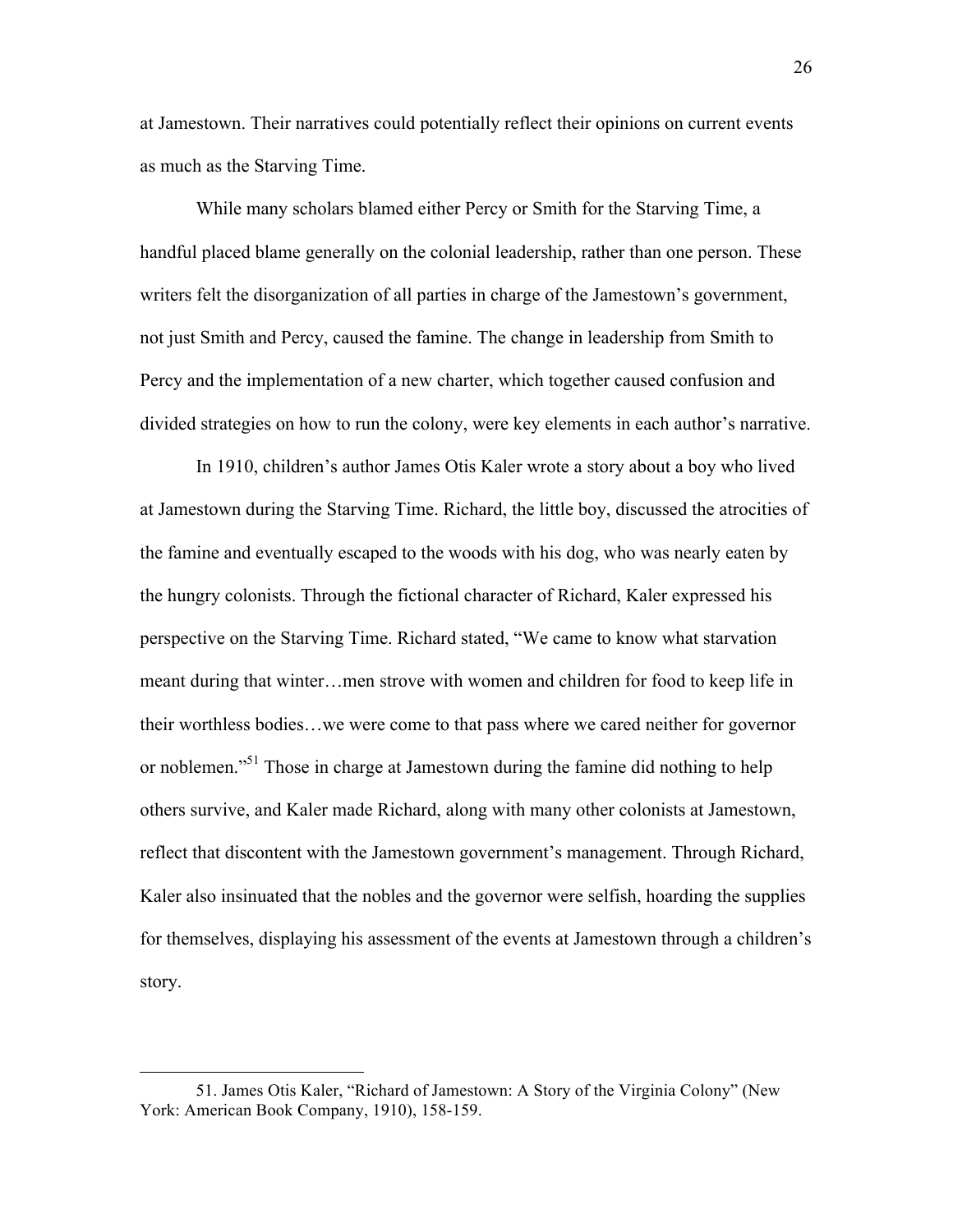at Jamestown. Their narratives could potentially reflect their opinions on current events as much as the Starving Time.

While many scholars blamed either Percy or Smith for the Starving Time, a handful placed blame generally on the colonial leadership, rather than one person. These writers felt the disorganization of all parties in charge of the Jamestown's government, not just Smith and Percy, caused the famine. The change in leadership from Smith to Percy and the implementation of a new charter, which together caused confusion and divided strategies on how to run the colony, were key elements in each author's narrative.

In 1910, children's author James Otis Kaler wrote a story about a boy who lived at Jamestown during the Starving Time. Richard, the little boy, discussed the atrocities of the famine and eventually escaped to the woods with his dog, who was nearly eaten by the hungry colonists. Through the fictional character of Richard, Kaler expressed his perspective on the Starving Time. Richard stated, "We came to know what starvation meant during that winter…men strove with women and children for food to keep life in their worthless bodies…we were come to that pass where we cared neither for governor or noblemen."<sup>51</sup> Those in charge at Jamestown during the famine did nothing to help others survive, and Kaler made Richard, along with many other colonists at Jamestown, reflect that discontent with the Jamestown government's management. Through Richard, Kaler also insinuated that the nobles and the governor were selfish, hoarding the supplies for themselves, displaying his assessment of the events at Jamestown through a children's story.

<sup>51.</sup> James Otis Kaler, "Richard of Jamestown: A Story of the Virginia Colony" (New York: American Book Company, 1910), 158-159.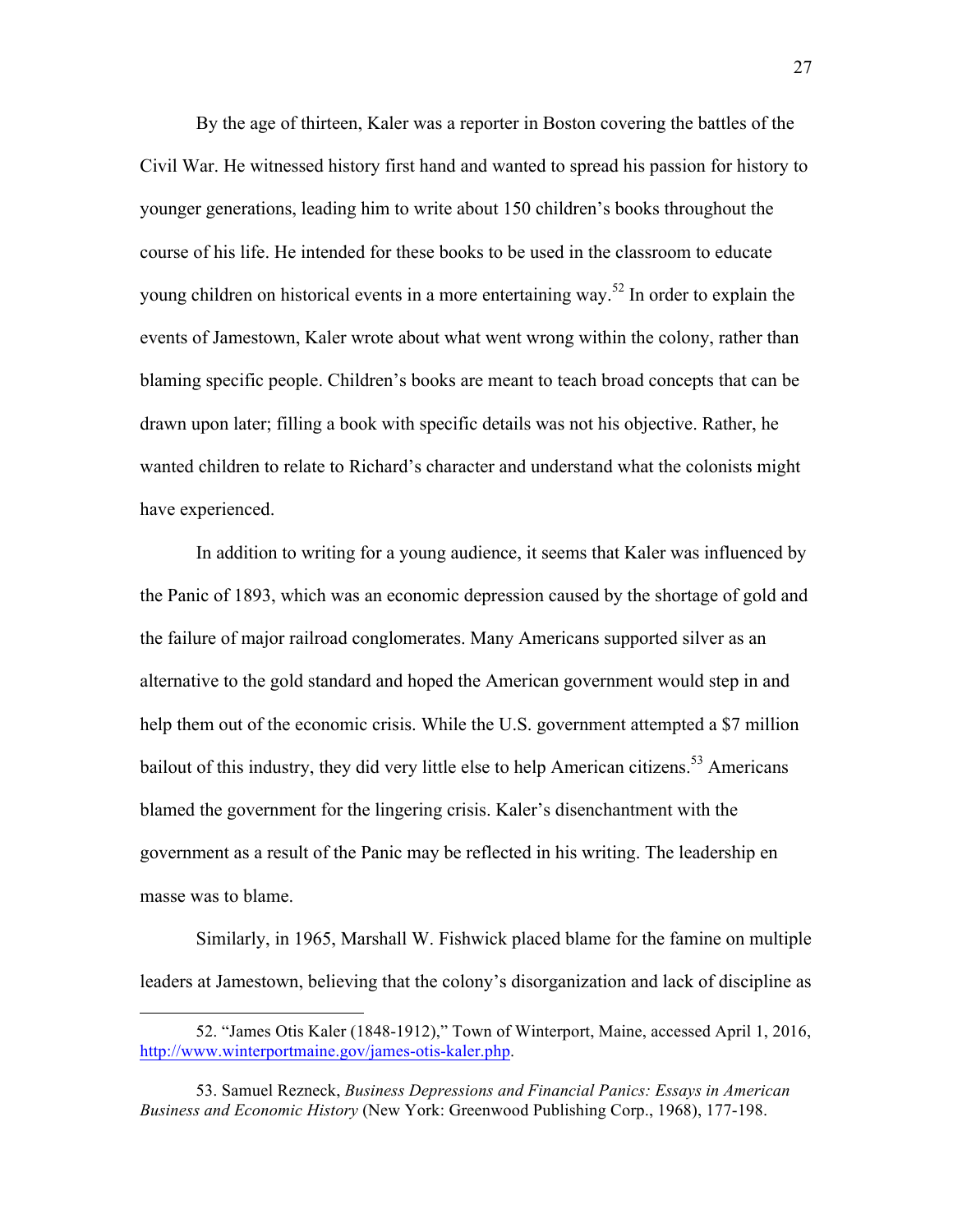By the age of thirteen, Kaler was a reporter in Boston covering the battles of the Civil War. He witnessed history first hand and wanted to spread his passion for history to younger generations, leading him to write about 150 children's books throughout the course of his life. He intended for these books to be used in the classroom to educate young children on historical events in a more entertaining way.<sup>52</sup> In order to explain the events of Jamestown, Kaler wrote about what went wrong within the colony, rather than blaming specific people. Children's books are meant to teach broad concepts that can be drawn upon later; filling a book with specific details was not his objective. Rather, he wanted children to relate to Richard's character and understand what the colonists might have experienced.

In addition to writing for a young audience, it seems that Kaler was influenced by the Panic of 1893, which was an economic depression caused by the shortage of gold and the failure of major railroad conglomerates. Many Americans supported silver as an alternative to the gold standard and hoped the American government would step in and help them out of the economic crisis. While the U.S. government attempted a \$7 million bailout of this industry, they did very little else to help American citizens.<sup>53</sup> Americans blamed the government for the lingering crisis. Kaler's disenchantment with the government as a result of the Panic may be reflected in his writing. The leadership en masse was to blame.

Similarly, in 1965, Marshall W. Fishwick placed blame for the famine on multiple leaders at Jamestown, believing that the colony's disorganization and lack of discipline as

<sup>52. &</sup>quot;James Otis Kaler (1848-1912)," Town of Winterport, Maine, accessed April 1, 2016, http://www.winterportmaine.gov/james-otis-kaler.php.

<sup>53.</sup> Samuel Rezneck, *Business Depressions and Financial Panics: Essays in American Business and Economic History* (New York: Greenwood Publishing Corp., 1968), 177-198.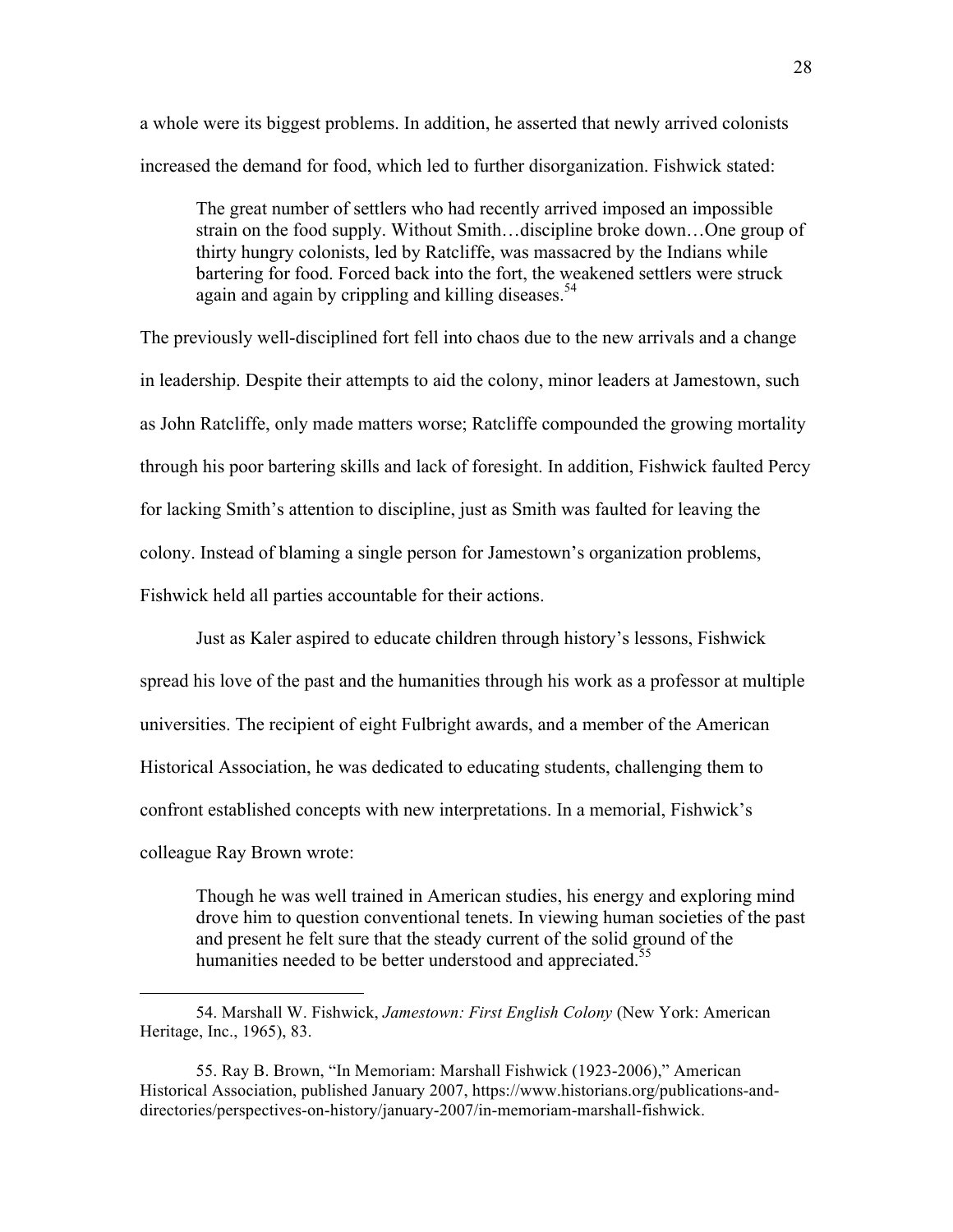a whole were its biggest problems. In addition, he asserted that newly arrived colonists increased the demand for food, which led to further disorganization. Fishwick stated:

The great number of settlers who had recently arrived imposed an impossible strain on the food supply. Without Smith…discipline broke down…One group of thirty hungry colonists, led by Ratcliffe, was massacred by the Indians while bartering for food. Forced back into the fort, the weakened settlers were struck again and again by crippling and killing diseases.<sup>54</sup>

The previously well-disciplined fort fell into chaos due to the new arrivals and a change in leadership. Despite their attempts to aid the colony, minor leaders at Jamestown, such as John Ratcliffe, only made matters worse; Ratcliffe compounded the growing mortality through his poor bartering skills and lack of foresight. In addition, Fishwick faulted Percy for lacking Smith's attention to discipline, just as Smith was faulted for leaving the colony. Instead of blaming a single person for Jamestown's organization problems, Fishwick held all parties accountable for their actions.

Just as Kaler aspired to educate children through history's lessons, Fishwick spread his love of the past and the humanities through his work as a professor at multiple universities. The recipient of eight Fulbright awards, and a member of the American Historical Association, he was dedicated to educating students, challenging them to confront established concepts with new interpretations. In a memorial, Fishwick's colleague Ray Brown wrote:

Though he was well trained in American studies, his energy and exploring mind drove him to question conventional tenets. In viewing human societies of the past and present he felt sure that the steady current of the solid ground of the humanities needed to be better understood and appreciated.<sup>55</sup>

<sup>54.</sup> Marshall W. Fishwick, *Jamestown: First English Colony* (New York: American Heritage, Inc., 1965), 83.

<sup>55.</sup> Ray B. Brown, "In Memoriam: Marshall Fishwick (1923-2006)," American Historical Association, published January 2007, https://www.historians.org/publications-anddirectories/perspectives-on-history/january-2007/in-memoriam-marshall-fishwick.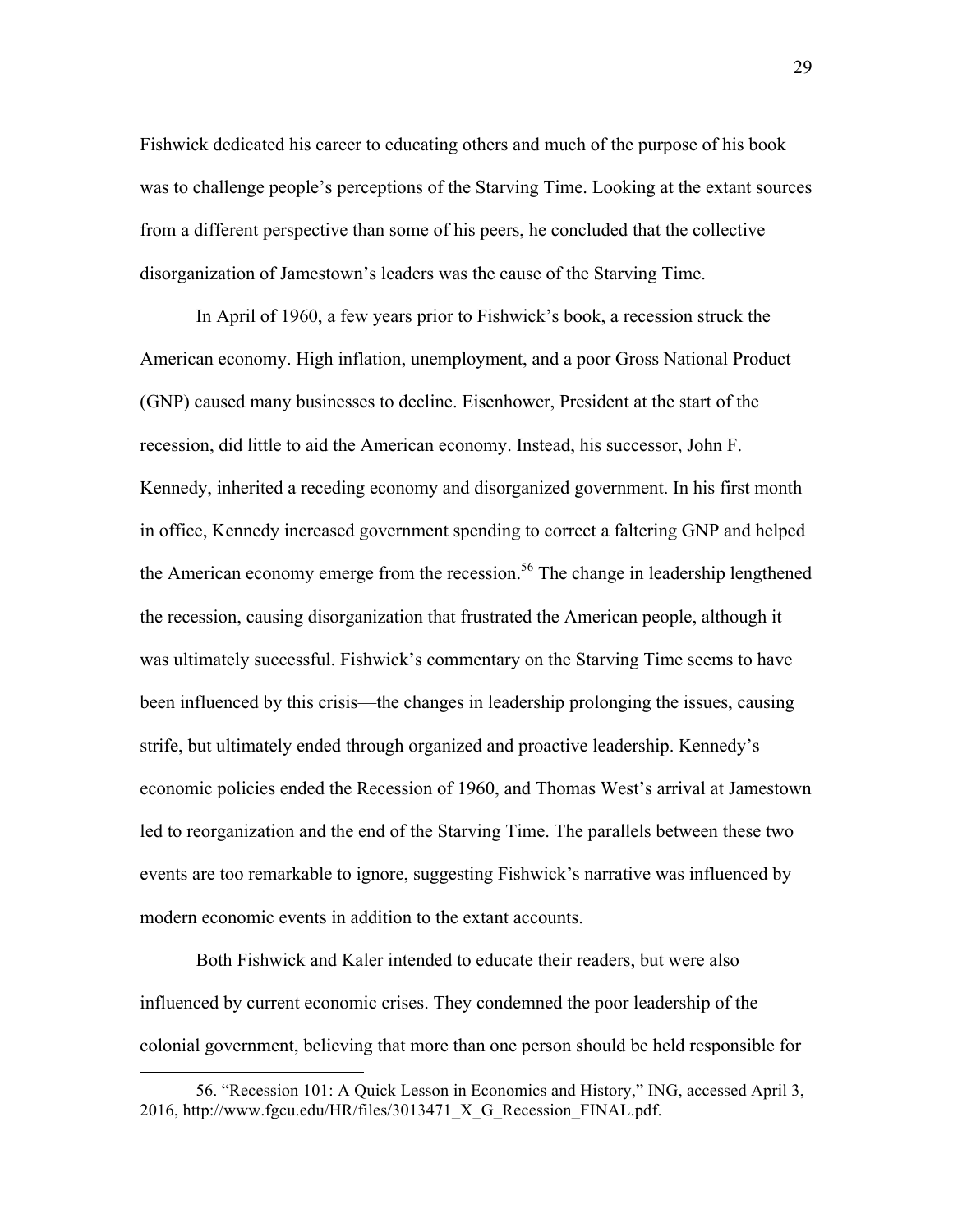Fishwick dedicated his career to educating others and much of the purpose of his book was to challenge people's perceptions of the Starving Time. Looking at the extant sources from a different perspective than some of his peers, he concluded that the collective disorganization of Jamestown's leaders was the cause of the Starving Time.

In April of 1960, a few years prior to Fishwick's book, a recession struck the American economy. High inflation, unemployment, and a poor Gross National Product (GNP) caused many businesses to decline. Eisenhower, President at the start of the recession, did little to aid the American economy. Instead, his successor, John F. Kennedy, inherited a receding economy and disorganized government. In his first month in office, Kennedy increased government spending to correct a faltering GNP and helped the American economy emerge from the recession.<sup>56</sup> The change in leadership lengthened the recession, causing disorganization that frustrated the American people, although it was ultimately successful. Fishwick's commentary on the Starving Time seems to have been influenced by this crisis—the changes in leadership prolonging the issues, causing strife, but ultimately ended through organized and proactive leadership. Kennedy's economic policies ended the Recession of 1960, and Thomas West's arrival at Jamestown led to reorganization and the end of the Starving Time. The parallels between these two events are too remarkable to ignore, suggesting Fishwick's narrative was influenced by modern economic events in addition to the extant accounts.

Both Fishwick and Kaler intended to educate their readers, but were also influenced by current economic crises. They condemned the poor leadership of the colonial government, believing that more than one person should be held responsible for

<sup>56. &</sup>quot;Recession 101: A Quick Lesson in Economics and History," ING, accessed April 3, 2016, http://www.fgcu.edu/HR/files/3013471\_X\_G\_Recession\_FINAL.pdf.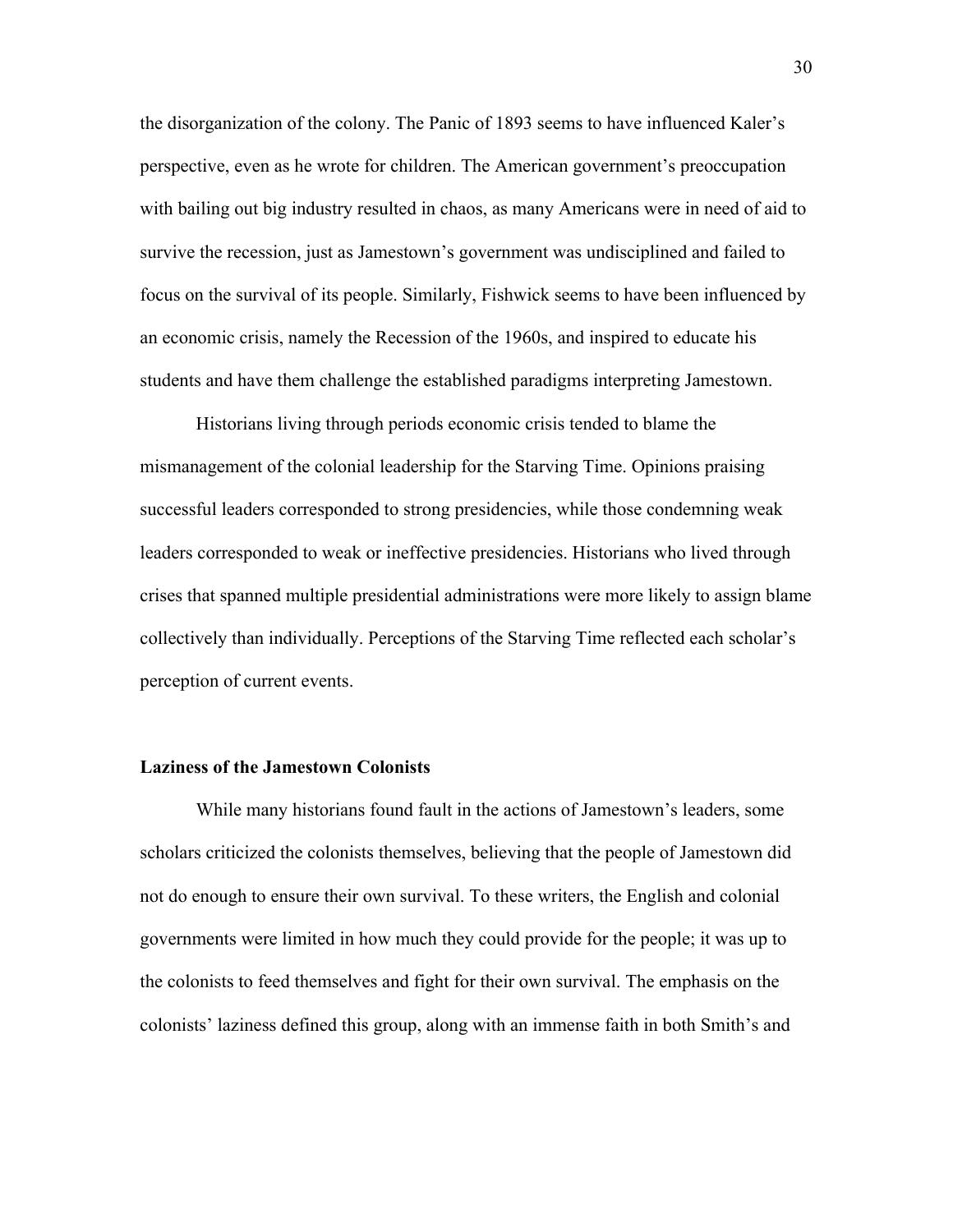the disorganization of the colony. The Panic of 1893 seems to have influenced Kaler's perspective, even as he wrote for children. The American government's preoccupation with bailing out big industry resulted in chaos, as many Americans were in need of aid to survive the recession, just as Jamestown's government was undisciplined and failed to focus on the survival of its people. Similarly, Fishwick seems to have been influenced by an economic crisis, namely the Recession of the 1960s, and inspired to educate his students and have them challenge the established paradigms interpreting Jamestown.

Historians living through periods economic crisis tended to blame the mismanagement of the colonial leadership for the Starving Time. Opinions praising successful leaders corresponded to strong presidencies, while those condemning weak leaders corresponded to weak or ineffective presidencies. Historians who lived through crises that spanned multiple presidential administrations were more likely to assign blame collectively than individually. Perceptions of the Starving Time reflected each scholar's perception of current events.

#### **Laziness of the Jamestown Colonists**

While many historians found fault in the actions of Jamestown's leaders, some scholars criticized the colonists themselves, believing that the people of Jamestown did not do enough to ensure their own survival. To these writers, the English and colonial governments were limited in how much they could provide for the people; it was up to the colonists to feed themselves and fight for their own survival. The emphasis on the colonists' laziness defined this group, along with an immense faith in both Smith's and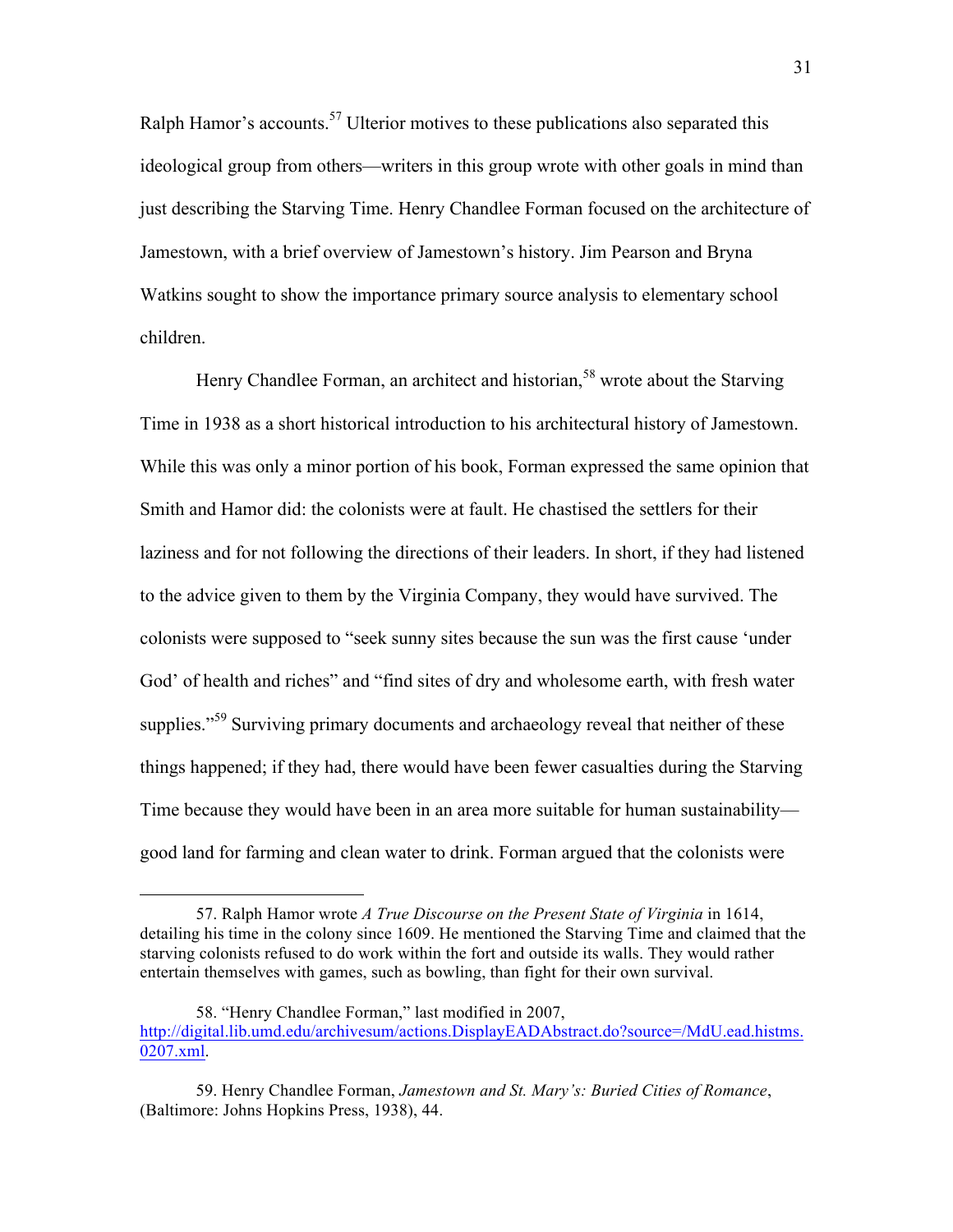Ralph Hamor's accounts.<sup>57</sup> Ulterior motives to these publications also separated this ideological group from others—writers in this group wrote with other goals in mind than just describing the Starving Time. Henry Chandlee Forman focused on the architecture of Jamestown, with a brief overview of Jamestown's history. Jim Pearson and Bryna Watkins sought to show the importance primary source analysis to elementary school children.

Henry Chandlee Forman, an architect and historian,<sup>58</sup> wrote about the Starving Time in 1938 as a short historical introduction to his architectural history of Jamestown. While this was only a minor portion of his book, Forman expressed the same opinion that Smith and Hamor did: the colonists were at fault. He chastised the settlers for their laziness and for not following the directions of their leaders. In short, if they had listened to the advice given to them by the Virginia Company, they would have survived. The colonists were supposed to "seek sunny sites because the sun was the first cause 'under God' of health and riches" and "find sites of dry and wholesome earth, with fresh water supplies."<sup>59</sup> Surviving primary documents and archaeology reveal that neither of these things happened; if they had, there would have been fewer casualties during the Starving Time because they would have been in an area more suitable for human sustainability good land for farming and clean water to drink. Forman argued that the colonists were

<sup>57.</sup> Ralph Hamor wrote *A True Discourse on the Present State of Virginia* in 1614, detailing his time in the colony since 1609. He mentioned the Starving Time and claimed that the starving colonists refused to do work within the fort and outside its walls. They would rather entertain themselves with games, such as bowling, than fight for their own survival.

<sup>58. &</sup>quot;Henry Chandlee Forman," last modified in 2007, http://digital.lib.umd.edu/archivesum/actions.DisplayEADAbstract.do?source=/MdU.ead.histms. 0207.xml.

<sup>59.</sup> Henry Chandlee Forman, *Jamestown and St. Mary's: Buried Cities of Romance*, (Baltimore: Johns Hopkins Press, 1938), 44.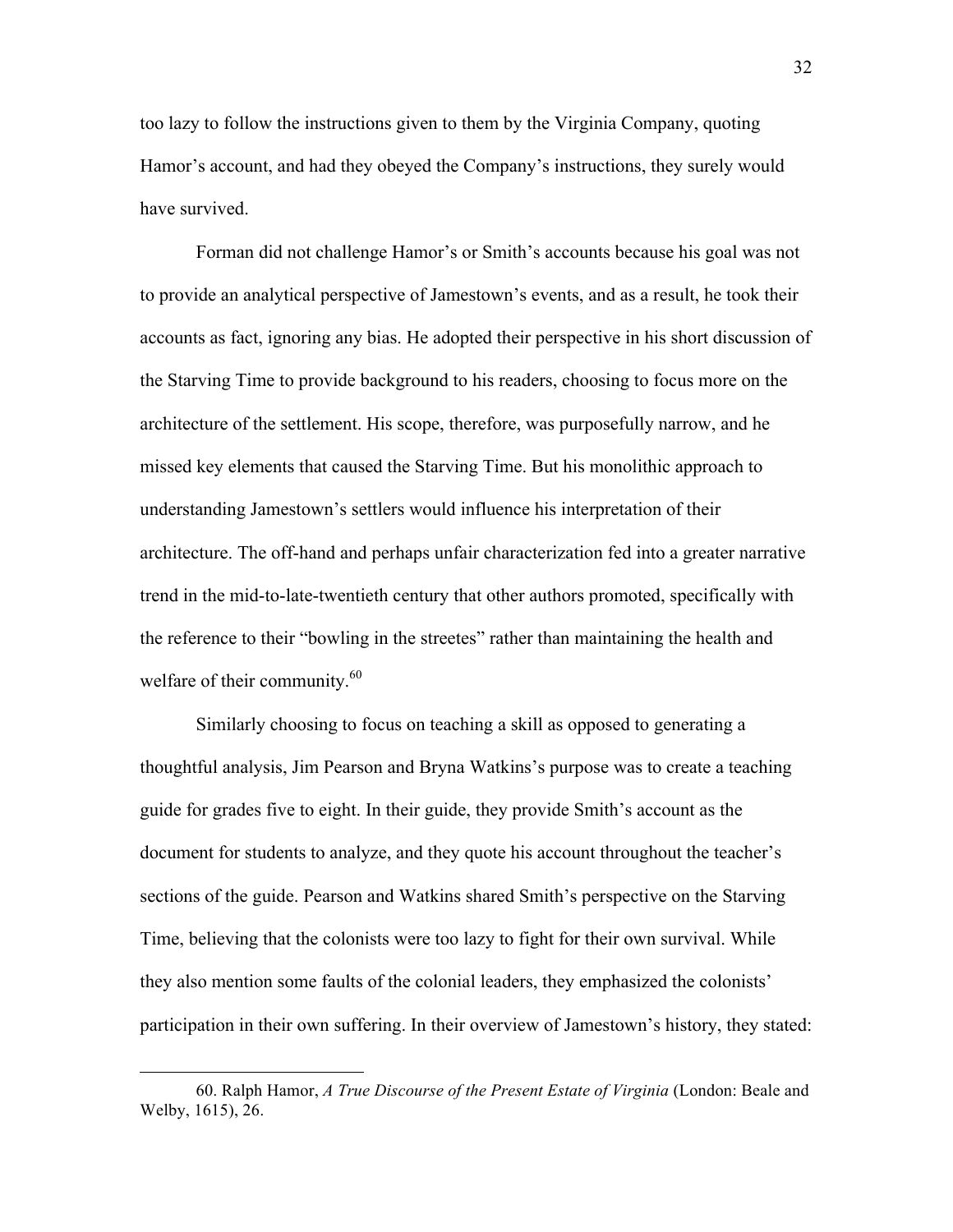too lazy to follow the instructions given to them by the Virginia Company, quoting Hamor's account, and had they obeyed the Company's instructions, they surely would have survived.

Forman did not challenge Hamor's or Smith's accounts because his goal was not to provide an analytical perspective of Jamestown's events, and as a result, he took their accounts as fact, ignoring any bias. He adopted their perspective in his short discussion of the Starving Time to provide background to his readers, choosing to focus more on the architecture of the settlement. His scope, therefore, was purposefully narrow, and he missed key elements that caused the Starving Time. But his monolithic approach to understanding Jamestown's settlers would influence his interpretation of their architecture. The off-hand and perhaps unfair characterization fed into a greater narrative trend in the mid-to-late-twentieth century that other authors promoted, specifically with the reference to their "bowling in the streetes" rather than maintaining the health and welfare of their community.<sup>60</sup>

Similarly choosing to focus on teaching a skill as opposed to generating a thoughtful analysis, Jim Pearson and Bryna Watkins's purpose was to create a teaching guide for grades five to eight. In their guide, they provide Smith's account as the document for students to analyze, and they quote his account throughout the teacher's sections of the guide. Pearson and Watkins shared Smith's perspective on the Starving Time, believing that the colonists were too lazy to fight for their own survival. While they also mention some faults of the colonial leaders, they emphasized the colonists' participation in their own suffering. In their overview of Jamestown's history, they stated:

<sup>60.</sup> Ralph Hamor, *A True Discourse of the Present Estate of Virginia* (London: Beale and Welby, 1615), 26.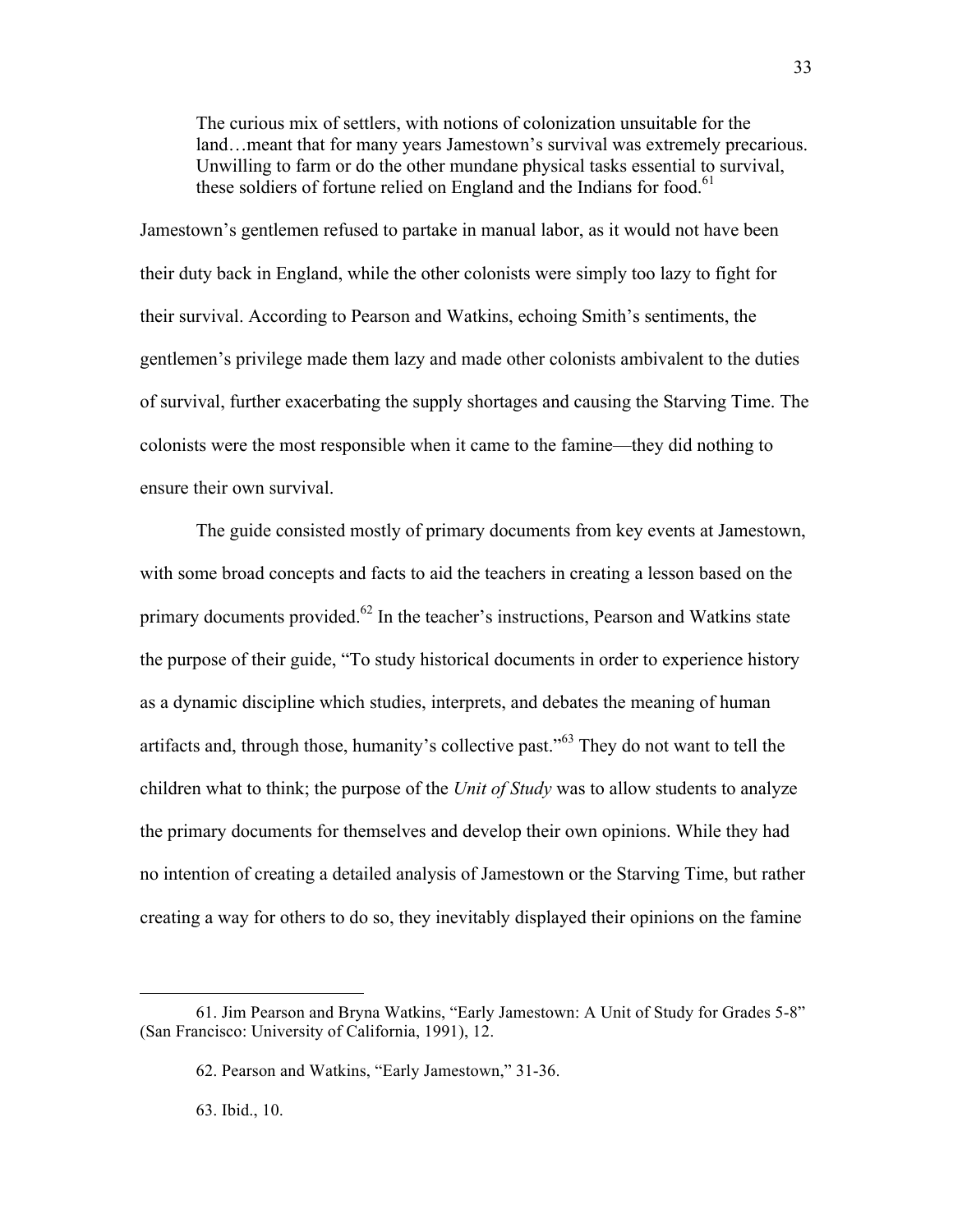The curious mix of settlers, with notions of colonization unsuitable for the land…meant that for many years Jamestown's survival was extremely precarious. Unwilling to farm or do the other mundane physical tasks essential to survival, these soldiers of fortune relied on England and the Indians for food.<sup>61</sup>

Jamestown's gentlemen refused to partake in manual labor, as it would not have been their duty back in England, while the other colonists were simply too lazy to fight for their survival. According to Pearson and Watkins, echoing Smith's sentiments, the gentlemen's privilege made them lazy and made other colonists ambivalent to the duties of survival, further exacerbating the supply shortages and causing the Starving Time. The colonists were the most responsible when it came to the famine—they did nothing to ensure their own survival.

The guide consisted mostly of primary documents from key events at Jamestown, with some broad concepts and facts to aid the teachers in creating a lesson based on the primary documents provided.<sup>62</sup> In the teacher's instructions, Pearson and Watkins state the purpose of their guide, "To study historical documents in order to experience history as a dynamic discipline which studies, interprets, and debates the meaning of human artifacts and, through those, humanity's collective past."<sup>63</sup> They do not want to tell the children what to think; the purpose of the *Unit of Study* was to allow students to analyze the primary documents for themselves and develop their own opinions. While they had no intention of creating a detailed analysis of Jamestown or the Starving Time, but rather creating a way for others to do so, they inevitably displayed their opinions on the famine

63. Ibid., 10.

<sup>61.</sup> Jim Pearson and Bryna Watkins, "Early Jamestown: A Unit of Study for Grades 5-8" (San Francisco: University of California, 1991), 12.

<sup>62.</sup> Pearson and Watkins, "Early Jamestown," 31-36.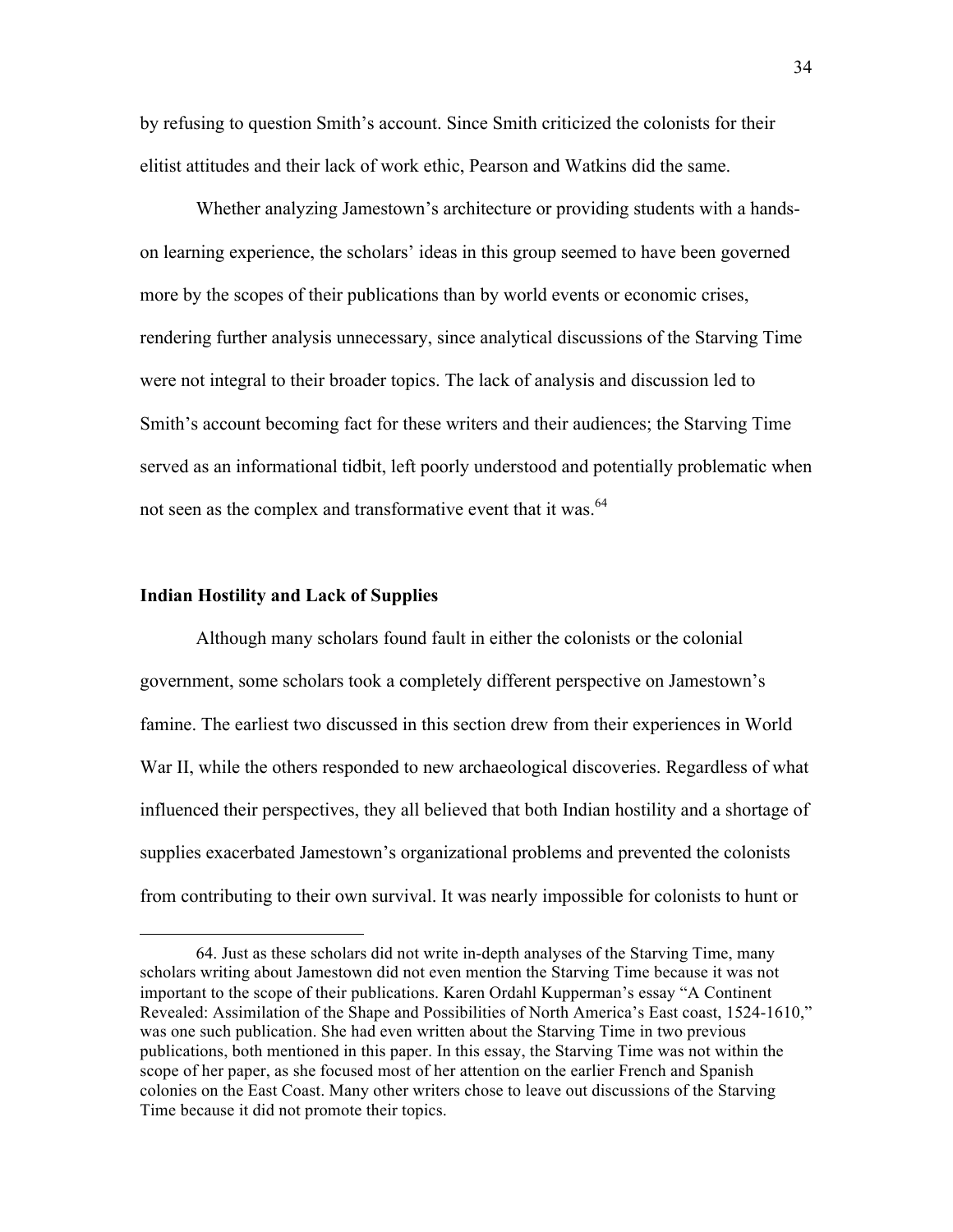by refusing to question Smith's account. Since Smith criticized the colonists for their elitist attitudes and their lack of work ethic, Pearson and Watkins did the same.

Whether analyzing Jamestown's architecture or providing students with a handson learning experience, the scholars' ideas in this group seemed to have been governed more by the scopes of their publications than by world events or economic crises, rendering further analysis unnecessary, since analytical discussions of the Starving Time were not integral to their broader topics. The lack of analysis and discussion led to Smith's account becoming fact for these writers and their audiences; the Starving Time served as an informational tidbit, left poorly understood and potentially problematic when not seen as the complex and transformative event that it was.<sup>64</sup>

#### **Indian Hostility and Lack of Supplies**

 $\overline{a}$ 

Although many scholars found fault in either the colonists or the colonial government, some scholars took a completely different perspective on Jamestown's famine. The earliest two discussed in this section drew from their experiences in World War II, while the others responded to new archaeological discoveries. Regardless of what influenced their perspectives, they all believed that both Indian hostility and a shortage of supplies exacerbated Jamestown's organizational problems and prevented the colonists from contributing to their own survival. It was nearly impossible for colonists to hunt or

<sup>64.</sup> Just as these scholars did not write in-depth analyses of the Starving Time, many scholars writing about Jamestown did not even mention the Starving Time because it was not important to the scope of their publications. Karen Ordahl Kupperman's essay "A Continent Revealed: Assimilation of the Shape and Possibilities of North America's East coast, 1524-1610," was one such publication. She had even written about the Starving Time in two previous publications, both mentioned in this paper. In this essay, the Starving Time was not within the scope of her paper, as she focused most of her attention on the earlier French and Spanish colonies on the East Coast. Many other writers chose to leave out discussions of the Starving Time because it did not promote their topics.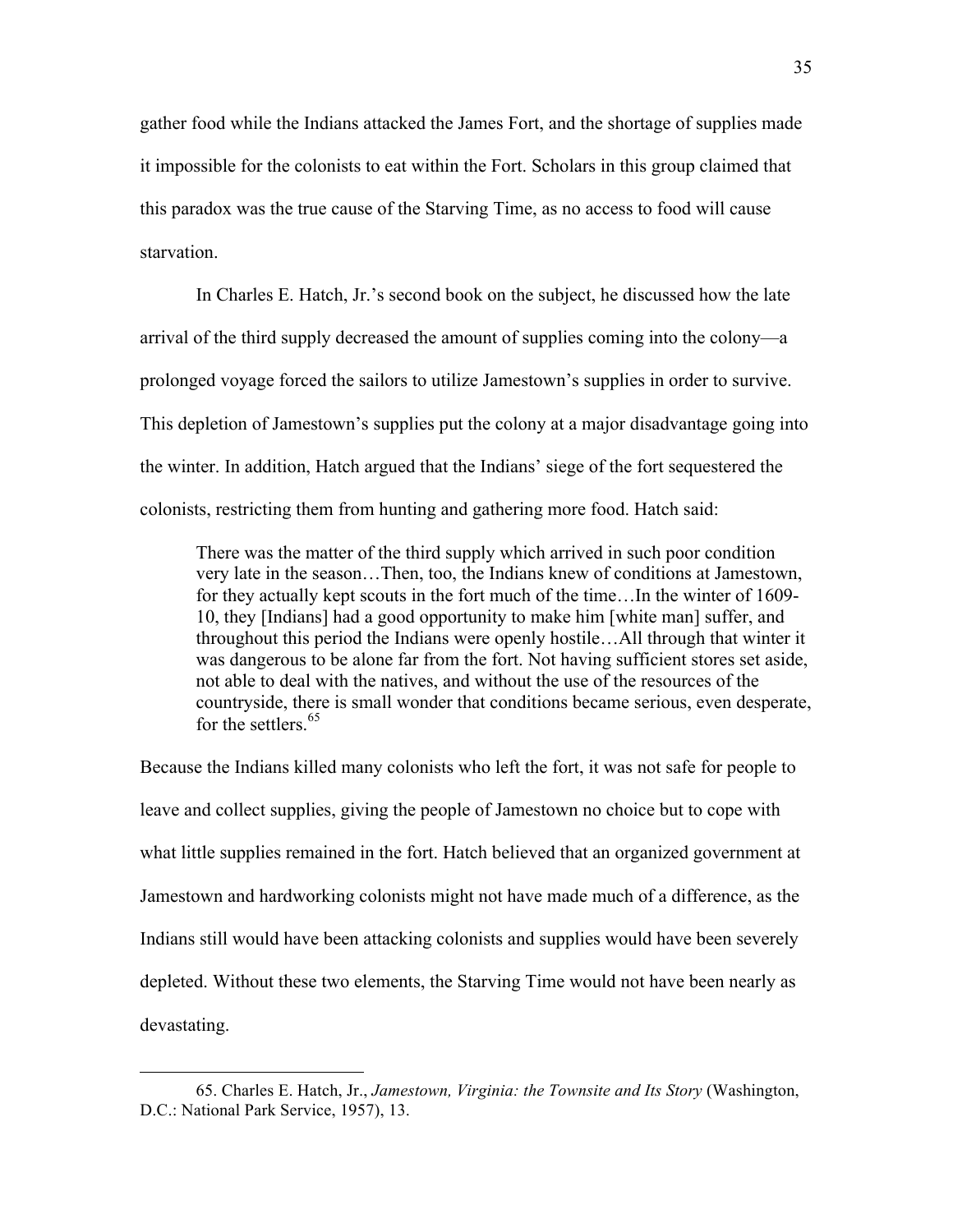gather food while the Indians attacked the James Fort, and the shortage of supplies made it impossible for the colonists to eat within the Fort. Scholars in this group claimed that this paradox was the true cause of the Starving Time, as no access to food will cause starvation.

In Charles E. Hatch, Jr.'s second book on the subject, he discussed how the late arrival of the third supply decreased the amount of supplies coming into the colony—a prolonged voyage forced the sailors to utilize Jamestown's supplies in order to survive. This depletion of Jamestown's supplies put the colony at a major disadvantage going into the winter. In addition, Hatch argued that the Indians' siege of the fort sequestered the colonists, restricting them from hunting and gathering more food. Hatch said:

There was the matter of the third supply which arrived in such poor condition very late in the season…Then, too, the Indians knew of conditions at Jamestown, for they actually kept scouts in the fort much of the time…In the winter of 1609- 10, they [Indians] had a good opportunity to make him [white man] suffer, and throughout this period the Indians were openly hostile…All through that winter it was dangerous to be alone far from the fort. Not having sufficient stores set aside, not able to deal with the natives, and without the use of the resources of the countryside, there is small wonder that conditions became serious, even desperate, for the settlers  $65$ 

Because the Indians killed many colonists who left the fort, it was not safe for people to leave and collect supplies, giving the people of Jamestown no choice but to cope with what little supplies remained in the fort. Hatch believed that an organized government at Jamestown and hardworking colonists might not have made much of a difference, as the Indians still would have been attacking colonists and supplies would have been severely depleted. Without these two elements, the Starving Time would not have been nearly as devastating.

<sup>65.</sup> Charles E. Hatch, Jr., *Jamestown, Virginia: the Townsite and Its Story* (Washington, D.C.: National Park Service, 1957), 13.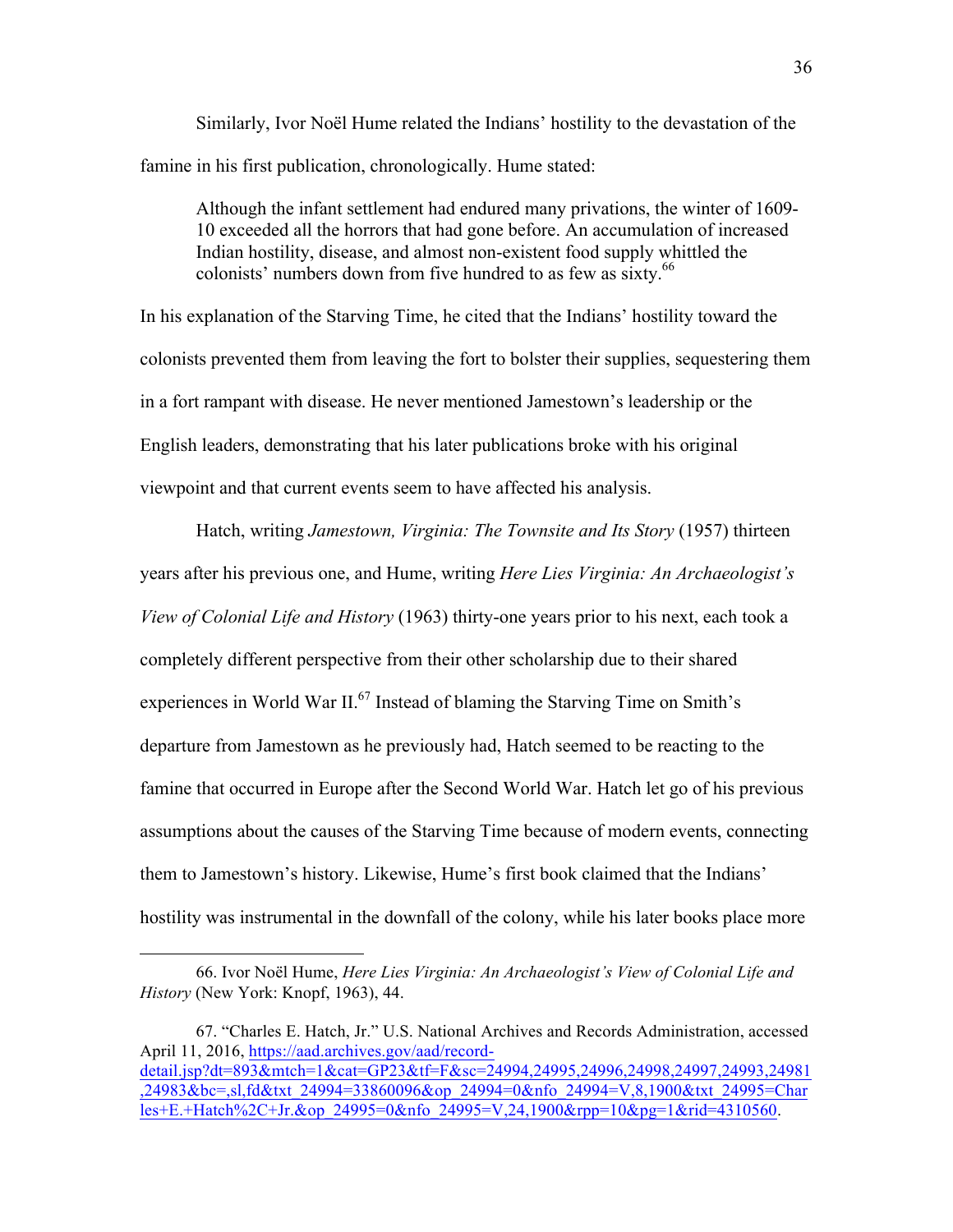Similarly, Ivor Noël Hume related the Indians' hostility to the devastation of the famine in his first publication, chronologically. Hume stated:

Although the infant settlement had endured many privations, the winter of 1609- 10 exceeded all the horrors that had gone before. An accumulation of increased Indian hostility, disease, and almost non-existent food supply whittled the colonists' numbers down from five hundred to as few as sixty.<sup>66</sup>

In his explanation of the Starving Time, he cited that the Indians' hostility toward the colonists prevented them from leaving the fort to bolster their supplies, sequestering them in a fort rampant with disease. He never mentioned Jamestown's leadership or the English leaders, demonstrating that his later publications broke with his original viewpoint and that current events seem to have affected his analysis.

Hatch, writing *Jamestown, Virginia: The Townsite and Its Story* (1957) thirteen years after his previous one, and Hume, writing *Here Lies Virginia: An Archaeologist's View of Colonial Life and History* (1963) thirty-one years prior to his next, each took a completely different perspective from their other scholarship due to their shared experiences in World War  $II^{67}$  Instead of blaming the Starving Time on Smith's departure from Jamestown as he previously had, Hatch seemed to be reacting to the famine that occurred in Europe after the Second World War. Hatch let go of his previous assumptions about the causes of the Starving Time because of modern events, connecting them to Jamestown's history. Likewise, Hume's first book claimed that the Indians' hostility was instrumental in the downfall of the colony, while his later books place more

<sup>66.</sup> Ivor Noël Hume, *Here Lies Virginia: An Archaeologist's View of Colonial Life and History* (New York: Knopf, 1963), 44.

<sup>67. &</sup>quot;Charles E. Hatch, Jr." U.S. National Archives and Records Administration, accessed April 11, 2016, https://aad.archives.gov/aad/recorddetail.jsp?dt=893&mtch=1&cat=GP23&tf=F&sc=24994,24995,24996,24998,24997,24993,24981 ,24983&bc=,sl,fd&txt\_24994=33860096&op\_24994=0&nfo\_24994=V,8,1900&txt\_24995=Char les+E.+Hatch%2C+Jr.&op\_24995=0&nfo\_24995=V,24,1900&rpp=10&pg=1&rid=4310560.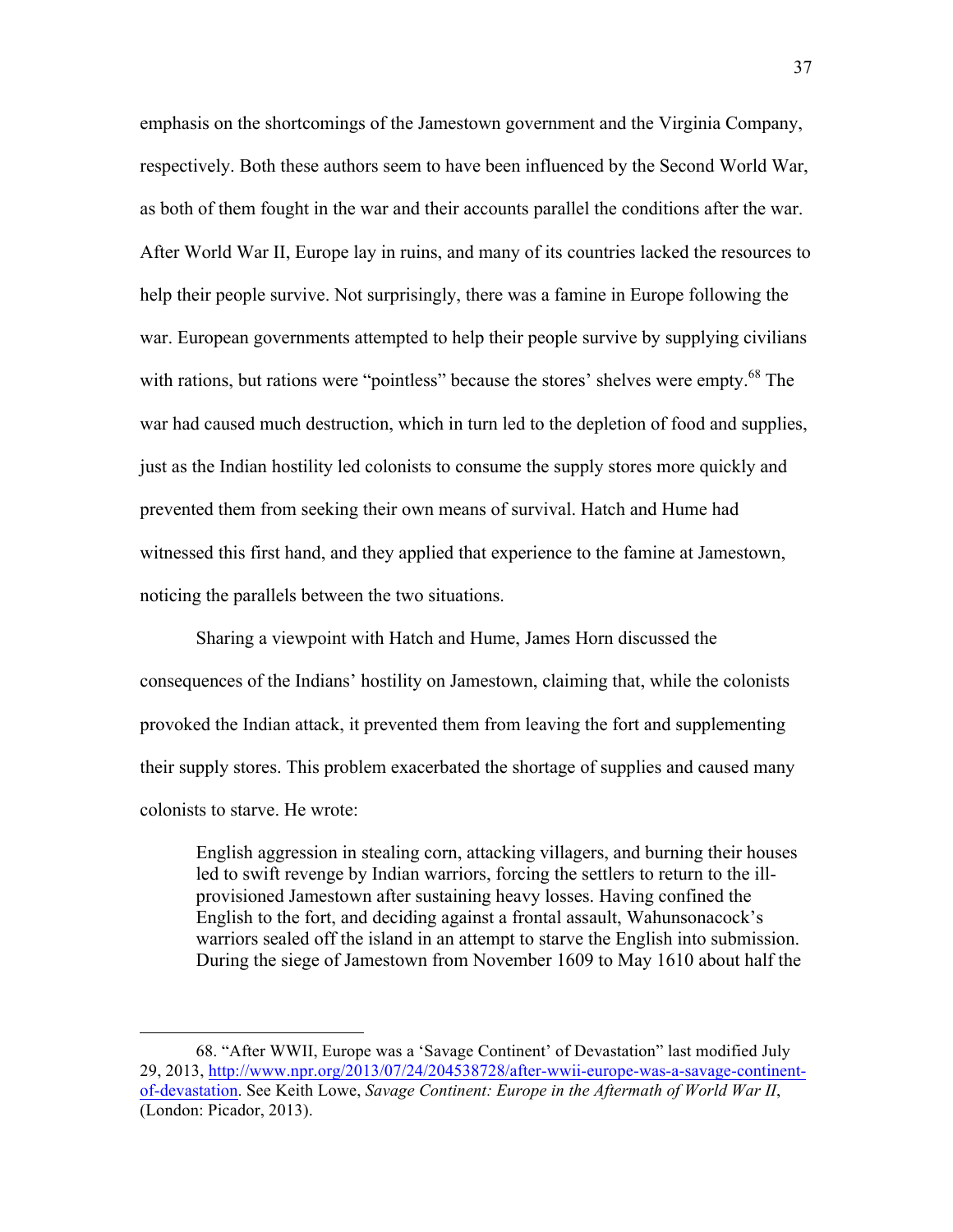emphasis on the shortcomings of the Jamestown government and the Virginia Company, respectively. Both these authors seem to have been influenced by the Second World War, as both of them fought in the war and their accounts parallel the conditions after the war. After World War II, Europe lay in ruins, and many of its countries lacked the resources to help their people survive. Not surprisingly, there was a famine in Europe following the war. European governments attempted to help their people survive by supplying civilians with rations, but rations were "pointless" because the stores' shelves were empty.<sup>68</sup> The war had caused much destruction, which in turn led to the depletion of food and supplies, just as the Indian hostility led colonists to consume the supply stores more quickly and prevented them from seeking their own means of survival. Hatch and Hume had witnessed this first hand, and they applied that experience to the famine at Jamestown, noticing the parallels between the two situations.

Sharing a viewpoint with Hatch and Hume, James Horn discussed the consequences of the Indians' hostility on Jamestown, claiming that, while the colonists provoked the Indian attack, it prevented them from leaving the fort and supplementing their supply stores. This problem exacerbated the shortage of supplies and caused many colonists to starve. He wrote:

English aggression in stealing corn, attacking villagers, and burning their houses led to swift revenge by Indian warriors, forcing the settlers to return to the illprovisioned Jamestown after sustaining heavy losses. Having confined the English to the fort, and deciding against a frontal assault, Wahunsonacock's warriors sealed off the island in an attempt to starve the English into submission. During the siege of Jamestown from November 1609 to May 1610 about half the

<sup>68. &</sup>quot;After WWII, Europe was a 'Savage Continent' of Devastation" last modified July 29, 2013, http://www.npr.org/2013/07/24/204538728/after-wwii-europe-was-a-savage-continentof-devastation. See Keith Lowe, *Savage Continent: Europe in the Aftermath of World War II*, (London: Picador, 2013).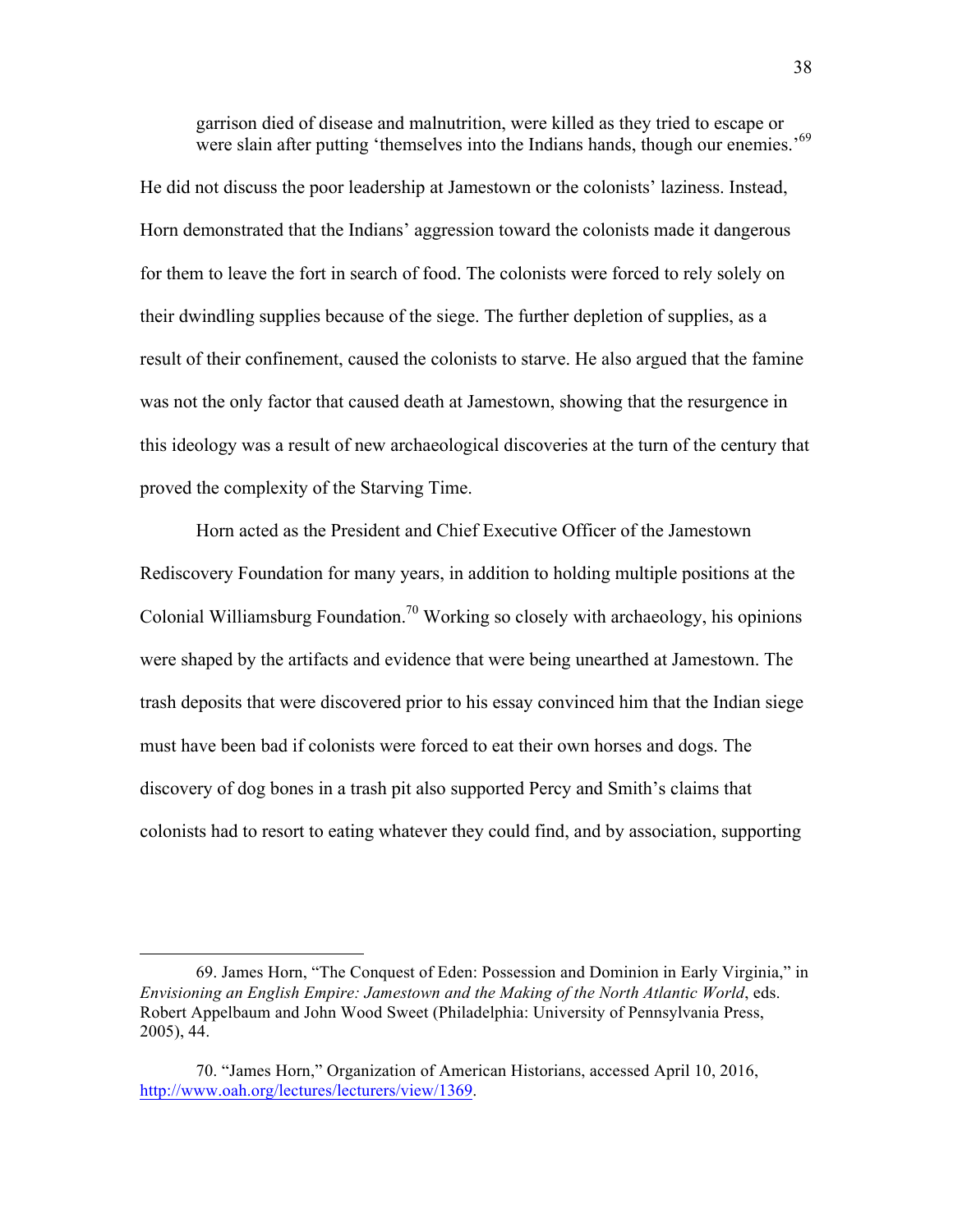garrison died of disease and malnutrition, were killed as they tried to escape or were slain after putting 'themselves into the Indians hands, though our enemies.'<sup>69</sup>

He did not discuss the poor leadership at Jamestown or the colonists' laziness. Instead, Horn demonstrated that the Indians' aggression toward the colonists made it dangerous for them to leave the fort in search of food. The colonists were forced to rely solely on their dwindling supplies because of the siege. The further depletion of supplies, as a result of their confinement, caused the colonists to starve. He also argued that the famine was not the only factor that caused death at Jamestown, showing that the resurgence in this ideology was a result of new archaeological discoveries at the turn of the century that proved the complexity of the Starving Time.

Horn acted as the President and Chief Executive Officer of the Jamestown Rediscovery Foundation for many years, in addition to holding multiple positions at the Colonial Williamsburg Foundation.<sup>70</sup> Working so closely with archaeology, his opinions were shaped by the artifacts and evidence that were being unearthed at Jamestown. The trash deposits that were discovered prior to his essay convinced him that the Indian siege must have been bad if colonists were forced to eat their own horses and dogs. The discovery of dog bones in a trash pit also supported Percy and Smith's claims that colonists had to resort to eating whatever they could find, and by association, supporting

<sup>69.</sup> James Horn, "The Conquest of Eden: Possession and Dominion in Early Virginia," in *Envisioning an English Empire: Jamestown and the Making of the North Atlantic World*, eds. Robert Appelbaum and John Wood Sweet (Philadelphia: University of Pennsylvania Press, 2005), 44.

<sup>70. &</sup>quot;James Horn," Organization of American Historians, accessed April 10, 2016, http://www.oah.org/lectures/lecturers/view/1369.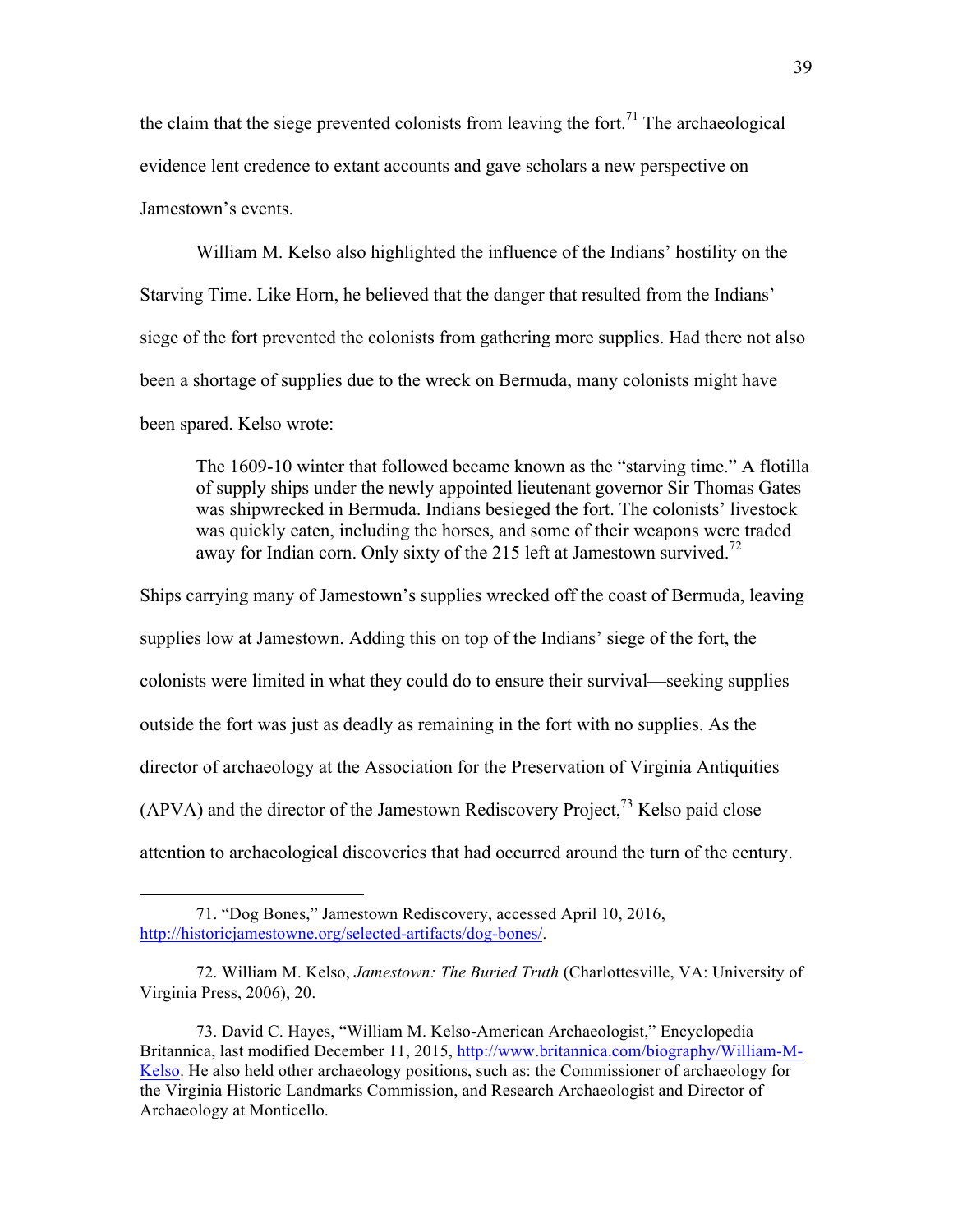the claim that the siege prevented colonists from leaving the fort.<sup>71</sup> The archaeological evidence lent credence to extant accounts and gave scholars a new perspective on Jamestown's events.

William M. Kelso also highlighted the influence of the Indians' hostility on the Starving Time. Like Horn, he believed that the danger that resulted from the Indians' siege of the fort prevented the colonists from gathering more supplies. Had there not also been a shortage of supplies due to the wreck on Bermuda, many colonists might have been spared. Kelso wrote:

The 1609-10 winter that followed became known as the "starving time." A flotilla of supply ships under the newly appointed lieutenant governor Sir Thomas Gates was shipwrecked in Bermuda. Indians besieged the fort. The colonists' livestock was quickly eaten, including the horses, and some of their weapons were traded away for Indian corn. Only sixty of the 215 left at Jamestown survived.<sup>72</sup>

Ships carrying many of Jamestown's supplies wrecked off the coast of Bermuda, leaving supplies low at Jamestown. Adding this on top of the Indians' siege of the fort, the colonists were limited in what they could do to ensure their survival—seeking supplies outside the fort was just as deadly as remaining in the fort with no supplies. As the director of archaeology at the Association for the Preservation of Virginia Antiquities (APVA) and the director of the Jamestown Rediscovery Project,<sup>73</sup> Kelso paid close attention to archaeological discoveries that had occurred around the turn of the century.

<sup>71. &</sup>quot;Dog Bones," Jamestown Rediscovery, accessed April 10, 2016, http://historicjamestowne.org/selected-artifacts/dog-bones/.

<sup>72.</sup> William M. Kelso, *Jamestown: The Buried Truth* (Charlottesville, VA: University of Virginia Press, 2006), 20.

<sup>73.</sup> David C. Hayes, "William M. Kelso-American Archaeologist," Encyclopedia Britannica, last modified December 11, 2015, http://www.britannica.com/biography/William-M-Kelso. He also held other archaeology positions, such as: the Commissioner of archaeology for the Virginia Historic Landmarks Commission, and Research Archaeologist and Director of Archaeology at Monticello.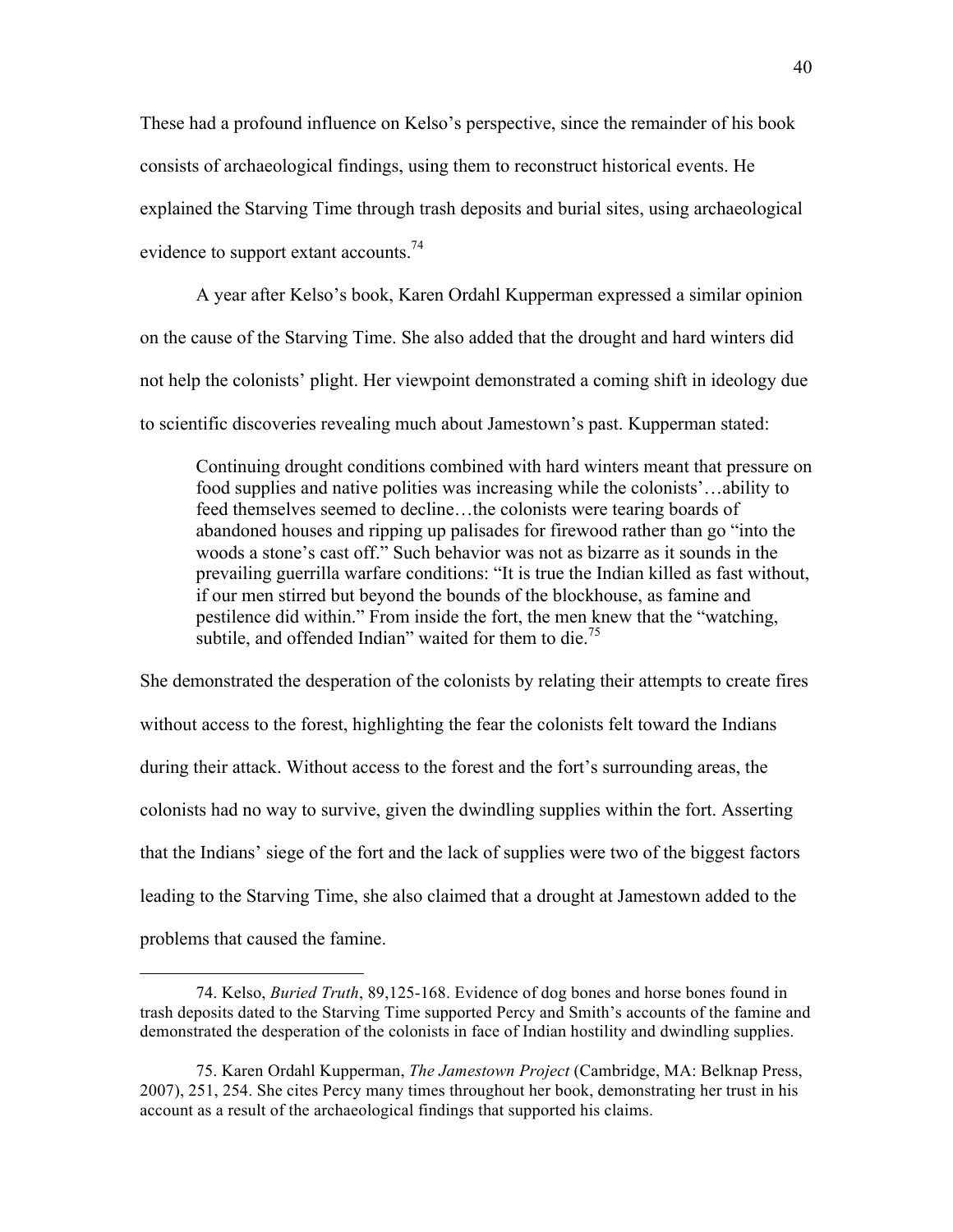These had a profound influence on Kelso's perspective, since the remainder of his book consists of archaeological findings, using them to reconstruct historical events. He explained the Starving Time through trash deposits and burial sites, using archaeological evidence to support extant accounts.<sup>74</sup>

A year after Kelso's book, Karen Ordahl Kupperman expressed a similar opinion on the cause of the Starving Time. She also added that the drought and hard winters did not help the colonists' plight. Her viewpoint demonstrated a coming shift in ideology due to scientific discoveries revealing much about Jamestown's past. Kupperman stated:

Continuing drought conditions combined with hard winters meant that pressure on food supplies and native polities was increasing while the colonists'…ability to feed themselves seemed to decline…the colonists were tearing boards of abandoned houses and ripping up palisades for firewood rather than go "into the woods a stone's cast off." Such behavior was not as bizarre as it sounds in the prevailing guerrilla warfare conditions: "It is true the Indian killed as fast without, if our men stirred but beyond the bounds of the blockhouse, as famine and pestilence did within." From inside the fort, the men knew that the "watching, subtile, and offended Indian" waited for them to die.<sup>75</sup>

She demonstrated the desperation of the colonists by relating their attempts to create fires without access to the forest, highlighting the fear the colonists felt toward the Indians during their attack. Without access to the forest and the fort's surrounding areas, the colonists had no way to survive, given the dwindling supplies within the fort. Asserting that the Indians' siege of the fort and the lack of supplies were two of the biggest factors leading to the Starving Time, she also claimed that a drought at Jamestown added to the problems that caused the famine.

<sup>74.</sup> Kelso, *Buried Truth*, 89,125-168. Evidence of dog bones and horse bones found in trash deposits dated to the Starving Time supported Percy and Smith's accounts of the famine and demonstrated the desperation of the colonists in face of Indian hostility and dwindling supplies.

<sup>75.</sup> Karen Ordahl Kupperman, *The Jamestown Project* (Cambridge, MA: Belknap Press, 2007), 251, 254. She cites Percy many times throughout her book, demonstrating her trust in his account as a result of the archaeological findings that supported his claims.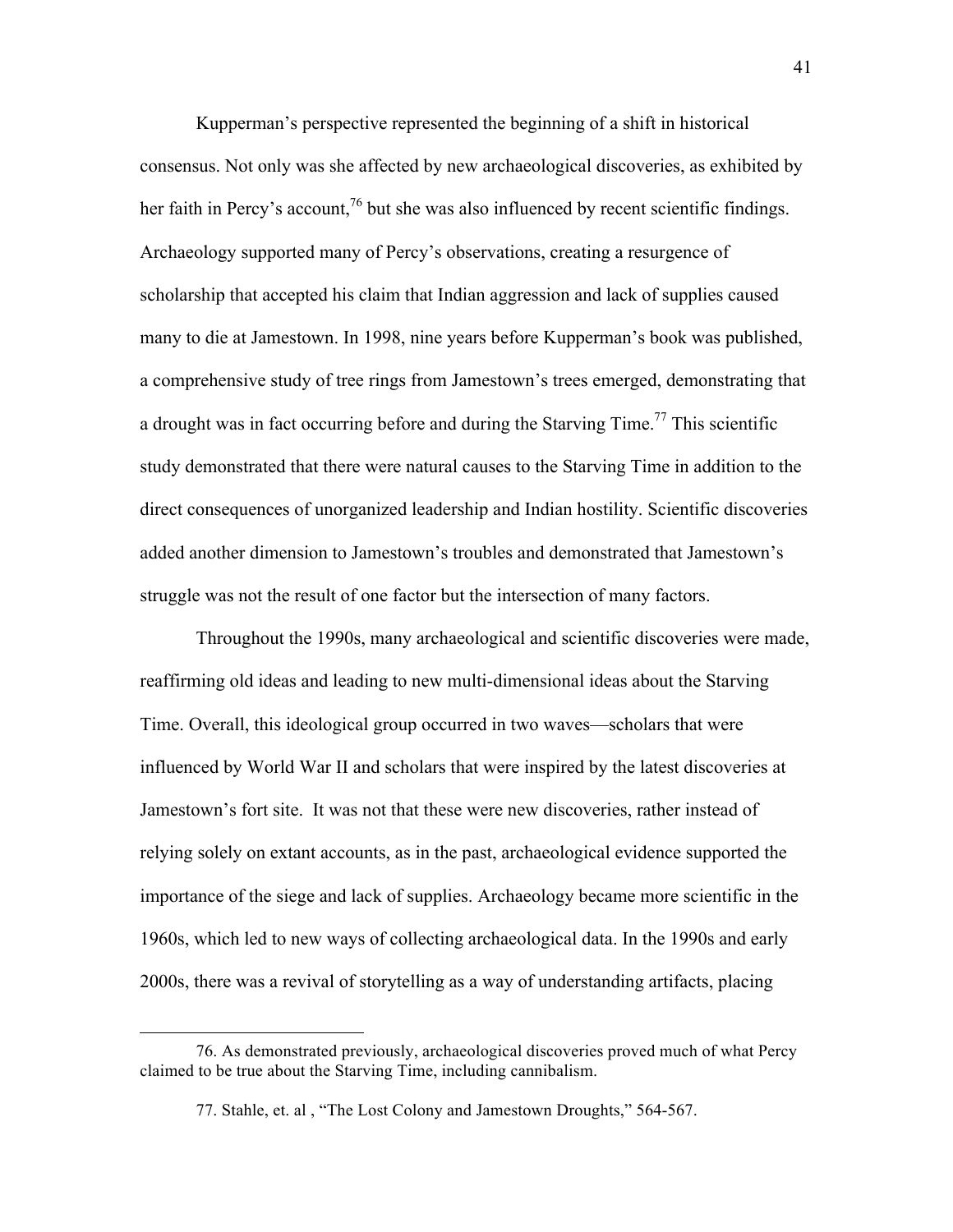Kupperman's perspective represented the beginning of a shift in historical consensus. Not only was she affected by new archaeological discoveries, as exhibited by her faith in Percy's account,  $^{76}$  but she was also influenced by recent scientific findings. Archaeology supported many of Percy's observations, creating a resurgence of scholarship that accepted his claim that Indian aggression and lack of supplies caused many to die at Jamestown. In 1998, nine years before Kupperman's book was published, a comprehensive study of tree rings from Jamestown's trees emerged, demonstrating that a drought was in fact occurring before and during the Starving Time.<sup>77</sup> This scientific study demonstrated that there were natural causes to the Starving Time in addition to the direct consequences of unorganized leadership and Indian hostility. Scientific discoveries added another dimension to Jamestown's troubles and demonstrated that Jamestown's struggle was not the result of one factor but the intersection of many factors.

Throughout the 1990s, many archaeological and scientific discoveries were made, reaffirming old ideas and leading to new multi-dimensional ideas about the Starving Time. Overall, this ideological group occurred in two waves—scholars that were influenced by World War II and scholars that were inspired by the latest discoveries at Jamestown's fort site. It was not that these were new discoveries, rather instead of relying solely on extant accounts, as in the past, archaeological evidence supported the importance of the siege and lack of supplies. Archaeology became more scientific in the 1960s, which led to new ways of collecting archaeological data. In the 1990s and early 2000s, there was a revival of storytelling as a way of understanding artifacts, placing

<sup>76.</sup> As demonstrated previously, archaeological discoveries proved much of what Percy claimed to be true about the Starving Time, including cannibalism.

<sup>77.</sup> Stahle, et. al , "The Lost Colony and Jamestown Droughts," 564-567.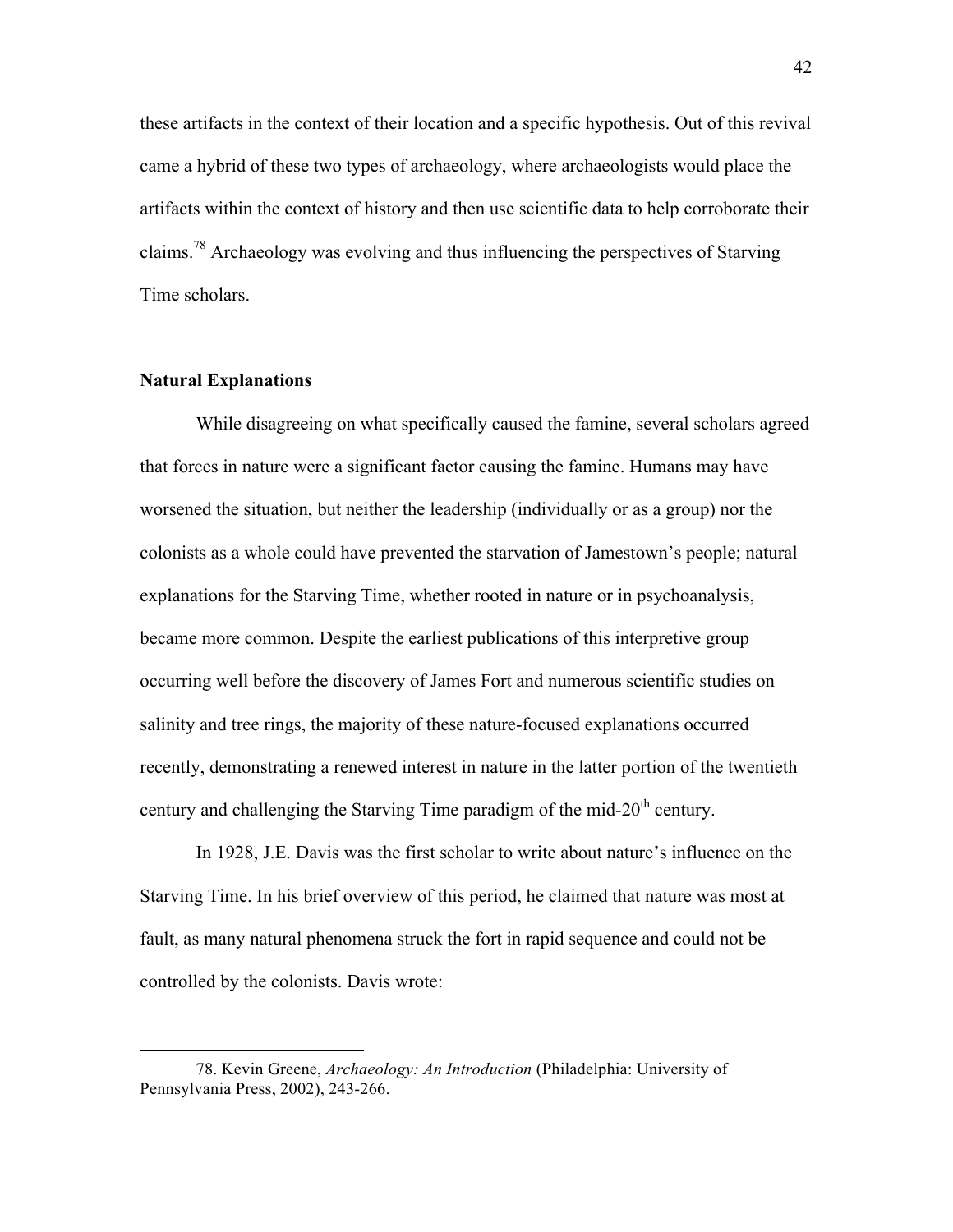these artifacts in the context of their location and a specific hypothesis. Out of this revival came a hybrid of these two types of archaeology, where archaeologists would place the artifacts within the context of history and then use scientific data to help corroborate their claims.<sup>78</sup> Archaeology was evolving and thus influencing the perspectives of Starving Time scholars.

## **Natural Explanations**

 $\overline{a}$ 

While disagreeing on what specifically caused the famine, several scholars agreed that forces in nature were a significant factor causing the famine. Humans may have worsened the situation, but neither the leadership (individually or as a group) nor the colonists as a whole could have prevented the starvation of Jamestown's people; natural explanations for the Starving Time, whether rooted in nature or in psychoanalysis, became more common. Despite the earliest publications of this interpretive group occurring well before the discovery of James Fort and numerous scientific studies on salinity and tree rings, the majority of these nature-focused explanations occurred recently, demonstrating a renewed interest in nature in the latter portion of the twentieth century and challenging the Starving Time paradigm of the mid- $20<sup>th</sup>$  century.

In 1928, J.E. Davis was the first scholar to write about nature's influence on the Starving Time. In his brief overview of this period, he claimed that nature was most at fault, as many natural phenomena struck the fort in rapid sequence and could not be controlled by the colonists. Davis wrote:

<sup>78.</sup> Kevin Greene, *Archaeology: An Introduction* (Philadelphia: University of Pennsylvania Press, 2002), 243-266.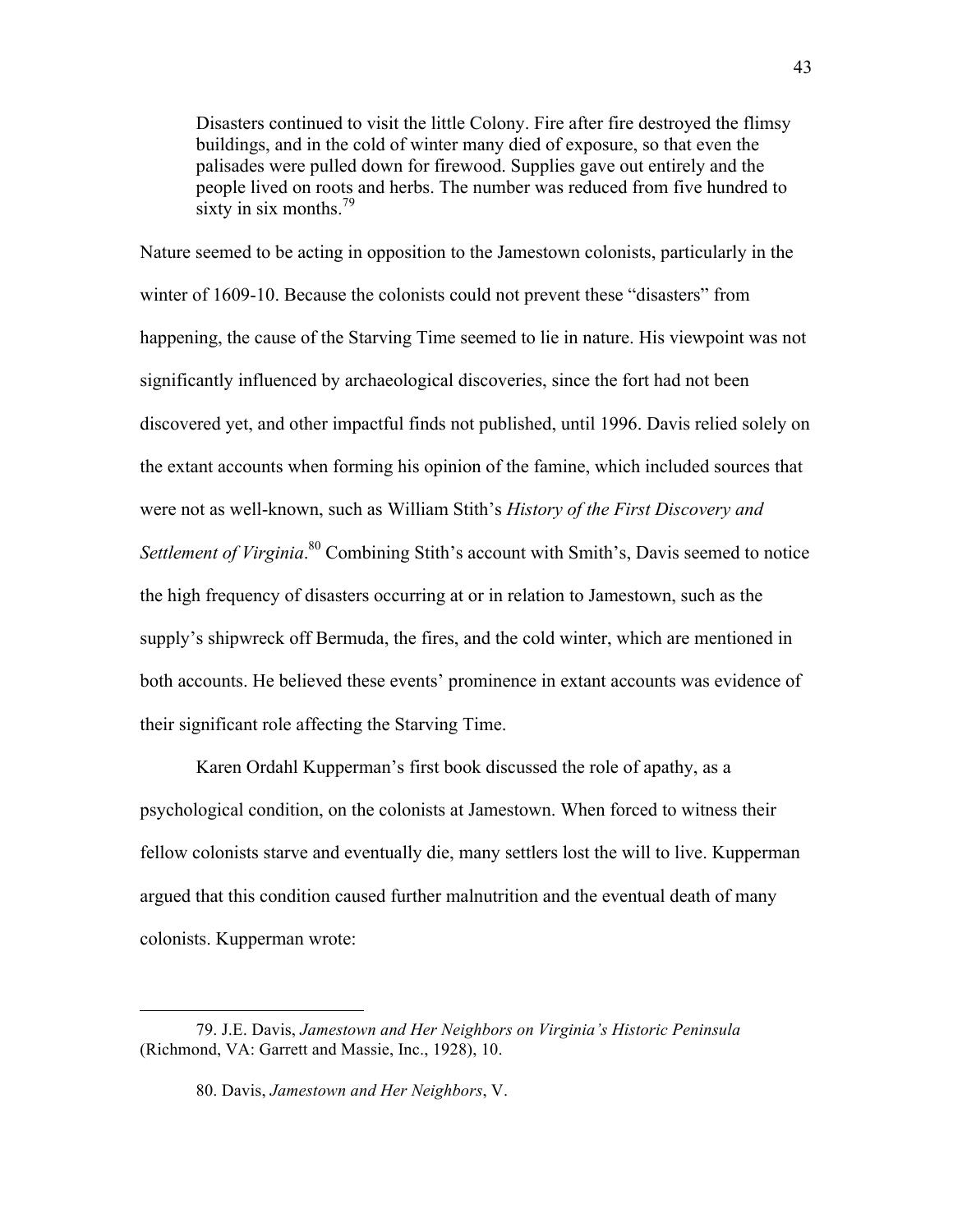Disasters continued to visit the little Colony. Fire after fire destroyed the flimsy buildings, and in the cold of winter many died of exposure, so that even the palisades were pulled down for firewood. Supplies gave out entirely and the people lived on roots and herbs. The number was reduced from five hundred to sixty in six months. $^{79}$ 

Nature seemed to be acting in opposition to the Jamestown colonists, particularly in the winter of 1609-10. Because the colonists could not prevent these "disasters" from happening, the cause of the Starving Time seemed to lie in nature. His viewpoint was not significantly influenced by archaeological discoveries, since the fort had not been discovered yet, and other impactful finds not published, until 1996. Davis relied solely on the extant accounts when forming his opinion of the famine, which included sources that were not as well-known, such as William Stith's *History of the First Discovery and*  Settlement of Virginia.<sup>80</sup> Combining Stith's account with Smith's, Davis seemed to notice the high frequency of disasters occurring at or in relation to Jamestown, such as the supply's shipwreck off Bermuda, the fires, and the cold winter, which are mentioned in both accounts. He believed these events' prominence in extant accounts was evidence of their significant role affecting the Starving Time.

Karen Ordahl Kupperman's first book discussed the role of apathy, as a psychological condition, on the colonists at Jamestown. When forced to witness their fellow colonists starve and eventually die, many settlers lost the will to live. Kupperman argued that this condition caused further malnutrition and the eventual death of many colonists. Kupperman wrote:

<sup>79.</sup> J.E. Davis, *Jamestown and Her Neighbors on Virginia's Historic Peninsula* (Richmond, VA: Garrett and Massie, Inc., 1928), 10.

<sup>80.</sup> Davis, *Jamestown and Her Neighbors*, V.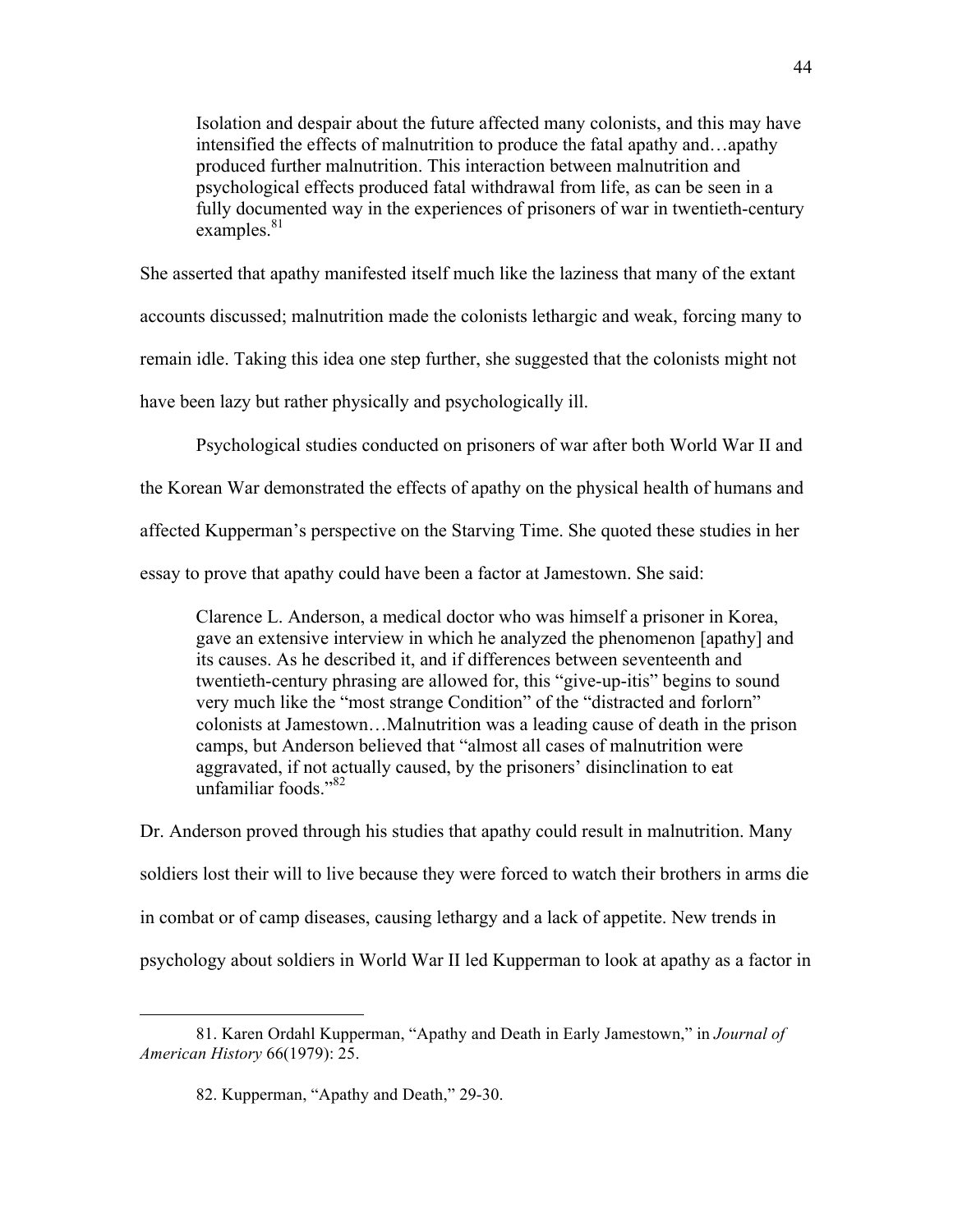Isolation and despair about the future affected many colonists, and this may have intensified the effects of malnutrition to produce the fatal apathy and…apathy produced further malnutrition. This interaction between malnutrition and psychological effects produced fatal withdrawal from life, as can be seen in a fully documented way in the experiences of prisoners of war in twentieth-century examples. $81$ 

She asserted that apathy manifested itself much like the laziness that many of the extant accounts discussed; malnutrition made the colonists lethargic and weak, forcing many to remain idle. Taking this idea one step further, she suggested that the colonists might not have been lazy but rather physically and psychologically ill.

Psychological studies conducted on prisoners of war after both World War II and the Korean War demonstrated the effects of apathy on the physical health of humans and affected Kupperman's perspective on the Starving Time. She quoted these studies in her essay to prove that apathy could have been a factor at Jamestown. She said:

Clarence L. Anderson, a medical doctor who was himself a prisoner in Korea, gave an extensive interview in which he analyzed the phenomenon [apathy] and its causes. As he described it, and if differences between seventeenth and twentieth-century phrasing are allowed for, this "give-up-itis" begins to sound very much like the "most strange Condition" of the "distracted and forlorn" colonists at Jamestown…Malnutrition was a leading cause of death in the prison camps, but Anderson believed that "almost all cases of malnutrition were aggravated, if not actually caused, by the prisoners' disinclination to eat unfamiliar foods."<sup>82</sup>

Dr. Anderson proved through his studies that apathy could result in malnutrition. Many soldiers lost their will to live because they were forced to watch their brothers in arms die in combat or of camp diseases, causing lethargy and a lack of appetite. New trends in psychology about soldiers in World War II led Kupperman to look at apathy as a factor in

<sup>81.</sup> Karen Ordahl Kupperman, "Apathy and Death in Early Jamestown," in *Journal of American History* 66(1979): 25.

<sup>82.</sup> Kupperman, "Apathy and Death," 29-30.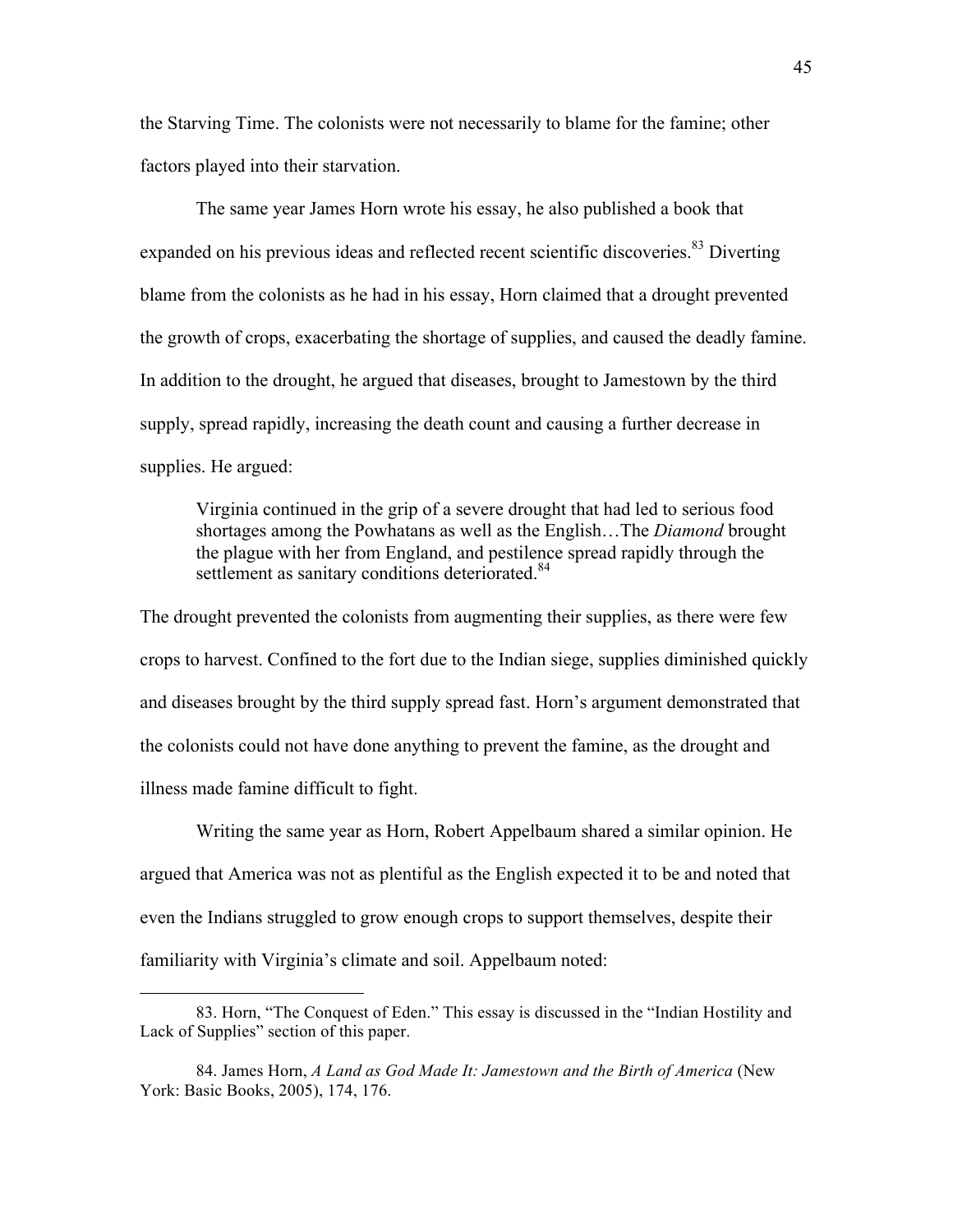the Starving Time. The colonists were not necessarily to blame for the famine; other factors played into their starvation.

The same year James Horn wrote his essay, he also published a book that expanded on his previous ideas and reflected recent scientific discoveries.<sup>83</sup> Diverting blame from the colonists as he had in his essay, Horn claimed that a drought prevented the growth of crops, exacerbating the shortage of supplies, and caused the deadly famine. In addition to the drought, he argued that diseases, brought to Jamestown by the third supply, spread rapidly, increasing the death count and causing a further decrease in supplies. He argued:

Virginia continued in the grip of a severe drought that had led to serious food shortages among the Powhatans as well as the English…The *Diamond* brought the plague with her from England, and pestilence spread rapidly through the settlement as sanitary conditions deteriorated.<sup>84</sup>

The drought prevented the colonists from augmenting their supplies, as there were few crops to harvest. Confined to the fort due to the Indian siege, supplies diminished quickly and diseases brought by the third supply spread fast. Horn's argument demonstrated that the colonists could not have done anything to prevent the famine, as the drought and illness made famine difficult to fight.

Writing the same year as Horn, Robert Appelbaum shared a similar opinion. He argued that America was not as plentiful as the English expected it to be and noted that even the Indians struggled to grow enough crops to support themselves, despite their familiarity with Virginia's climate and soil. Appelbaum noted:

<sup>83.</sup> Horn, "The Conquest of Eden." This essay is discussed in the "Indian Hostility and Lack of Supplies" section of this paper.

<sup>84.</sup> James Horn, *A Land as God Made It: Jamestown and the Birth of America* (New York: Basic Books, 2005), 174, 176.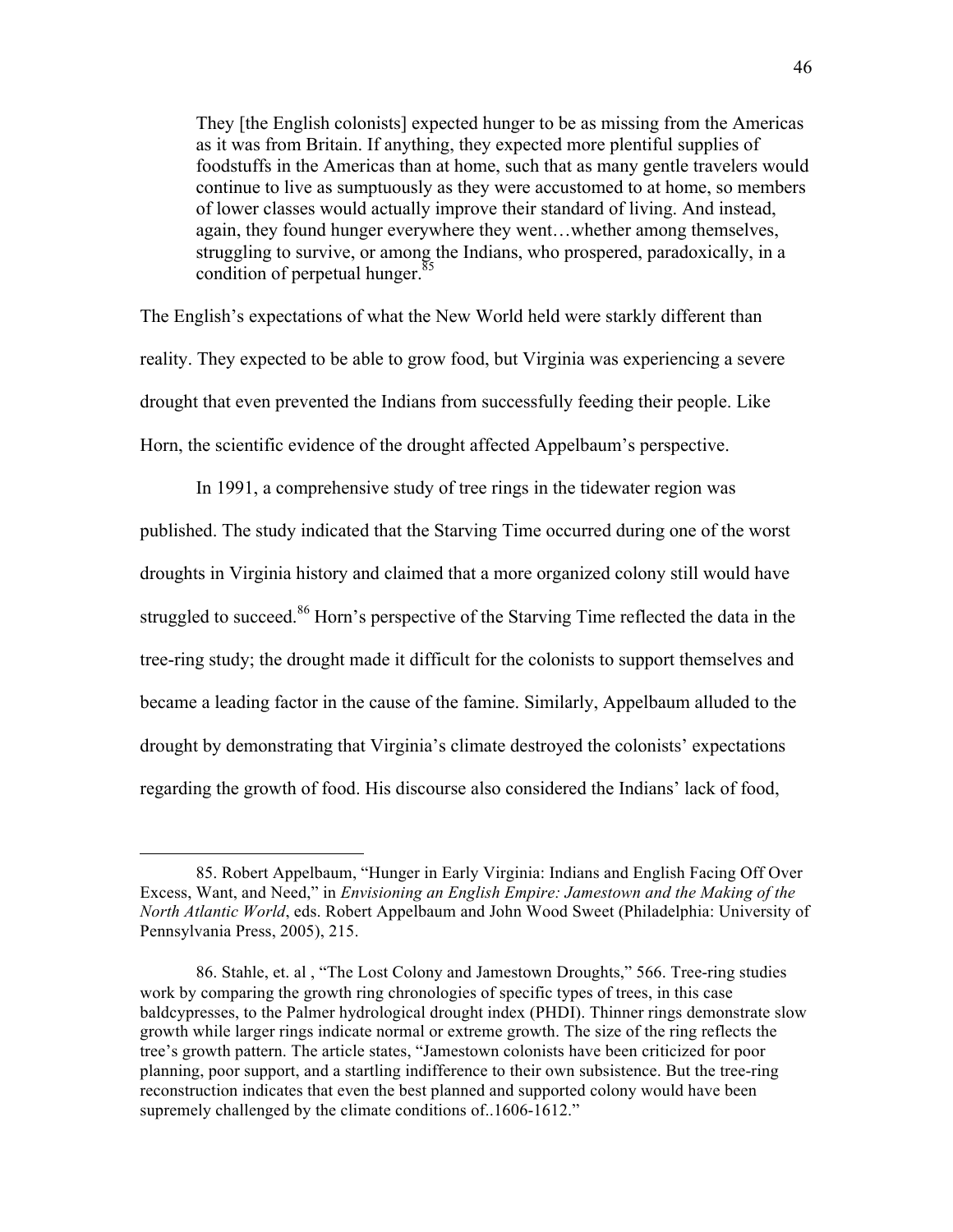They [the English colonists] expected hunger to be as missing from the Americas as it was from Britain. If anything, they expected more plentiful supplies of foodstuffs in the Americas than at home, such that as many gentle travelers would continue to live as sumptuously as they were accustomed to at home, so members of lower classes would actually improve their standard of living. And instead, again, they found hunger everywhere they went…whether among themselves, struggling to survive, or among the Indians, who prospered, paradoxically, in a condition of perpetual hunger. $85$ 

The English's expectations of what the New World held were starkly different than reality. They expected to be able to grow food, but Virginia was experiencing a severe drought that even prevented the Indians from successfully feeding their people. Like Horn, the scientific evidence of the drought affected Appelbaum's perspective.

In 1991, a comprehensive study of tree rings in the tidewater region was published. The study indicated that the Starving Time occurred during one of the worst droughts in Virginia history and claimed that a more organized colony still would have struggled to succeed.<sup>86</sup> Horn's perspective of the Starving Time reflected the data in the tree-ring study; the drought made it difficult for the colonists to support themselves and became a leading factor in the cause of the famine. Similarly, Appelbaum alluded to the drought by demonstrating that Virginia's climate destroyed the colonists' expectations regarding the growth of food. His discourse also considered the Indians' lack of food,

<sup>85.</sup> Robert Appelbaum, "Hunger in Early Virginia: Indians and English Facing Off Over Excess, Want, and Need," in *Envisioning an English Empire: Jamestown and the Making of the North Atlantic World*, eds. Robert Appelbaum and John Wood Sweet (Philadelphia: University of Pennsylvania Press, 2005), 215.

<sup>86.</sup> Stahle, et. al , "The Lost Colony and Jamestown Droughts," 566. Tree-ring studies work by comparing the growth ring chronologies of specific types of trees, in this case baldcypresses, to the Palmer hydrological drought index (PHDI). Thinner rings demonstrate slow growth while larger rings indicate normal or extreme growth. The size of the ring reflects the tree's growth pattern. The article states, "Jamestown colonists have been criticized for poor planning, poor support, and a startling indifference to their own subsistence. But the tree-ring reconstruction indicates that even the best planned and supported colony would have been supremely challenged by the climate conditions of ...1606-1612."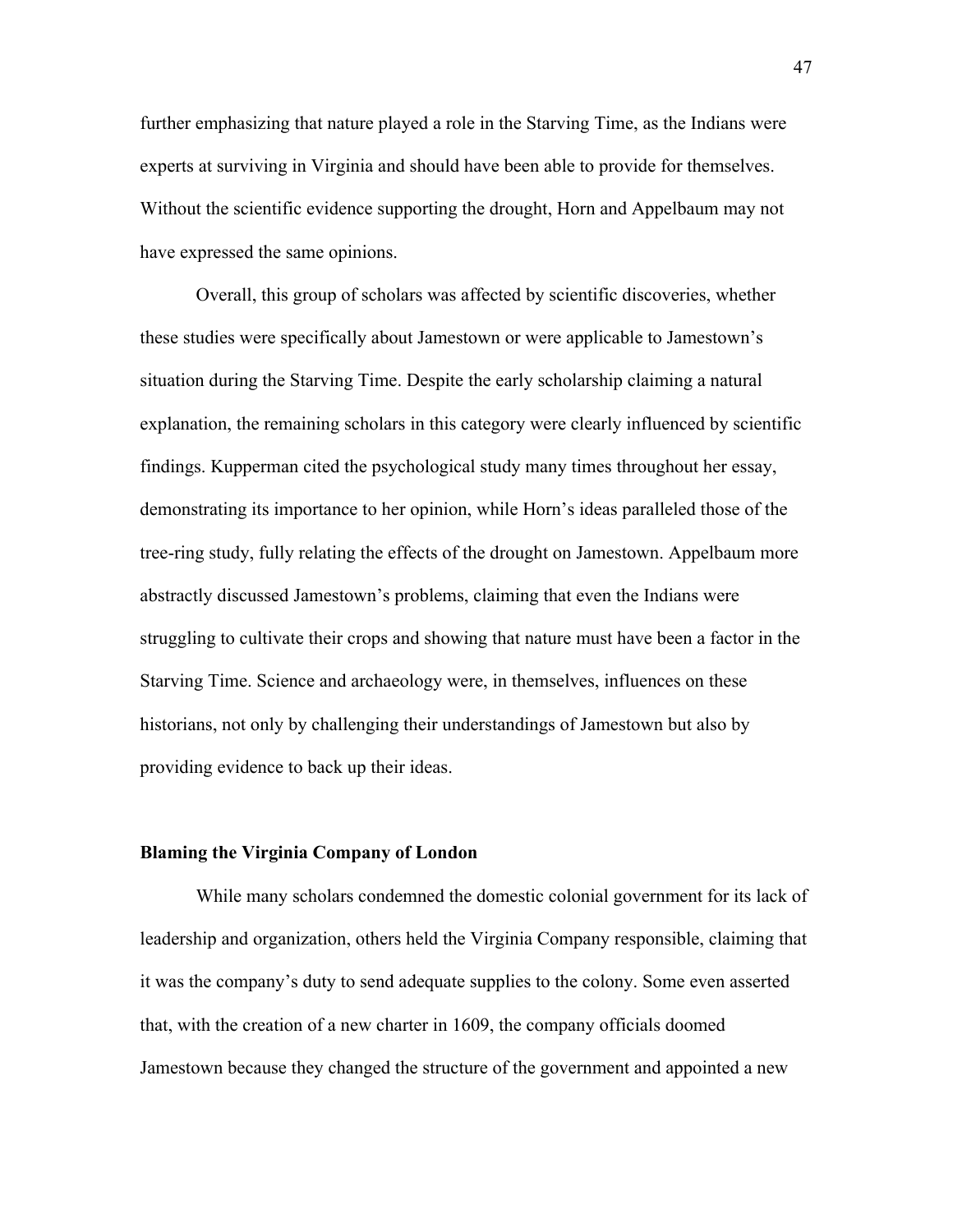further emphasizing that nature played a role in the Starving Time, as the Indians were experts at surviving in Virginia and should have been able to provide for themselves. Without the scientific evidence supporting the drought, Horn and Appelbaum may not have expressed the same opinions.

Overall, this group of scholars was affected by scientific discoveries, whether these studies were specifically about Jamestown or were applicable to Jamestown's situation during the Starving Time. Despite the early scholarship claiming a natural explanation, the remaining scholars in this category were clearly influenced by scientific findings. Kupperman cited the psychological study many times throughout her essay, demonstrating its importance to her opinion, while Horn's ideas paralleled those of the tree-ring study, fully relating the effects of the drought on Jamestown. Appelbaum more abstractly discussed Jamestown's problems, claiming that even the Indians were struggling to cultivate their crops and showing that nature must have been a factor in the Starving Time. Science and archaeology were, in themselves, influences on these historians, not only by challenging their understandings of Jamestown but also by providing evidence to back up their ideas.

#### **Blaming the Virginia Company of London**

While many scholars condemned the domestic colonial government for its lack of leadership and organization, others held the Virginia Company responsible, claiming that it was the company's duty to send adequate supplies to the colony. Some even asserted that, with the creation of a new charter in 1609, the company officials doomed Jamestown because they changed the structure of the government and appointed a new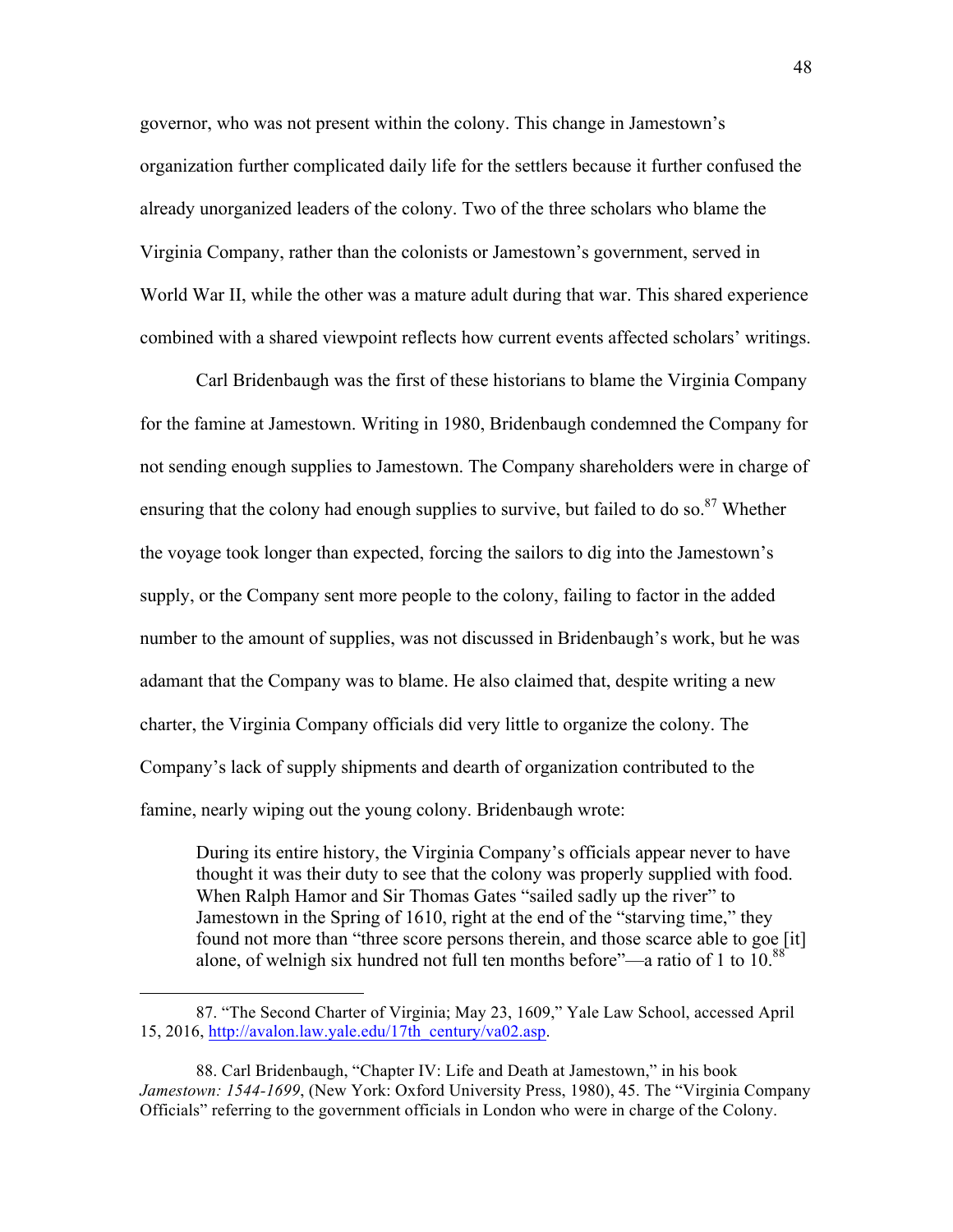governor, who was not present within the colony. This change in Jamestown's organization further complicated daily life for the settlers because it further confused the already unorganized leaders of the colony. Two of the three scholars who blame the Virginia Company, rather than the colonists or Jamestown's government, served in World War II, while the other was a mature adult during that war. This shared experience combined with a shared viewpoint reflects how current events affected scholars' writings.

Carl Bridenbaugh was the first of these historians to blame the Virginia Company for the famine at Jamestown. Writing in 1980, Bridenbaugh condemned the Company for not sending enough supplies to Jamestown. The Company shareholders were in charge of ensuring that the colony had enough supplies to survive, but failed to do so.<sup>87</sup> Whether the voyage took longer than expected, forcing the sailors to dig into the Jamestown's supply, or the Company sent more people to the colony, failing to factor in the added number to the amount of supplies, was not discussed in Bridenbaugh's work, but he was adamant that the Company was to blame. He also claimed that, despite writing a new charter, the Virginia Company officials did very little to organize the colony. The Company's lack of supply shipments and dearth of organization contributed to the famine, nearly wiping out the young colony. Bridenbaugh wrote:

During its entire history, the Virginia Company's officials appear never to have thought it was their duty to see that the colony was properly supplied with food. When Ralph Hamor and Sir Thomas Gates "sailed sadly up the river" to Jamestown in the Spring of 1610, right at the end of the "starving time," they found not more than "three score persons therein, and those scarce able to goe [it] alone, of welnigh six hundred not full ten months before"—a ratio of 1 to 10.<sup>88</sup>

<sup>87. &</sup>quot;The Second Charter of Virginia; May 23, 1609," Yale Law School, accessed April 15, 2016, http://avalon.law.yale.edu/17th\_century/va02.asp.

<sup>88.</sup> Carl Bridenbaugh, "Chapter IV: Life and Death at Jamestown," in his book *Jamestown: 1544-1699*, (New York: Oxford University Press, 1980), 45. The "Virginia Company Officials" referring to the government officials in London who were in charge of the Colony.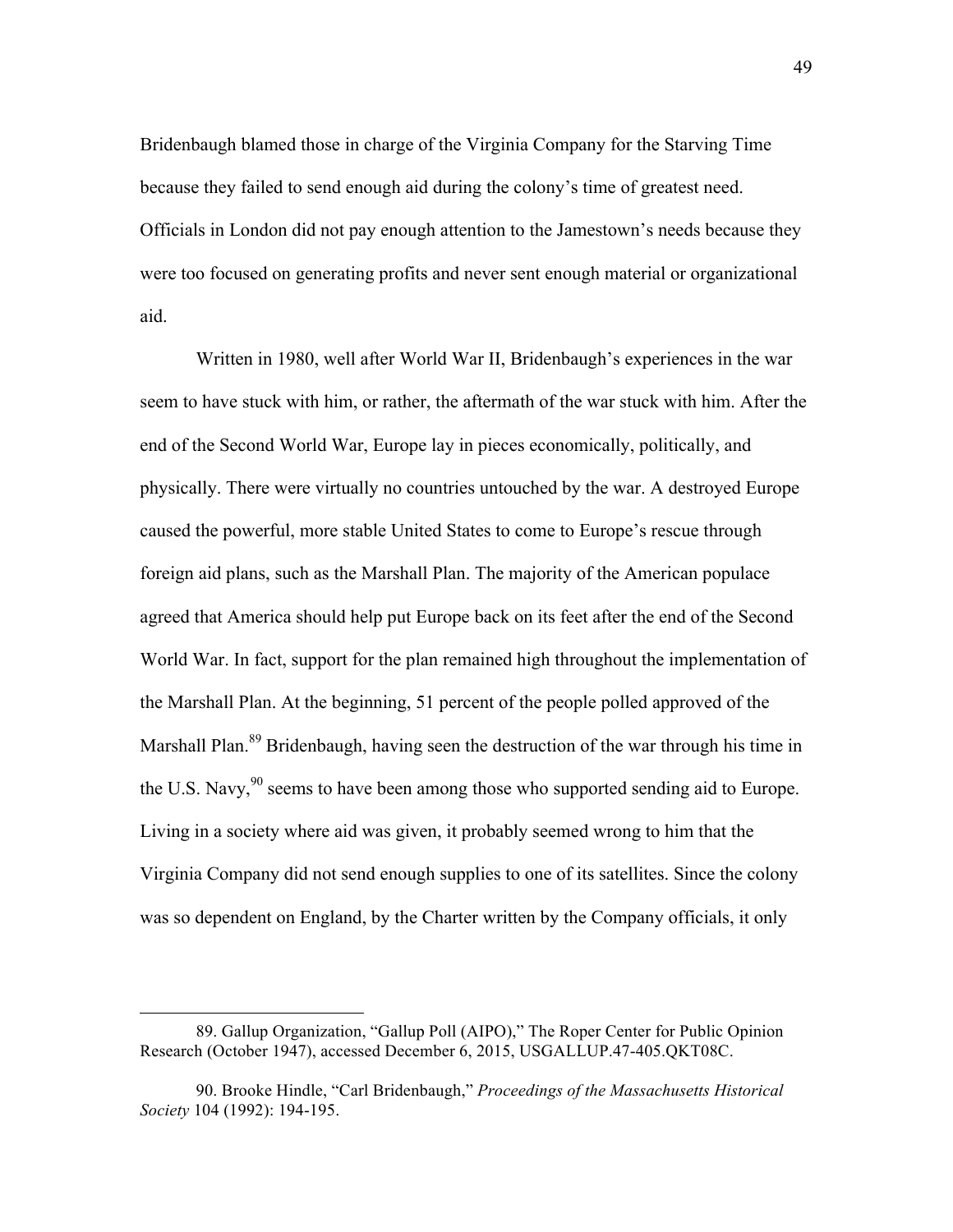Bridenbaugh blamed those in charge of the Virginia Company for the Starving Time because they failed to send enough aid during the colony's time of greatest need. Officials in London did not pay enough attention to the Jamestown's needs because they were too focused on generating profits and never sent enough material or organizational aid.

Written in 1980, well after World War II, Bridenbaugh's experiences in the war seem to have stuck with him, or rather, the aftermath of the war stuck with him. After the end of the Second World War, Europe lay in pieces economically, politically, and physically. There were virtually no countries untouched by the war. A destroyed Europe caused the powerful, more stable United States to come to Europe's rescue through foreign aid plans, such as the Marshall Plan. The majority of the American populace agreed that America should help put Europe back on its feet after the end of the Second World War. In fact, support for the plan remained high throughout the implementation of the Marshall Plan. At the beginning, 51 percent of the people polled approved of the Marshall Plan.<sup>89</sup> Bridenbaugh, having seen the destruction of the war through his time in the U.S. Navy,  $90$  seems to have been among those who supported sending aid to Europe. Living in a society where aid was given, it probably seemed wrong to him that the Virginia Company did not send enough supplies to one of its satellites. Since the colony was so dependent on England, by the Charter written by the Company officials, it only

<sup>89.</sup> Gallup Organization, "Gallup Poll (AIPO)," The Roper Center for Public Opinion Research (October 1947), accessed December 6, 2015, USGALLUP.47-405.QKT08C.

<sup>90.</sup> Brooke Hindle, "Carl Bridenbaugh," *Proceedings of the Massachusetts Historical Society* 104 (1992): 194-195.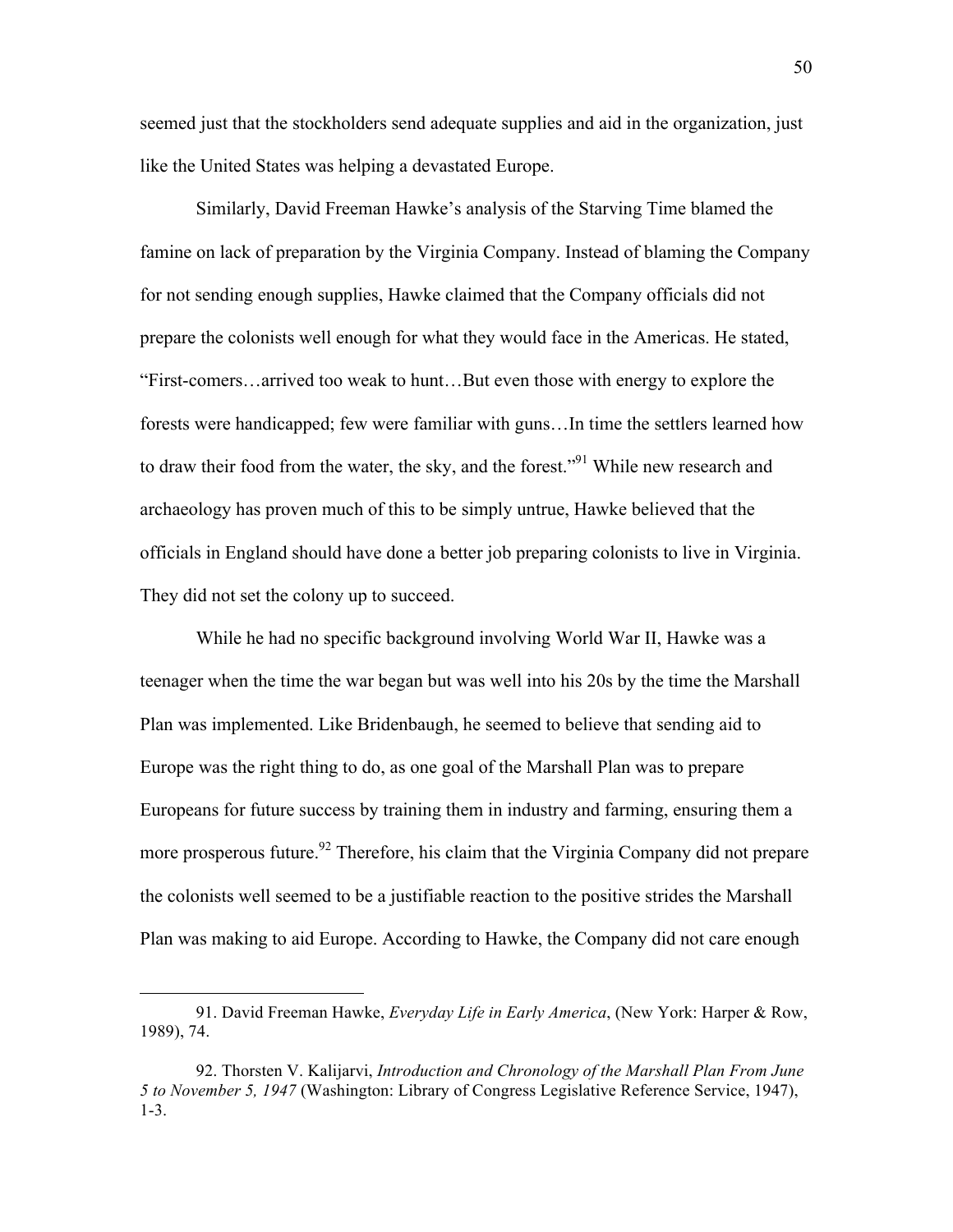seemed just that the stockholders send adequate supplies and aid in the organization, just like the United States was helping a devastated Europe.

Similarly, David Freeman Hawke's analysis of the Starving Time blamed the famine on lack of preparation by the Virginia Company. Instead of blaming the Company for not sending enough supplies, Hawke claimed that the Company officials did not prepare the colonists well enough for what they would face in the Americas. He stated, "First-comers…arrived too weak to hunt…But even those with energy to explore the forests were handicapped; few were familiar with guns…In time the settlers learned how to draw their food from the water, the sky, and the forest."<sup>91</sup> While new research and archaeology has proven much of this to be simply untrue, Hawke believed that the officials in England should have done a better job preparing colonists to live in Virginia. They did not set the colony up to succeed.

While he had no specific background involving World War II, Hawke was a teenager when the time the war began but was well into his 20s by the time the Marshall Plan was implemented. Like Bridenbaugh, he seemed to believe that sending aid to Europe was the right thing to do, as one goal of the Marshall Plan was to prepare Europeans for future success by training them in industry and farming, ensuring them a more prosperous future.<sup>92</sup> Therefore, his claim that the Virginia Company did not prepare the colonists well seemed to be a justifiable reaction to the positive strides the Marshall Plan was making to aid Europe. According to Hawke, the Company did not care enough

<sup>91.</sup> David Freeman Hawke, *Everyday Life in Early America*, (New York: Harper & Row, 1989), 74.

<sup>92.</sup> Thorsten V. Kalijarvi, *Introduction and Chronology of the Marshall Plan From June 5 to November 5, 1947* (Washington: Library of Congress Legislative Reference Service, 1947), 1-3.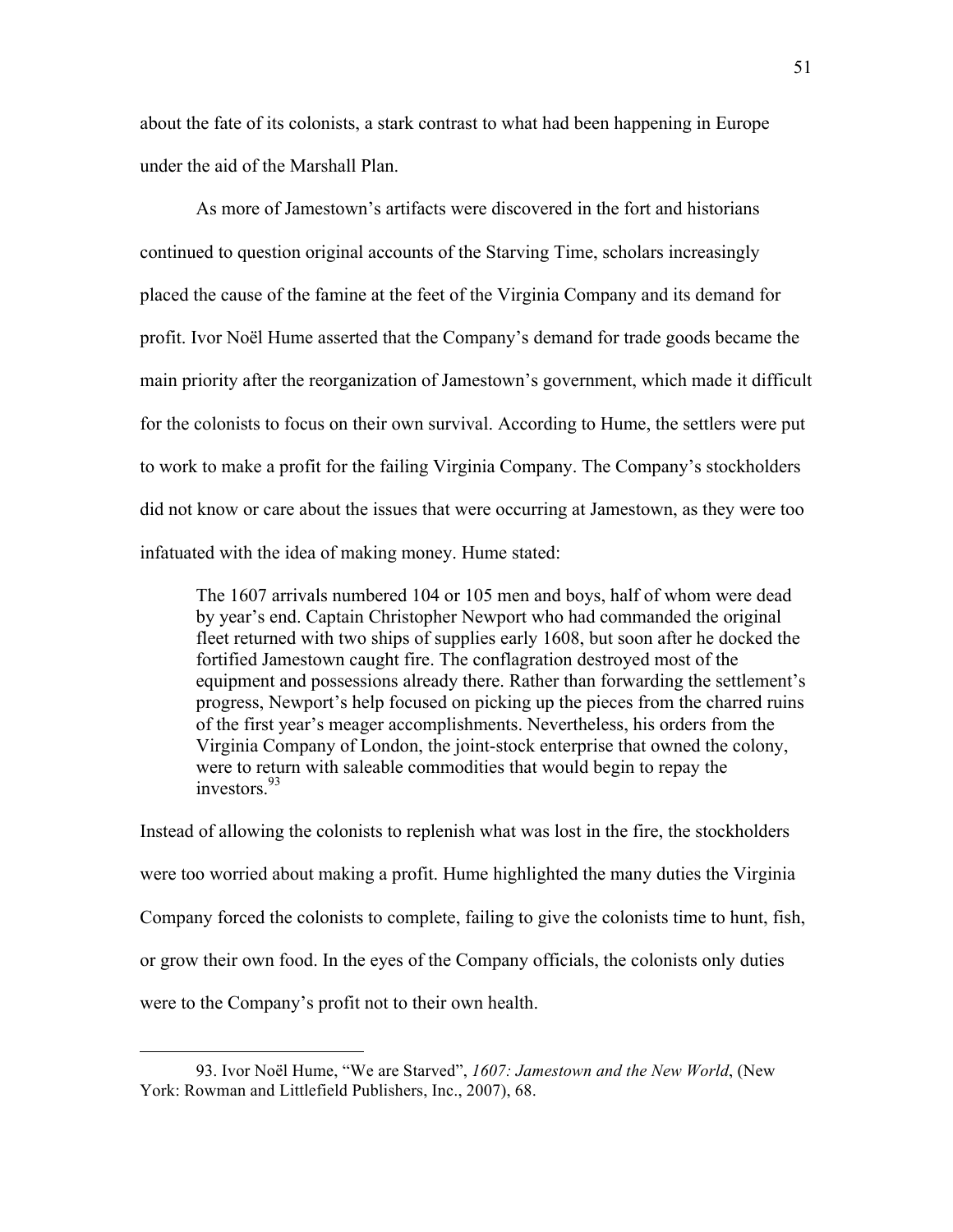about the fate of its colonists, a stark contrast to what had been happening in Europe under the aid of the Marshall Plan.

As more of Jamestown's artifacts were discovered in the fort and historians continued to question original accounts of the Starving Time, scholars increasingly placed the cause of the famine at the feet of the Virginia Company and its demand for profit. Ivor Noël Hume asserted that the Company's demand for trade goods became the main priority after the reorganization of Jamestown's government, which made it difficult for the colonists to focus on their own survival. According to Hume, the settlers were put to work to make a profit for the failing Virginia Company. The Company's stockholders did not know or care about the issues that were occurring at Jamestown, as they were too infatuated with the idea of making money. Hume stated:

The 1607 arrivals numbered 104 or 105 men and boys, half of whom were dead by year's end. Captain Christopher Newport who had commanded the original fleet returned with two ships of supplies early 1608, but soon after he docked the fortified Jamestown caught fire. The conflagration destroyed most of the equipment and possessions already there. Rather than forwarding the settlement's progress, Newport's help focused on picking up the pieces from the charred ruins of the first year's meager accomplishments. Nevertheless, his orders from the Virginia Company of London, the joint-stock enterprise that owned the colony, were to return with saleable commodities that would begin to repay the investors<sup>93</sup>

Instead of allowing the colonists to replenish what was lost in the fire, the stockholders were too worried about making a profit. Hume highlighted the many duties the Virginia Company forced the colonists to complete, failing to give the colonists time to hunt, fish, or grow their own food. In the eyes of the Company officials, the colonists only duties were to the Company's profit not to their own health.

<sup>93.</sup> Ivor Noël Hume, "We are Starved", *1607: Jamestown and the New World*, (New York: Rowman and Littlefield Publishers, Inc., 2007), 68.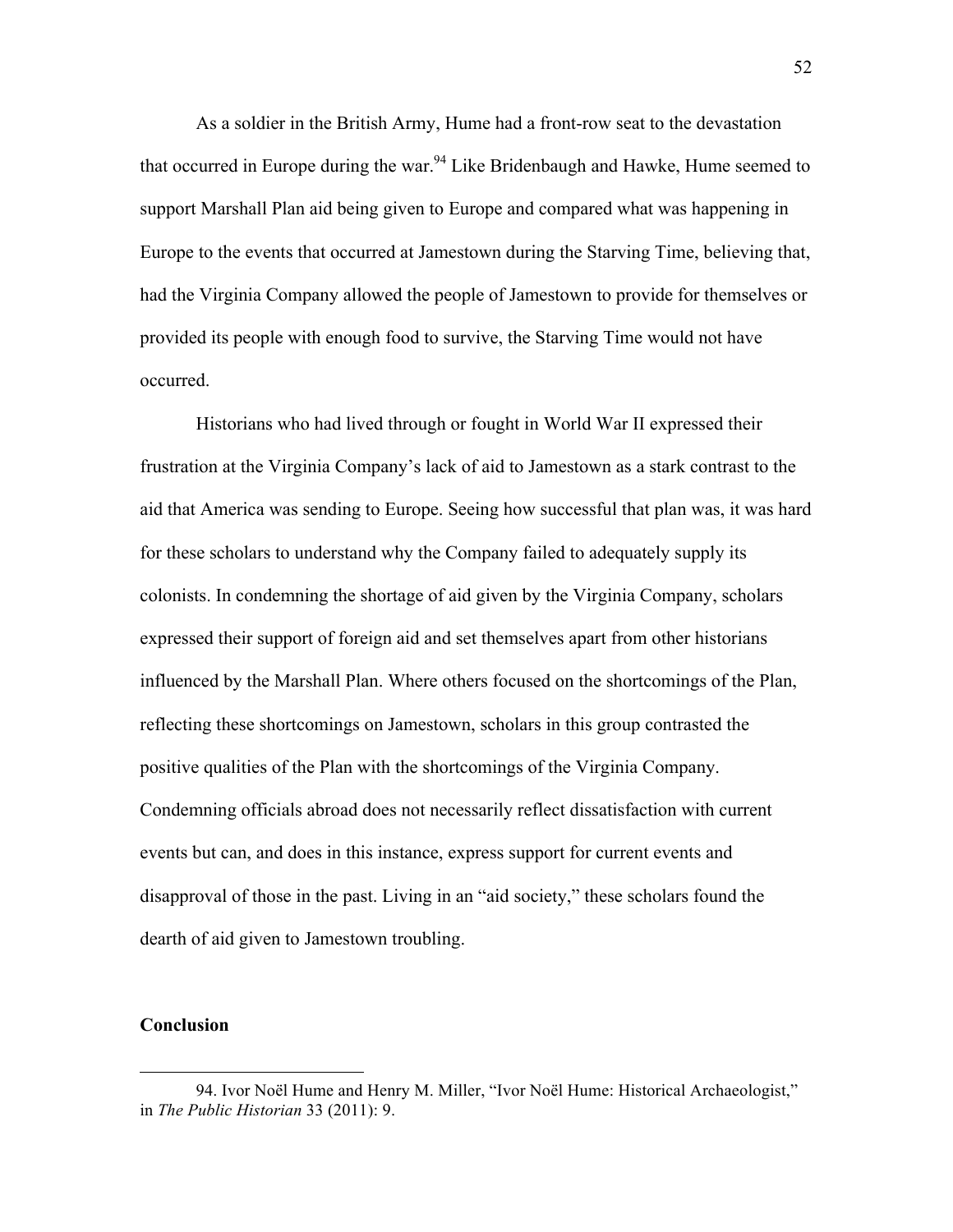As a soldier in the British Army, Hume had a front-row seat to the devastation that occurred in Europe during the war.<sup>94</sup> Like Bridenbaugh and Hawke, Hume seemed to support Marshall Plan aid being given to Europe and compared what was happening in Europe to the events that occurred at Jamestown during the Starving Time, believing that, had the Virginia Company allowed the people of Jamestown to provide for themselves or provided its people with enough food to survive, the Starving Time would not have occurred.

Historians who had lived through or fought in World War II expressed their frustration at the Virginia Company's lack of aid to Jamestown as a stark contrast to the aid that America was sending to Europe. Seeing how successful that plan was, it was hard for these scholars to understand why the Company failed to adequately supply its colonists. In condemning the shortage of aid given by the Virginia Company, scholars expressed their support of foreign aid and set themselves apart from other historians influenced by the Marshall Plan. Where others focused on the shortcomings of the Plan, reflecting these shortcomings on Jamestown, scholars in this group contrasted the positive qualities of the Plan with the shortcomings of the Virginia Company. Condemning officials abroad does not necessarily reflect dissatisfaction with current events but can, and does in this instance, express support for current events and disapproval of those in the past. Living in an "aid society," these scholars found the dearth of aid given to Jamestown troubling.

## **Conclusion**

<sup>94.</sup> Ivor Noël Hume and Henry M. Miller, "Ivor Noël Hume: Historical Archaeologist," in *The Public Historian* 33 (2011): 9.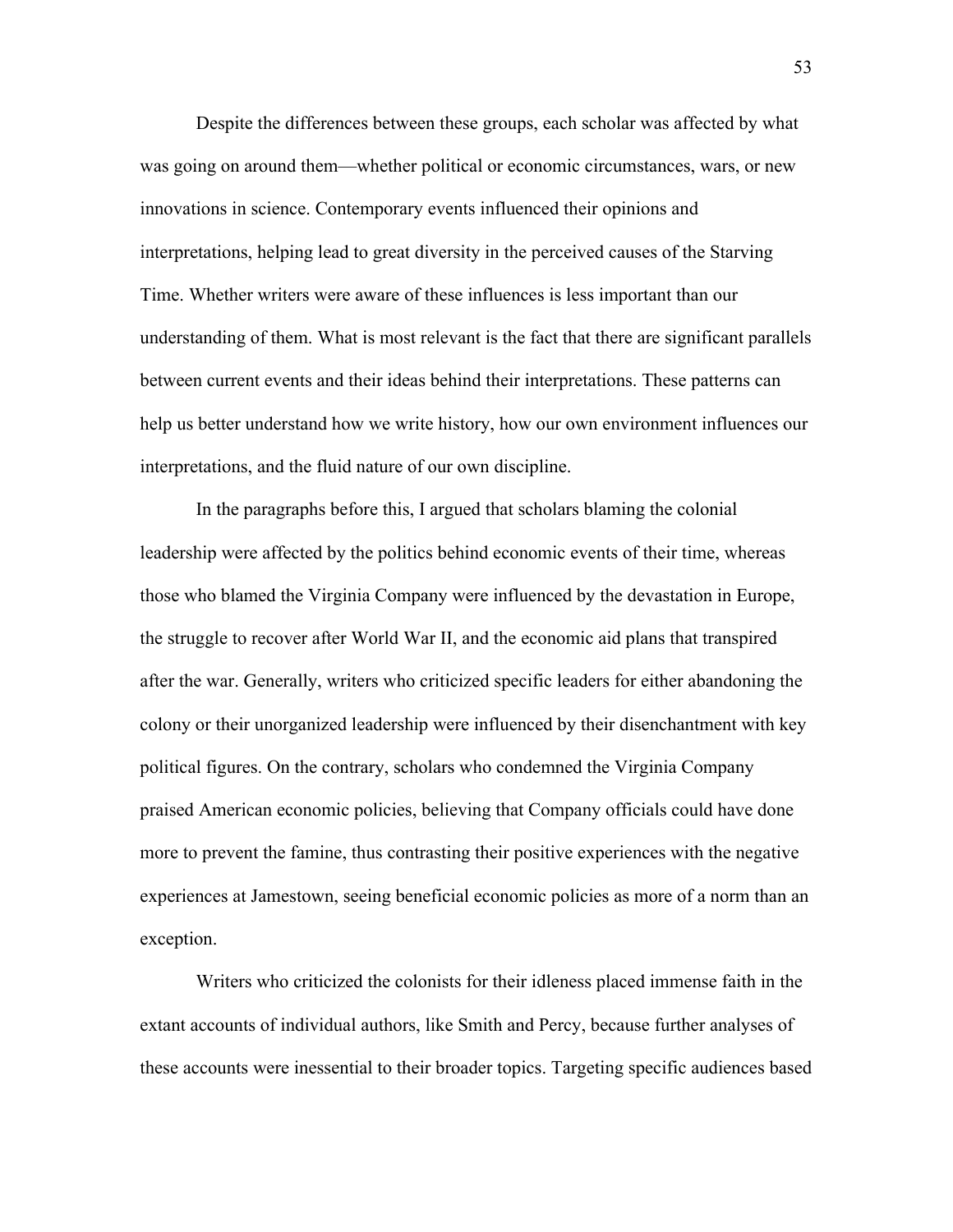Despite the differences between these groups, each scholar was affected by what was going on around them—whether political or economic circumstances, wars, or new innovations in science. Contemporary events influenced their opinions and interpretations, helping lead to great diversity in the perceived causes of the Starving Time. Whether writers were aware of these influences is less important than our understanding of them. What is most relevant is the fact that there are significant parallels between current events and their ideas behind their interpretations. These patterns can help us better understand how we write history, how our own environment influences our interpretations, and the fluid nature of our own discipline.

In the paragraphs before this, I argued that scholars blaming the colonial leadership were affected by the politics behind economic events of their time, whereas those who blamed the Virginia Company were influenced by the devastation in Europe, the struggle to recover after World War II, and the economic aid plans that transpired after the war. Generally, writers who criticized specific leaders for either abandoning the colony or their unorganized leadership were influenced by their disenchantment with key political figures. On the contrary, scholars who condemned the Virginia Company praised American economic policies, believing that Company officials could have done more to prevent the famine, thus contrasting their positive experiences with the negative experiences at Jamestown, seeing beneficial economic policies as more of a norm than an exception.

Writers who criticized the colonists for their idleness placed immense faith in the extant accounts of individual authors, like Smith and Percy, because further analyses of these accounts were inessential to their broader topics. Targeting specific audiences based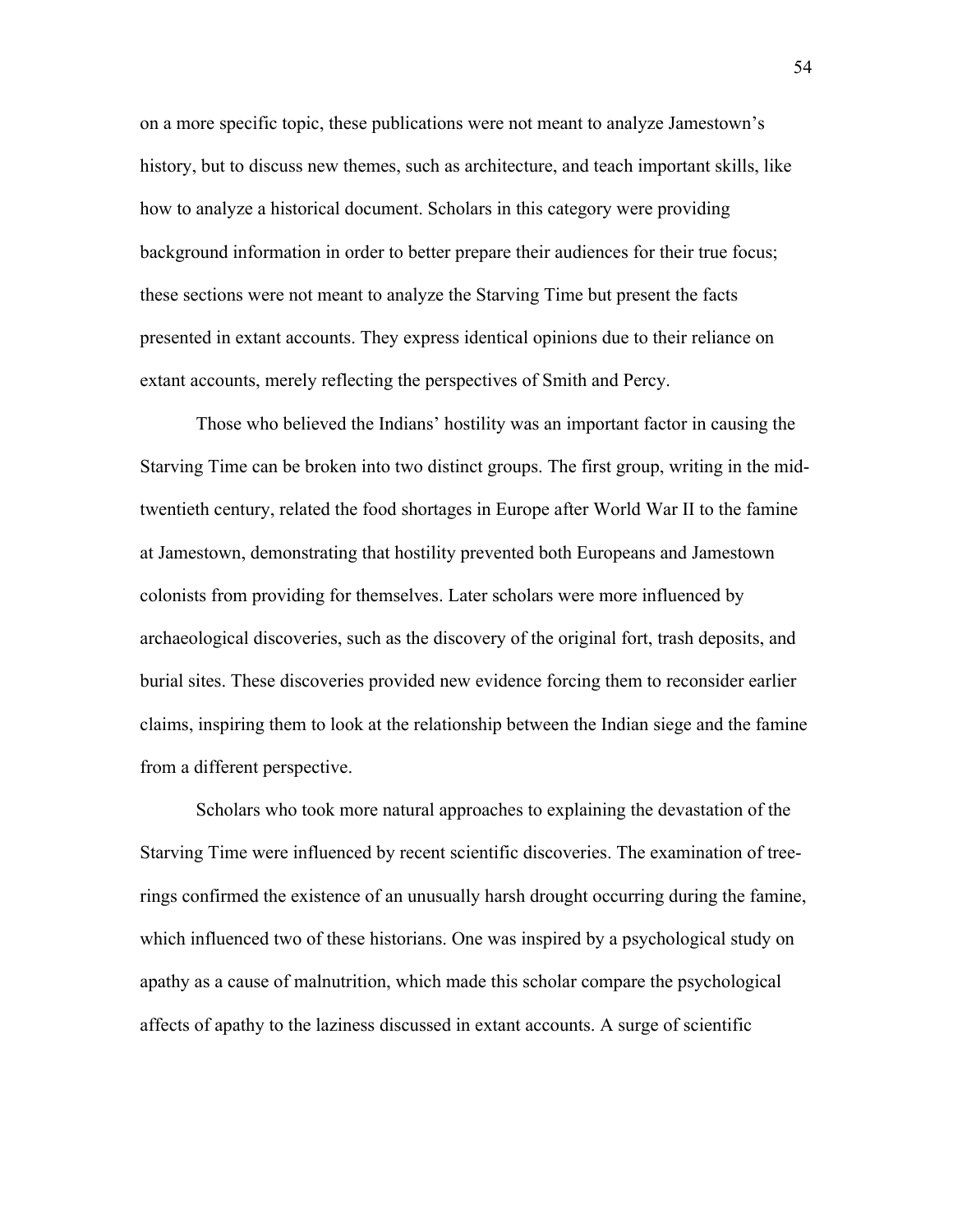on a more specific topic, these publications were not meant to analyze Jamestown's history, but to discuss new themes, such as architecture, and teach important skills, like how to analyze a historical document. Scholars in this category were providing background information in order to better prepare their audiences for their true focus; these sections were not meant to analyze the Starving Time but present the facts presented in extant accounts. They express identical opinions due to their reliance on extant accounts, merely reflecting the perspectives of Smith and Percy.

Those who believed the Indians' hostility was an important factor in causing the Starving Time can be broken into two distinct groups. The first group, writing in the midtwentieth century, related the food shortages in Europe after World War II to the famine at Jamestown, demonstrating that hostility prevented both Europeans and Jamestown colonists from providing for themselves. Later scholars were more influenced by archaeological discoveries, such as the discovery of the original fort, trash deposits, and burial sites. These discoveries provided new evidence forcing them to reconsider earlier claims, inspiring them to look at the relationship between the Indian siege and the famine from a different perspective.

Scholars who took more natural approaches to explaining the devastation of the Starving Time were influenced by recent scientific discoveries. The examination of treerings confirmed the existence of an unusually harsh drought occurring during the famine, which influenced two of these historians. One was inspired by a psychological study on apathy as a cause of malnutrition, which made this scholar compare the psychological affects of apathy to the laziness discussed in extant accounts. A surge of scientific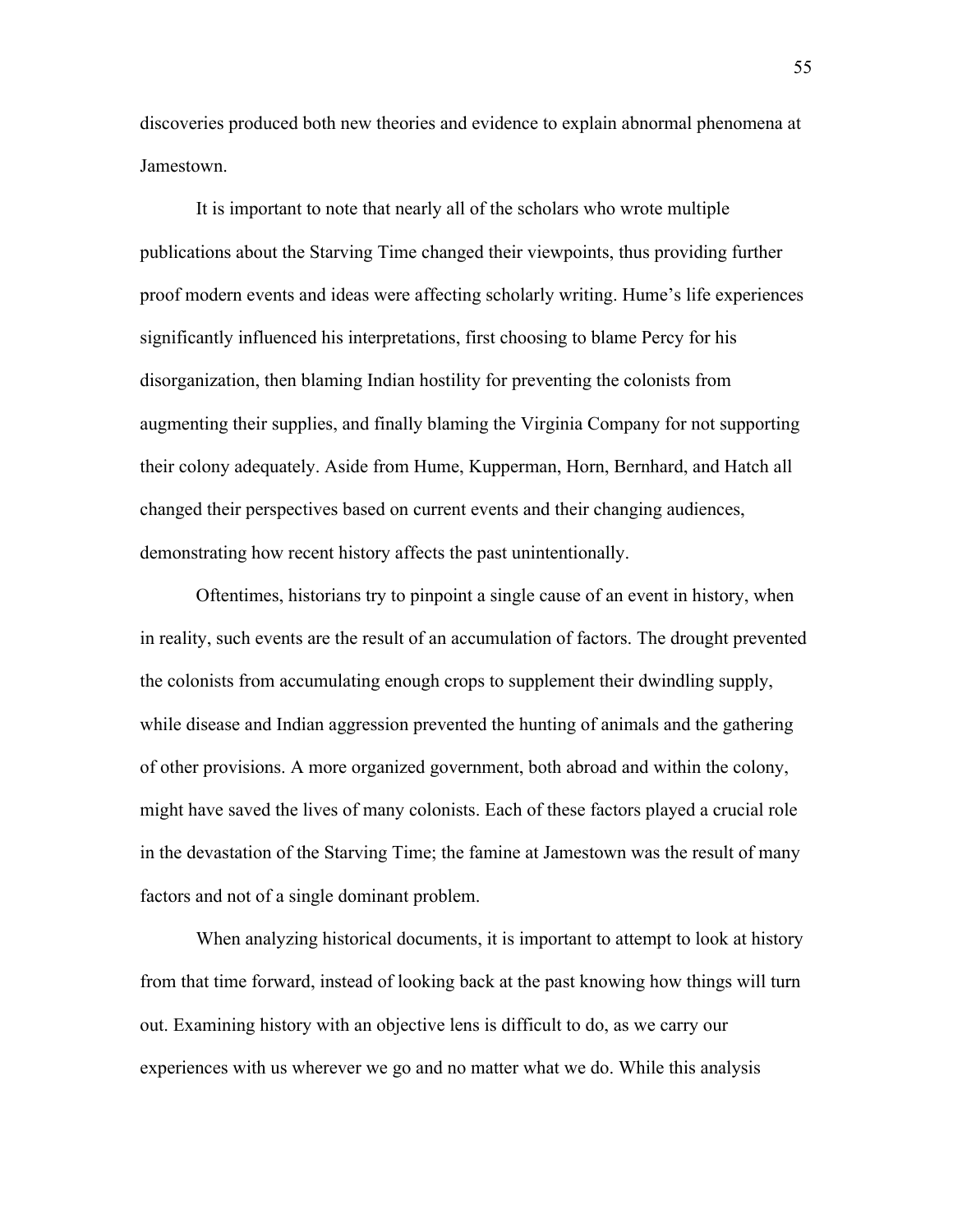discoveries produced both new theories and evidence to explain abnormal phenomena at Jamestown.

It is important to note that nearly all of the scholars who wrote multiple publications about the Starving Time changed their viewpoints, thus providing further proof modern events and ideas were affecting scholarly writing. Hume's life experiences significantly influenced his interpretations, first choosing to blame Percy for his disorganization, then blaming Indian hostility for preventing the colonists from augmenting their supplies, and finally blaming the Virginia Company for not supporting their colony adequately. Aside from Hume, Kupperman, Horn, Bernhard, and Hatch all changed their perspectives based on current events and their changing audiences, demonstrating how recent history affects the past unintentionally.

Oftentimes, historians try to pinpoint a single cause of an event in history, when in reality, such events are the result of an accumulation of factors. The drought prevented the colonists from accumulating enough crops to supplement their dwindling supply, while disease and Indian aggression prevented the hunting of animals and the gathering of other provisions. A more organized government, both abroad and within the colony, might have saved the lives of many colonists. Each of these factors played a crucial role in the devastation of the Starving Time; the famine at Jamestown was the result of many factors and not of a single dominant problem.

When analyzing historical documents, it is important to attempt to look at history from that time forward, instead of looking back at the past knowing how things will turn out. Examining history with an objective lens is difficult to do, as we carry our experiences with us wherever we go and no matter what we do. While this analysis

55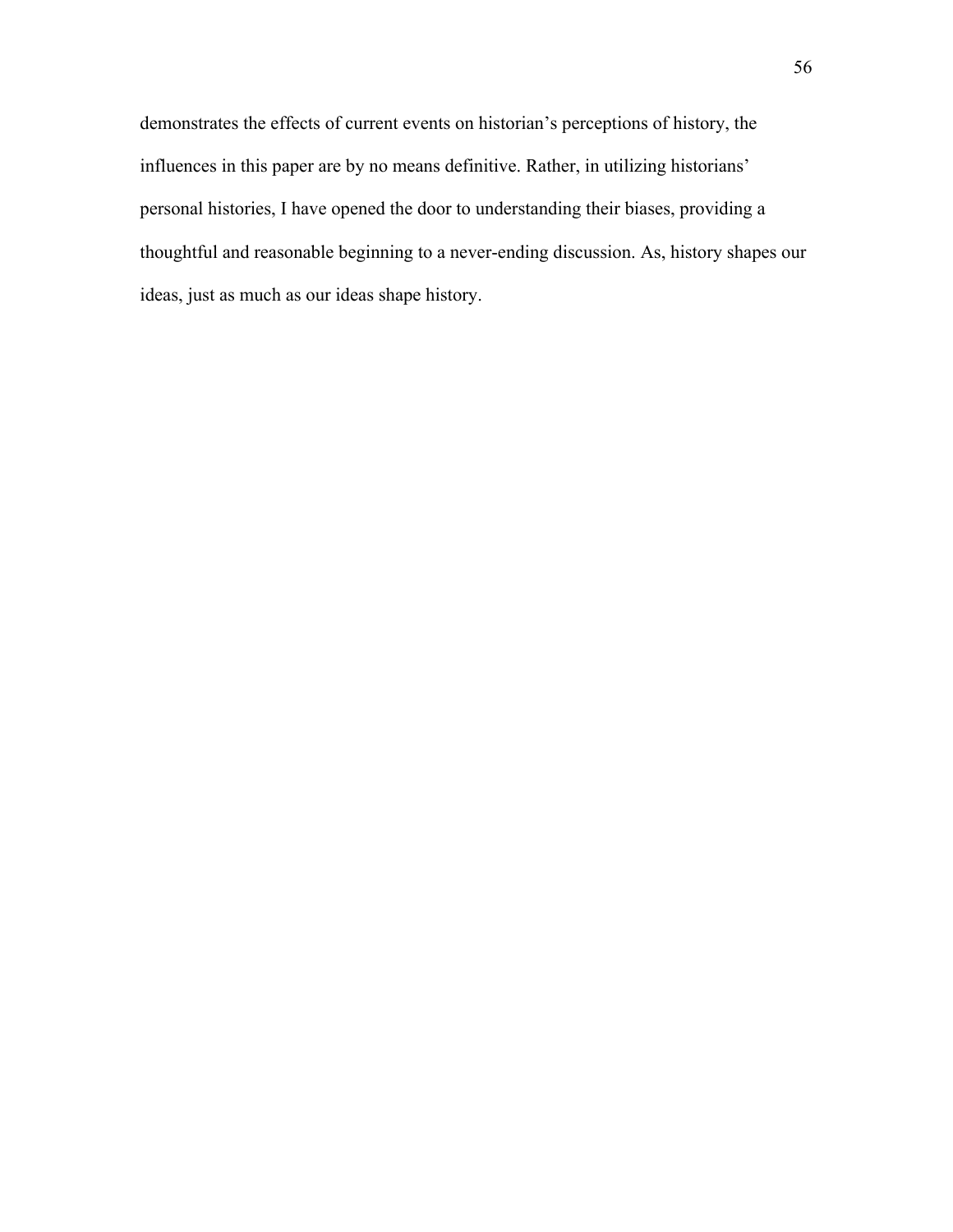demonstrates the effects of current events on historian's perceptions of history, the influences in this paper are by no means definitive. Rather, in utilizing historians' personal histories, I have opened the door to understanding their biases, providing a thoughtful and reasonable beginning to a never-ending discussion. As, history shapes our ideas, just as much as our ideas shape history.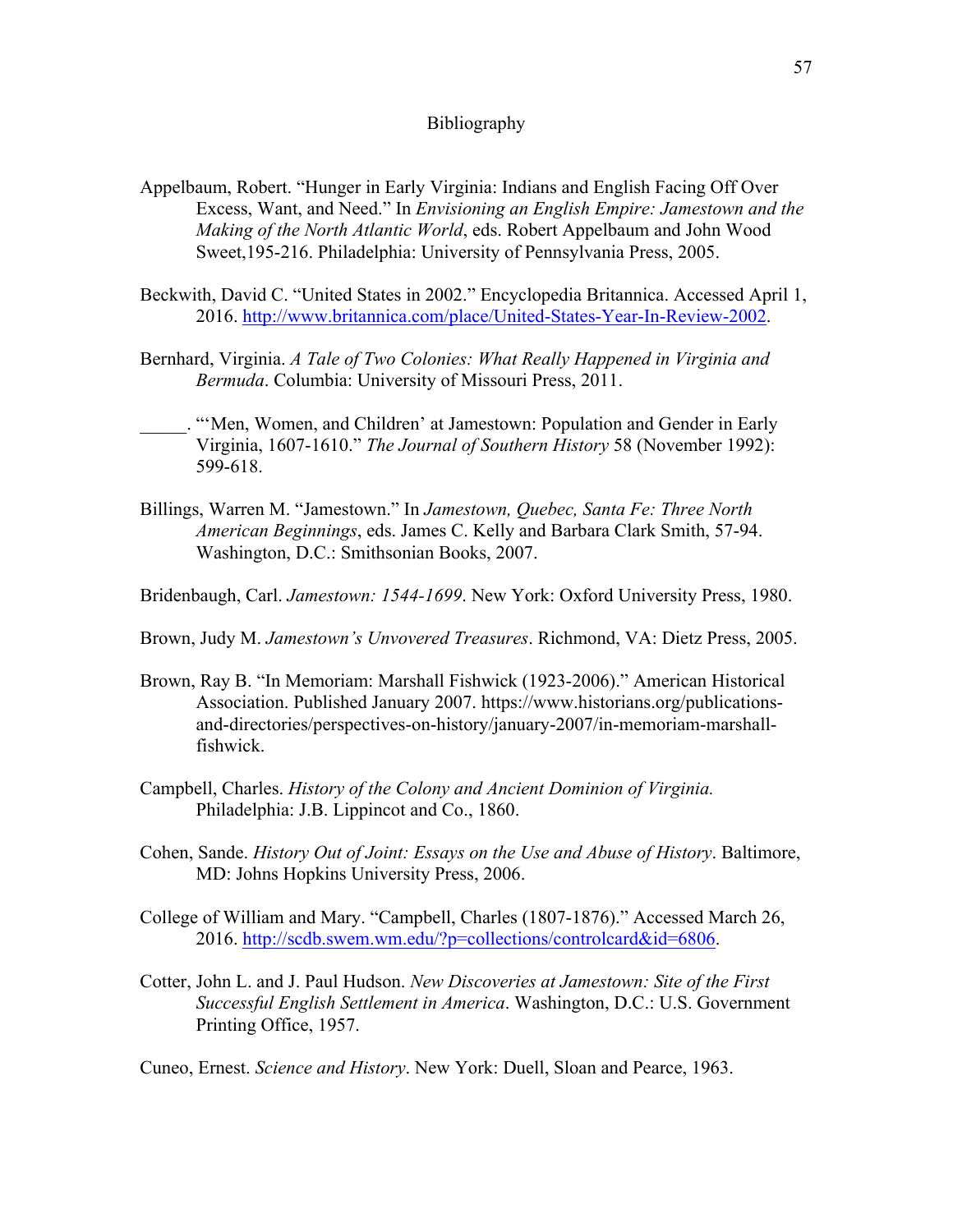## Bibliography

- Appelbaum, Robert. "Hunger in Early Virginia: Indians and English Facing Off Over Excess, Want, and Need." In *Envisioning an English Empire: Jamestown and the Making of the North Atlantic World*, eds. Robert Appelbaum and John Wood Sweet,195-216. Philadelphia: University of Pennsylvania Press, 2005.
- Beckwith, David C. "United States in 2002." Encyclopedia Britannica. Accessed April 1, 2016. http://www.britannica.com/place/United-States-Year-In-Review-2002.
- Bernhard, Virginia. *A Tale of Two Colonies: What Really Happened in Virginia and Bermuda*. Columbia: University of Missouri Press, 2011.
- "'Men, Women, and Children' at Jamestown: Population and Gender in Early Virginia, 1607-1610." *The Journal of Southern History* 58 (November 1992): 599-618.
- Billings, Warren M. "Jamestown." In *Jamestown, Quebec, Santa Fe: Three North American Beginnings*, eds. James C. Kelly and Barbara Clark Smith, 57-94. Washington, D.C.: Smithsonian Books, 2007.
- Bridenbaugh, Carl. *Jamestown: 1544-1699*. New York: Oxford University Press, 1980.
- Brown, Judy M. *Jamestown's Unvovered Treasures*. Richmond, VA: Dietz Press, 2005.
- Brown, Ray B. "In Memoriam: Marshall Fishwick (1923-2006)." American Historical Association. Published January 2007. https://www.historians.org/publicationsand-directories/perspectives-on-history/january-2007/in-memoriam-marshallfishwick.
- Campbell, Charles. *History of the Colony and Ancient Dominion of Virginia.* Philadelphia: J.B. Lippincot and Co., 1860.
- Cohen, Sande. *History Out of Joint: Essays on the Use and Abuse of History*. Baltimore, MD: Johns Hopkins University Press, 2006.
- College of William and Mary. "Campbell, Charles (1807-1876)." Accessed March 26, 2016. http://scdb.swem.wm.edu/?p=collections/controlcard&id=6806.
- Cotter, John L. and J. Paul Hudson. *New Discoveries at Jamestown: Site of the First Successful English Settlement in America*. Washington, D.C.: U.S. Government Printing Office, 1957.

Cuneo, Ernest. *Science and History*. New York: Duell, Sloan and Pearce, 1963.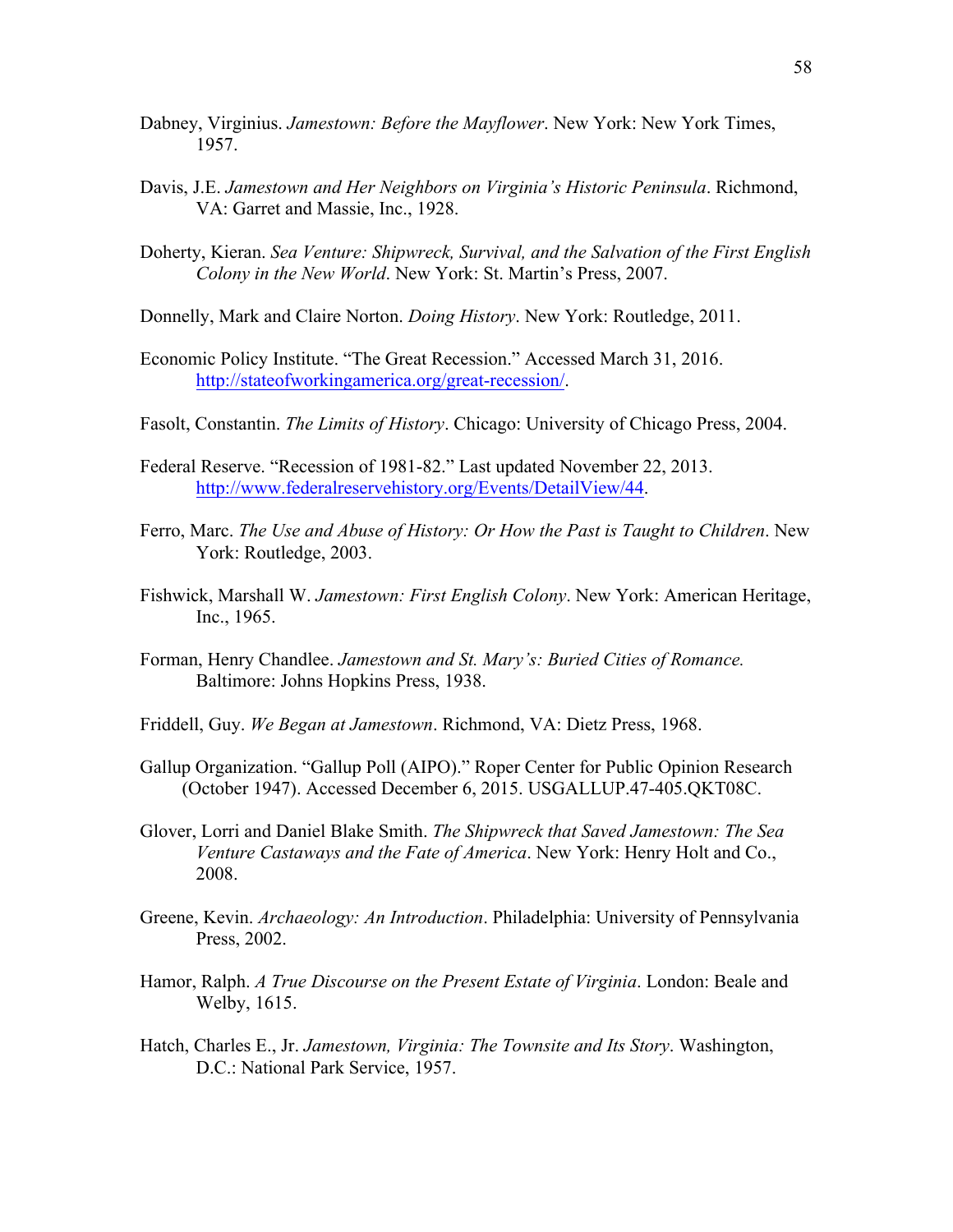- Dabney, Virginius. *Jamestown: Before the Mayflower*. New York: New York Times, 1957.
- Davis, J.E. *Jamestown and Her Neighbors on Virginia's Historic Peninsula*. Richmond, VA: Garret and Massie, Inc., 1928.
- Doherty, Kieran. *Sea Venture: Shipwreck, Survival, and the Salvation of the First English Colony in the New World*. New York: St. Martin's Press, 2007.
- Donnelly, Mark and Claire Norton. *Doing History*. New York: Routledge, 2011.
- Economic Policy Institute. "The Great Recession." Accessed March 31, 2016. http://stateofworkingamerica.org/great-recession/.
- Fasolt, Constantin. *The Limits of History*. Chicago: University of Chicago Press, 2004.
- Federal Reserve. "Recession of 1981-82." Last updated November 22, 2013. http://www.federalreservehistory.org/Events/DetailView/44.
- Ferro, Marc. *The Use and Abuse of History: Or How the Past is Taught to Children*. New York: Routledge, 2003.
- Fishwick, Marshall W. *Jamestown: First English Colony*. New York: American Heritage, Inc., 1965.
- Forman, Henry Chandlee. *Jamestown and St. Mary's: Buried Cities of Romance.*  Baltimore: Johns Hopkins Press, 1938.
- Friddell, Guy. *We Began at Jamestown*. Richmond, VA: Dietz Press, 1968.
- Gallup Organization. "Gallup Poll (AIPO)." Roper Center for Public Opinion Research (October 1947). Accessed December 6, 2015. USGALLUP.47-405.QKT08C.
- Glover, Lorri and Daniel Blake Smith. *The Shipwreck that Saved Jamestown: The Sea Venture Castaways and the Fate of America*. New York: Henry Holt and Co., 2008.
- Greene, Kevin. *Archaeology: An Introduction*. Philadelphia: University of Pennsylvania Press, 2002.
- Hamor, Ralph. *A True Discourse on the Present Estate of Virginia*. London: Beale and Welby, 1615.
- Hatch, Charles E., Jr. *Jamestown, Virginia: The Townsite and Its Story*. Washington, D.C.: National Park Service, 1957.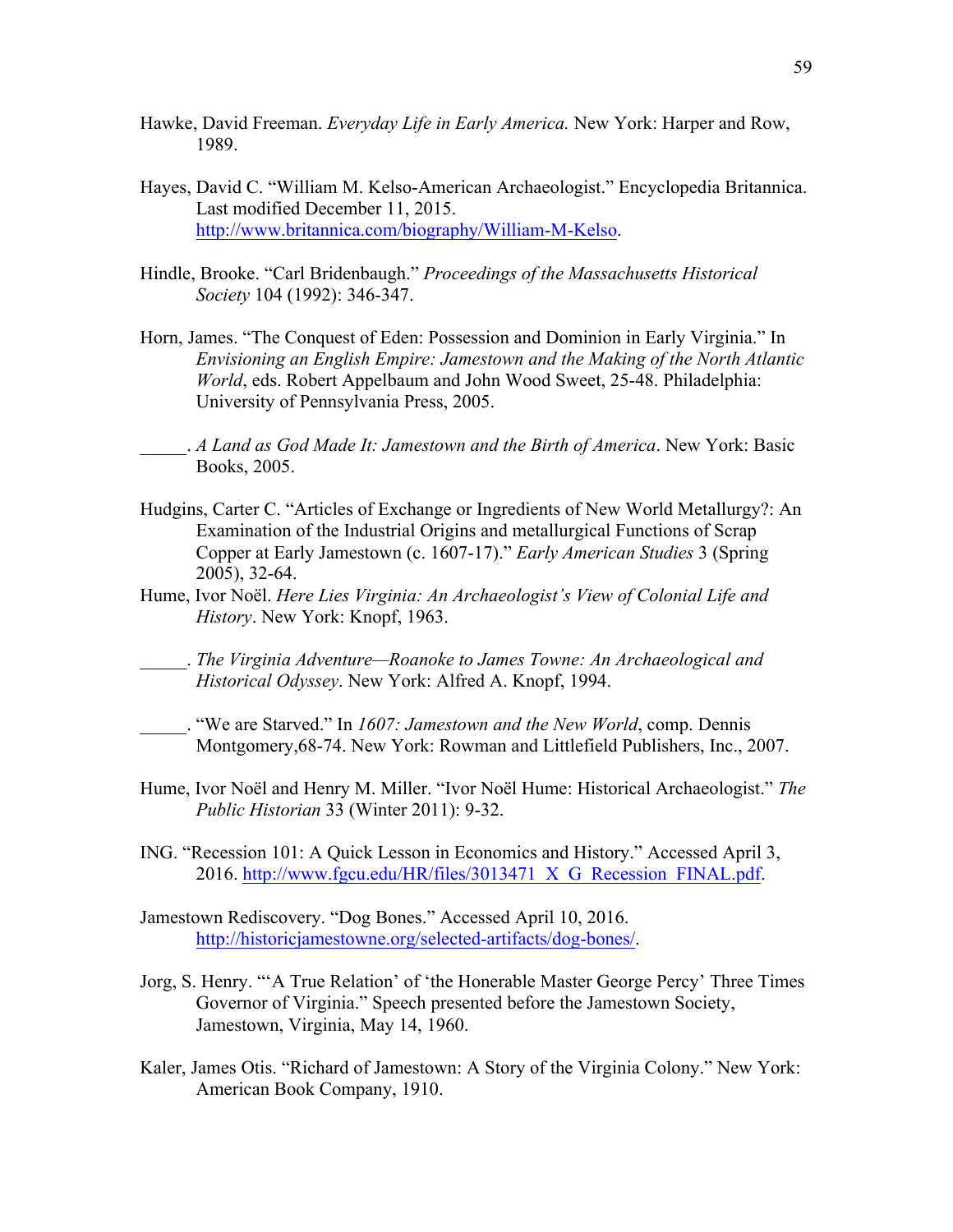- Hawke, David Freeman. *Everyday Life in Early America.* New York: Harper and Row, 1989.
- Hayes, David C. "William M. Kelso-American Archaeologist." Encyclopedia Britannica. Last modified December 11, 2015. http://www.britannica.com/biography/William-M-Kelso.
- Hindle, Brooke. "Carl Bridenbaugh." *Proceedings of the Massachusetts Historical Society* 104 (1992): 346-347.
- Horn, James. "The Conquest of Eden: Possession and Dominion in Early Virginia." In *Envisioning an English Empire: Jamestown and the Making of the North Atlantic World*, eds. Robert Appelbaum and John Wood Sweet, 25-48. Philadelphia: University of Pennsylvania Press, 2005.

\_\_\_\_\_. *A Land as God Made It: Jamestown and the Birth of America*. New York: Basic Books, 2005.

- Hudgins, Carter C. "Articles of Exchange or Ingredients of New World Metallurgy?: An Examination of the Industrial Origins and metallurgical Functions of Scrap Copper at Early Jamestown (c. 1607-17)." *Early American Studies* 3 (Spring 2005), 32-64.
- Hume, Ivor Noël. *Here Lies Virginia: An Archaeologist's View of Colonial Life and History*. New York: Knopf, 1963.
- \_\_\_\_\_. *The Virginia Adventure—Roanoke to James Towne: An Archaeological and Historical Odyssey*. New York: Alfred A. Knopf, 1994.
- \_\_\_\_\_. "We are Starved." In *1607: Jamestown and the New World*, comp. Dennis Montgomery,68-74. New York: Rowman and Littlefield Publishers, Inc., 2007.
- Hume, Ivor Noël and Henry M. Miller. "Ivor Noël Hume: Historical Archaeologist." *The Public Historian* 33 (Winter 2011): 9-32.
- ING. "Recession 101: A Quick Lesson in Economics and History." Accessed April 3, 2016. http://www.fgcu.edu/HR/files/3013471 X G Recession FINAL.pdf.
- Jamestown Rediscovery. "Dog Bones." Accessed April 10, 2016. http://historicjamestowne.org/selected-artifacts/dog-bones/.
- Jorg, S. Henry. "'A True Relation' of 'the Honerable Master George Percy' Three Times Governor of Virginia." Speech presented before the Jamestown Society, Jamestown, Virginia, May 14, 1960.
- Kaler, James Otis. "Richard of Jamestown: A Story of the Virginia Colony." New York: American Book Company, 1910.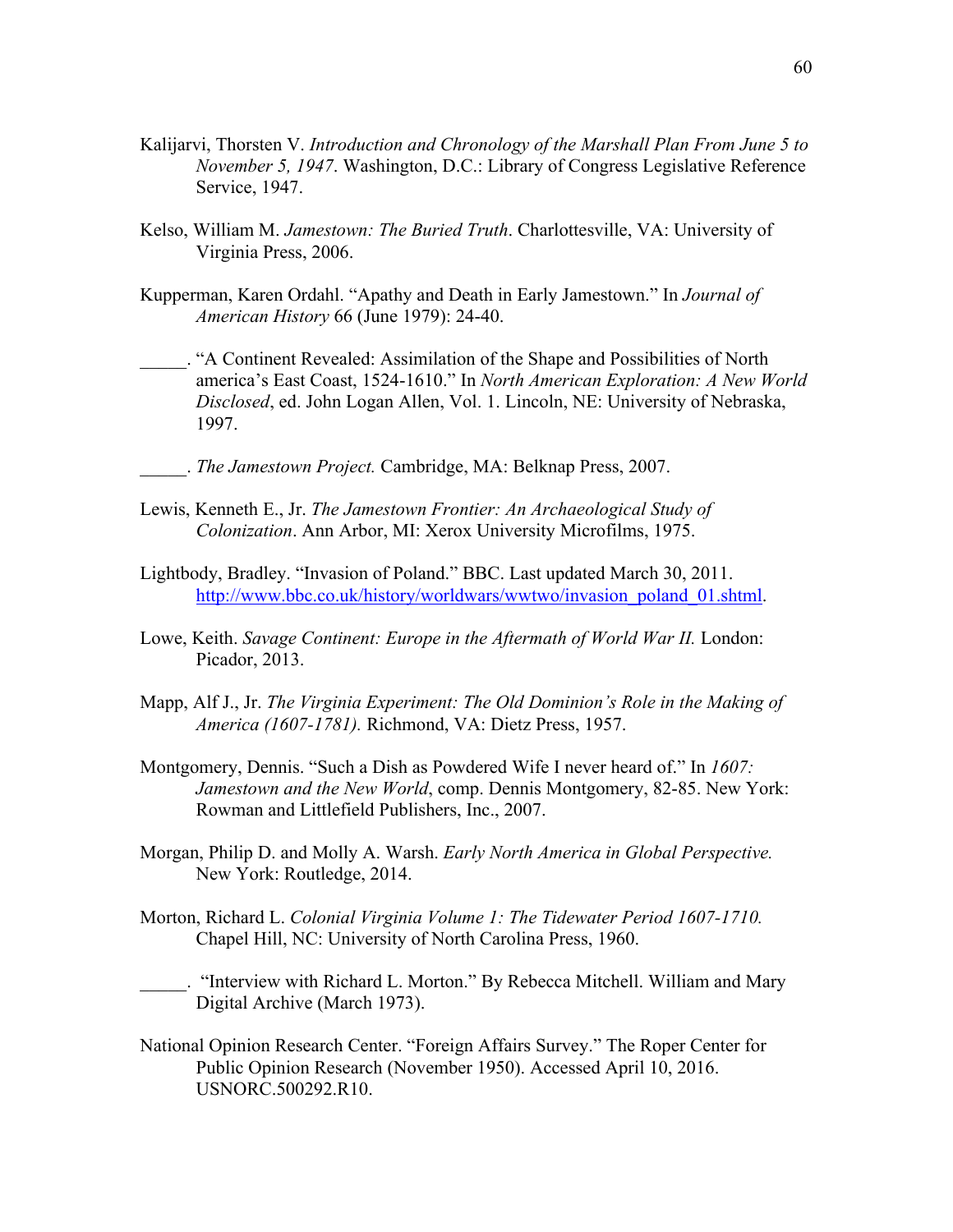- Kalijarvi, Thorsten V. *Introduction and Chronology of the Marshall Plan From June 5 to November 5, 1947*. Washington, D.C.: Library of Congress Legislative Reference Service, 1947.
- Kelso, William M. *Jamestown: The Buried Truth*. Charlottesville, VA: University of Virginia Press, 2006.
- Kupperman, Karen Ordahl. "Apathy and Death in Early Jamestown." In *Journal of American History* 66 (June 1979): 24-40.
- \_\_\_\_\_. "A Continent Revealed: Assimilation of the Shape and Possibilities of North america's East Coast, 1524-1610." In *North American Exploration: A New World Disclosed*, ed. John Logan Allen, Vol. 1. Lincoln, NE: University of Nebraska, 1997.
	- \_\_\_\_\_. *The Jamestown Project.* Cambridge, MA: Belknap Press, 2007.
- Lewis, Kenneth E., Jr. *The Jamestown Frontier: An Archaeological Study of Colonization*. Ann Arbor, MI: Xerox University Microfilms, 1975.
- Lightbody, Bradley. "Invasion of Poland." BBC. Last updated March 30, 2011. http://www.bbc.co.uk/history/worldwars/wwtwo/invasion\_poland\_01.shtml.
- Lowe, Keith. *Savage Continent: Europe in the Aftermath of World War II.* London: Picador, 2013.
- Mapp, Alf J., Jr. *The Virginia Experiment: The Old Dominion's Role in the Making of America (1607-1781).* Richmond, VA: Dietz Press, 1957.
- Montgomery, Dennis. "Such a Dish as Powdered Wife I never heard of." In *1607: Jamestown and the New World*, comp. Dennis Montgomery, 82-85. New York: Rowman and Littlefield Publishers, Inc., 2007.
- Morgan, Philip D. and Molly A. Warsh. *Early North America in Global Perspective.* New York: Routledge, 2014.
- Morton, Richard L. *Colonial Virginia Volume 1: The Tidewater Period 1607-1710.* Chapel Hill, NC: University of North Carolina Press, 1960.
- "Interview with Richard L. Morton." By Rebecca Mitchell. William and Mary Digital Archive (March 1973).
- National Opinion Research Center. "Foreign Affairs Survey." The Roper Center for Public Opinion Research (November 1950). Accessed April 10, 2016. USNORC.500292.R10.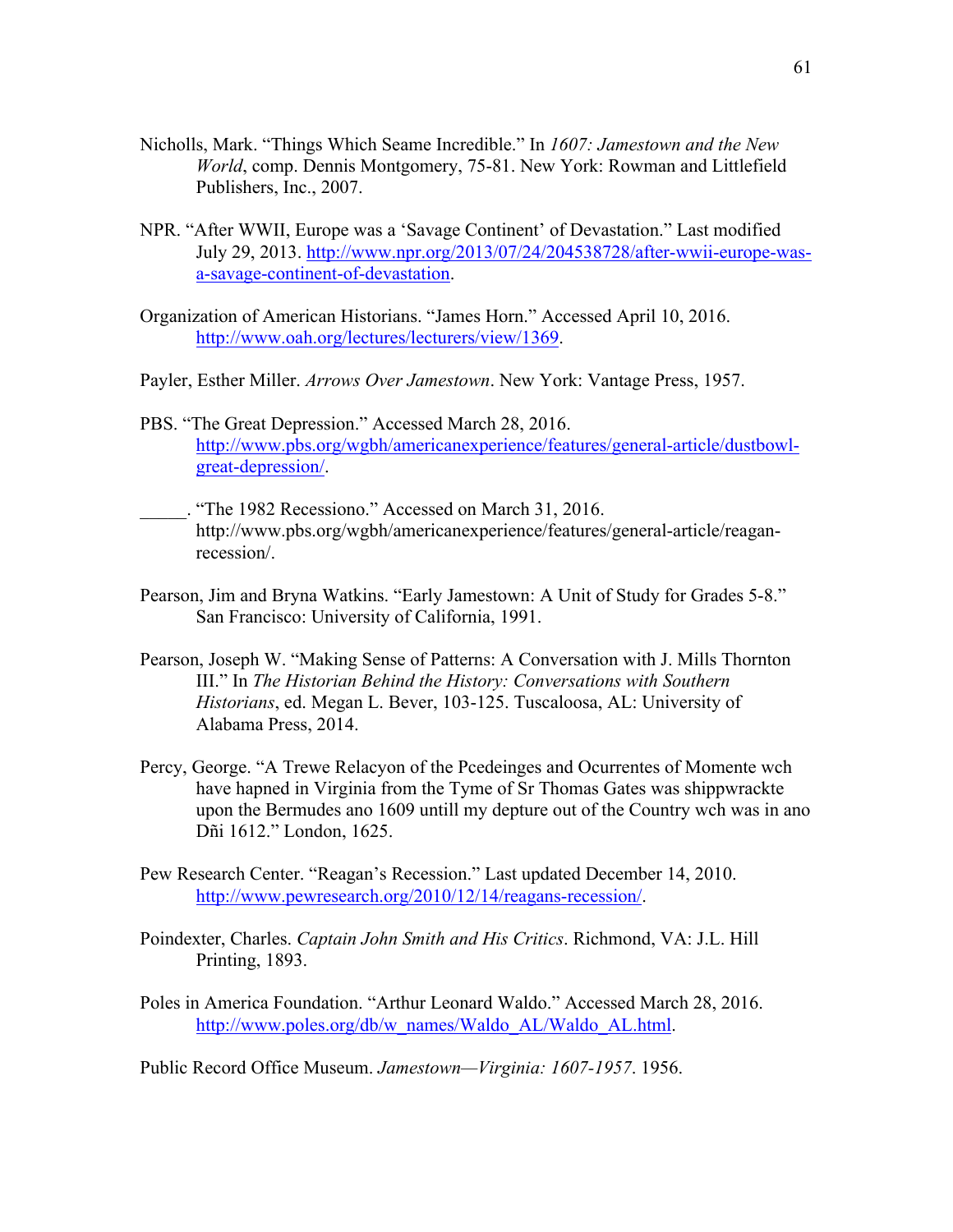- Nicholls, Mark. "Things Which Seame Incredible." In *1607: Jamestown and the New World*, comp. Dennis Montgomery, 75-81. New York: Rowman and Littlefield Publishers, Inc., 2007.
- NPR. "After WWII, Europe was a 'Savage Continent' of Devastation." Last modified July 29, 2013. http://www.npr.org/2013/07/24/204538728/after-wwii-europe-wasa-savage-continent-of-devastation.
- Organization of American Historians. "James Horn." Accessed April 10, 2016. http://www.oah.org/lectures/lecturers/view/1369.
- Payler, Esther Miller. *Arrows Over Jamestown*. New York: Vantage Press, 1957.
- PBS. "The Great Depression." Accessed March 28, 2016. http://www.pbs.org/wgbh/americanexperience/features/general-article/dustbowlgreat-depression/.
- \_\_\_\_\_. "The 1982 Recessiono." Accessed on March 31, 2016. http://www.pbs.org/wgbh/americanexperience/features/general-article/reaganrecession/.
- Pearson, Jim and Bryna Watkins. "Early Jamestown: A Unit of Study for Grades 5-8." San Francisco: University of California, 1991.
- Pearson, Joseph W. "Making Sense of Patterns: A Conversation with J. Mills Thornton III." In *The Historian Behind the History: Conversations with Southern Historians*, ed. Megan L. Bever, 103-125. Tuscaloosa, AL: University of Alabama Press, 2014.
- Percy, George. "A Trewe Relacyon of the Pcedeinges and Ocurrentes of Momente wch have hapned in Virginia from the Tyme of Sr Thomas Gates was shippwrackte upon the Bermudes ano 1609 untill my depture out of the Country wch was in ano Dñi 1612." London, 1625.
- Pew Research Center. "Reagan's Recession." Last updated December 14, 2010. http://www.pewresearch.org/2010/12/14/reagans-recession/.
- Poindexter, Charles. *Captain John Smith and His Critics*. Richmond, VA: J.L. Hill Printing, 1893.
- Poles in America Foundation. "Arthur Leonard Waldo." Accessed March 28, 2016. http://www.poles.org/db/w\_names/Waldo\_AL/Waldo\_AL.html.

Public Record Office Museum. *Jamestown—Virginia: 1607-1957*. 1956.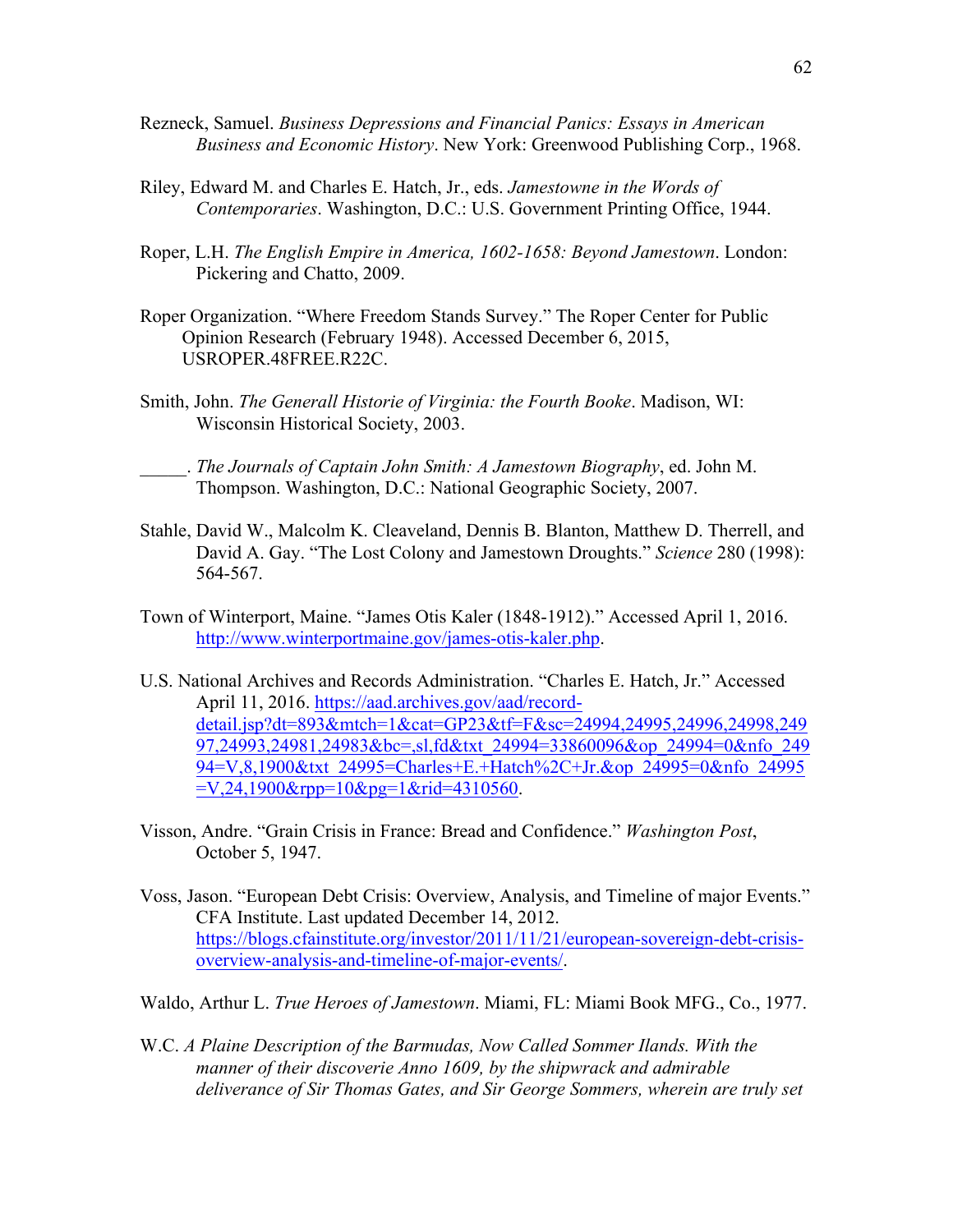- Rezneck, Samuel. *Business Depressions and Financial Panics: Essays in American Business and Economic History*. New York: Greenwood Publishing Corp., 1968.
- Riley, Edward M. and Charles E. Hatch, Jr., eds. *Jamestowne in the Words of Contemporaries*. Washington, D.C.: U.S. Government Printing Office, 1944.
- Roper, L.H. *The English Empire in America, 1602-1658: Beyond Jamestown*. London: Pickering and Chatto, 2009.
- Roper Organization. "Where Freedom Stands Survey." The Roper Center for Public Opinion Research (February 1948). Accessed December 6, 2015, USROPER.48FREE.R22C.
- Smith, John. *The Generall Historie of Virginia: the Fourth Booke*. Madison, WI: Wisconsin Historical Society, 2003.

\_\_\_\_\_. *The Journals of Captain John Smith: A Jamestown Biography*, ed. John M. Thompson. Washington, D.C.: National Geographic Society, 2007.

- Stahle, David W., Malcolm K. Cleaveland, Dennis B. Blanton, Matthew D. Therrell, and David A. Gay. "The Lost Colony and Jamestown Droughts." *Science* 280 (1998): 564-567.
- Town of Winterport, Maine. "James Otis Kaler (1848-1912)." Accessed April 1, 2016. http://www.winterportmaine.gov/james-otis-kaler.php.
- U.S. National Archives and Records Administration. "Charles E. Hatch, Jr." Accessed April 11, 2016. https://aad.archives.gov/aad/recorddetail.jsp?dt=893&mtch=1&cat=GP23&tf=F&sc=24994,24995,24996,24998,249 97,24993,24981,24983&bc=,sl,fd&txt\_24994=33860096&op\_24994=0&nfo\_249 94=V,8,1900&txt\_24995=Charles+E.+Hatch%2C+Jr.&op\_24995=0&nfo\_24995  $=V,24,1900$ &rpp= $10$ &pg= $1$ &rid= $4310560$ .
- Visson, Andre. "Grain Crisis in France: Bread and Confidence." *Washington Post*, October 5, 1947.
- Voss, Jason. "European Debt Crisis: Overview, Analysis, and Timeline of major Events." CFA Institute. Last updated December 14, 2012. https://blogs.cfainstitute.org/investor/2011/11/21/european-sovereign-debt-crisisoverview-analysis-and-timeline-of-major-events/.
- Waldo, Arthur L. *True Heroes of Jamestown*. Miami, FL: Miami Book MFG., Co., 1977.
- W.C. *A Plaine Description of the Barmudas, Now Called Sommer Ilands. With the manner of their discoverie Anno 1609, by the shipwrack and admirable deliverance of Sir Thomas Gates, and Sir George Sommers, wherein are truly set*